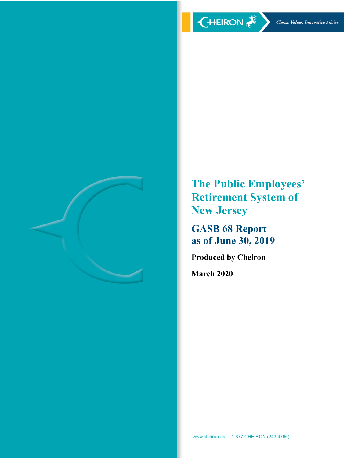

**The Public Employees' Retirement System of New Jersey**

**GASB 68 Report as of June 30, 2019**

**Produced by Cheiron**

**March 2020**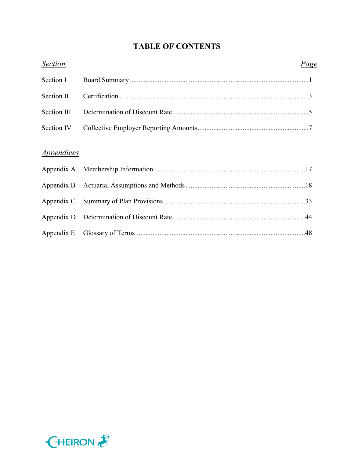# **TABLE OF CONTENTS**

| <b>Section</b> | Page |
|----------------|------|
| Section I      |      |
| Section II     |      |
| Section III    |      |
| Section IV     |      |
| Appendices     |      |
|                |      |
|                |      |
|                |      |
|                |      |
|                |      |
|                |      |

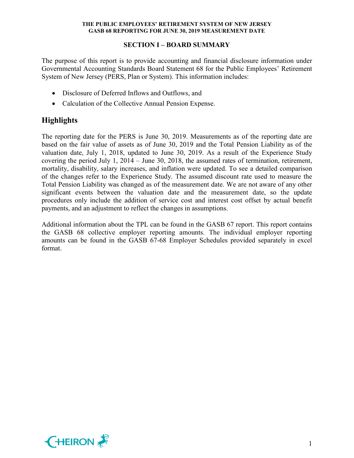## **SECTION I – BOARD SUMMARY**

The purpose of this report is to provide accounting and financial disclosure information under Governmental Accounting Standards Board Statement 68 for the Public Employees' Retirement System of New Jersey (PERS, Plan or System). This information includes:

- Disclosure of Deferred Inflows and Outflows, and
- Calculation of the Collective Annual Pension Expense.

# **Highlights**

The reporting date for the PERS is June 30, 2019. Measurements as of the reporting date are based on the fair value of assets as of June 30, 2019 and the Total Pension Liability as of the valuation date, July 1, 2018, updated to June 30, 2019. As a result of the Experience Study covering the period July 1, 2014 – June 30, 2018, the assumed rates of termination, retirement, mortality, disability, salary increases, and inflation were updated. To see a detailed comparison of the changes refer to the Experience Study. The assumed discount rate used to measure the Total Pension Liability was changed as of the measurement date. We are not aware of any other significant events between the valuation date and the measurement date, so the update procedures only include the addition of service cost and interest cost offset by actual benefit payments, and an adjustment to reflect the changes in assumptions.

Additional information about the TPL can be found in the GASB 67 report. This report contains the GASB 68 collective employer reporting amounts. The individual employer reporting amounts can be found in the GASB 67-68 Employer Schedules provided separately in excel format.

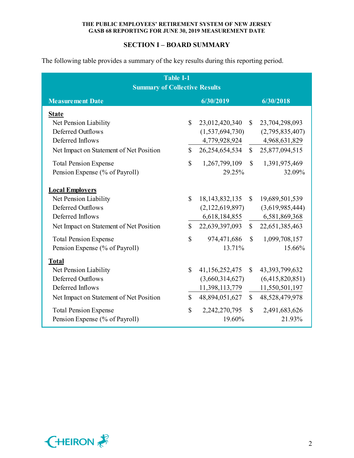## **SECTION I – BOARD SUMMARY**

The following table provides a summary of the key results during this reporting period.

| <b>Table I-1</b>                                                                          |              |                   |              |                   |  |  |  |  |  |  |  |  |  |
|-------------------------------------------------------------------------------------------|--------------|-------------------|--------------|-------------------|--|--|--|--|--|--|--|--|--|
| <b>Summary of Collective Results</b><br>6/30/2019<br>6/30/2018<br><b>Measurement Date</b> |              |                   |              |                   |  |  |  |  |  |  |  |  |  |
| <b>State</b>                                                                              |              |                   |              |                   |  |  |  |  |  |  |  |  |  |
| Net Pension Liability                                                                     | $\mathbb{S}$ | 23,012,420,340    |              | \$23,704,298,093  |  |  |  |  |  |  |  |  |  |
| <b>Deferred Outflows</b>                                                                  |              | (1,537,694,730)   |              | (2,795,835,407)   |  |  |  |  |  |  |  |  |  |
| Deferred Inflows                                                                          |              | 4,779,928,924     |              | 4,968,631,829     |  |  |  |  |  |  |  |  |  |
| Net Impact on Statement of Net Position                                                   | $\mathbb{S}$ | 26,254,654,534    |              | \$25,877,094,515  |  |  |  |  |  |  |  |  |  |
| <b>Total Pension Expense</b>                                                              | $\mathbb{S}$ | 1,267,799,109     | $\mathbb{S}$ | 1,391,975,469     |  |  |  |  |  |  |  |  |  |
| Pension Expense (% of Payroll)                                                            |              | 29.25%            |              | 32.09%            |  |  |  |  |  |  |  |  |  |
| <b>Local Employers</b>                                                                    |              |                   |              |                   |  |  |  |  |  |  |  |  |  |
| Net Pension Liability                                                                     | \$           | 18, 143, 832, 135 | $\mathbb{S}$ | 19,689,501,539    |  |  |  |  |  |  |  |  |  |
| <b>Deferred Outflows</b>                                                                  |              | (2,122,619,897)   |              | (3,619,985,444)   |  |  |  |  |  |  |  |  |  |
| Deferred Inflows                                                                          |              | 6,618,184,855     |              | 6,581,869,368     |  |  |  |  |  |  |  |  |  |
| Net Impact on Statement of Net Position                                                   | $\mathbf S$  | 22,639,397,093    |              | \$22,651,385,463  |  |  |  |  |  |  |  |  |  |
| <b>Total Pension Expense</b>                                                              | $\mathbb{S}$ | 974,471,686       | $\mathbb{S}$ | 1,099,708,157     |  |  |  |  |  |  |  |  |  |
| Pension Expense (% of Payroll)                                                            |              | 13.71%            |              | 15.66%            |  |  |  |  |  |  |  |  |  |
| <b>Total</b>                                                                              |              |                   |              |                   |  |  |  |  |  |  |  |  |  |
| Net Pension Liability                                                                     | \$           | 41,156,252,475    | $\mathbb{S}$ | 43, 393, 799, 632 |  |  |  |  |  |  |  |  |  |
| <b>Deferred Outflows</b>                                                                  |              | (3,660,314,627)   |              | (6,415,820,851)   |  |  |  |  |  |  |  |  |  |
| Deferred Inflows                                                                          |              | 11,398,113,779    |              | 11,550,501,197    |  |  |  |  |  |  |  |  |  |
| Net Impact on Statement of Net Position                                                   | $\mathbb{S}$ | 48,894,051,627    | $\mathbb{S}$ | 48,528,479,978    |  |  |  |  |  |  |  |  |  |
| <b>Total Pension Expense</b>                                                              | $\mathbb{S}$ | 2,242,270,795     | $\mathbb{S}$ | 2,491,683,626     |  |  |  |  |  |  |  |  |  |
| Pension Expense (% of Payroll)                                                            |              | 19.60%            |              | 21.93%            |  |  |  |  |  |  |  |  |  |

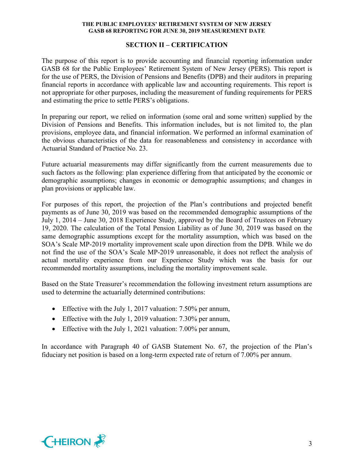### **SECTION II – CERTIFICATION**

The purpose of this report is to provide accounting and financial reporting information under GASB 68 for the Public Employees' Retirement System of New Jersey (PERS). This report is for the use of PERS, the Division of Pensions and Benefits (DPB) and their auditors in preparing financial reports in accordance with applicable law and accounting requirements. This report is not appropriate for other purposes, including the measurement of funding requirements for PERS and estimating the price to settle PERS's obligations.

In preparing our report, we relied on information (some oral and some written) supplied by the Division of Pensions and Benefits. This information includes, but is not limited to, the plan provisions, employee data, and financial information. We performed an informal examination of the obvious characteristics of the data for reasonableness and consistency in accordance with Actuarial Standard of Practice No. 23.

Future actuarial measurements may differ significantly from the current measurements due to such factors as the following: plan experience differing from that anticipated by the economic or demographic assumptions; changes in economic or demographic assumptions; and changes in plan provisions or applicable law.

For purposes of this report, the projection of the Plan's contributions and projected benefit payments as of June 30, 2019 was based on the recommended demographic assumptions of the July 1, 2014 – June 30, 2018 Experience Study, approved by the Board of Trustees on February 19, 2020. The calculation of the Total Pension Liability as of June 30, 2019 was based on the same demographic assumptions except for the mortality assumption, which was based on the SOA's Scale MP-2019 mortality improvement scale upon direction from the DPB. While we do not find the use of the SOA's Scale MP-2019 unreasonable, it does not reflect the analysis of actual mortality experience from our Experience Study which was the basis for our recommended mortality assumptions, including the mortality improvement scale.

Based on the State Treasurer's recommendation the following investment return assumptions are used to determine the actuarially determined contributions:

- Effective with the July 1, 2017 valuation: 7.50% per annum,
- Effective with the July 1, 2019 valuation: 7.30% per annum,
- Effective with the July 1, 2021 valuation: 7.00% per annum,

In accordance with Paragraph 40 of GASB Statement No. 67, the projection of the Plan's fiduciary net position is based on a long-term expected rate of return of 7.00% per annum.

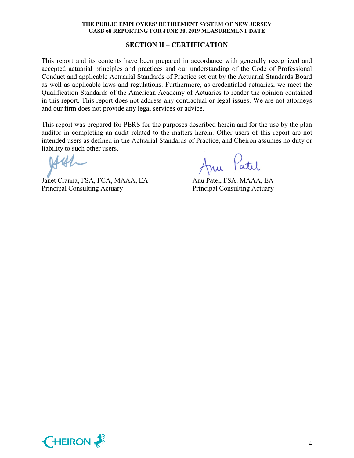#### **SECTION II – CERTIFICATION**

This report and its contents have been prepared in accordance with generally recognized and accepted actuarial principles and practices and our understanding of the Code of Professional Conduct and applicable Actuarial Standards of Practice set out by the Actuarial Standards Board as well as applicable laws and regulations. Furthermore, as credentialed actuaries, we meet the Qualification Standards of the American Academy of Actuaries to render the opinion contained in this report. This report does not address any contractual or legal issues. We are not attorneys and our firm does not provide any legal services or advice.

This report was prepared for PERS for the purposes described herein and for the use by the plan auditor in completing an audit related to the matters herein. Other users of this report are not intended users as defined in the Actuarial Standards of Practice, and Cheiron assumes no duty or liability to such other users.

Janet Cranna, FSA, FCA, MAAA, EA Anu Patel, FSA, MAAA, EA Principal Consulting Actuary Principal Consulting Actuary

Anu Patil

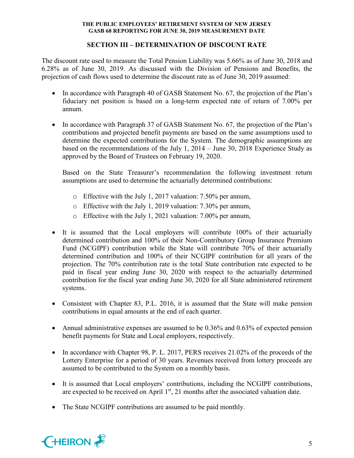## **SECTION III – DETERMINATION OF DISCOUNT RATE**

The discount rate used to measure the Total Pension Liability was 5.66% as of June 30, 2018 and 6.28% as of June 30, 2019. As discussed with the Division of Pensions and Benefits, the projection of cash flows used to determine the discount rate as of June 30, 2019 assumed:

- In accordance with Paragraph 40 of GASB Statement No. 67, the projection of the Plan's fiduciary net position is based on a long-term expected rate of return of 7.00% per annum.
- In accordance with Paragraph 37 of GASB Statement No. 67, the projection of the Plan's contributions and projected benefit payments are based on the same assumptions used to determine the expected contributions for the System. The demographic assumptions are based on the recommendations of the July 1, 2014 – June 30, 2018 Experience Study as approved by the Board of Trustees on February 19, 2020.

Based on the State Treasurer's recommendation the following investment return assumptions are used to determine the actuarially determined contributions:

- o Effective with the July 1, 2017 valuation: 7.50% per annum,
- o Effective with the July 1, 2019 valuation: 7.30% per annum,
- o Effective with the July 1, 2021 valuation: 7.00% per annum,
- It is assumed that the Local employers will contribute 100% of their actuarially determined contribution and 100% of their Non-Contributory Group Insurance Premium Fund (NCGIPF) contribution while the State will contribute 70% of their actuarially determined contribution and 100% of their NCGIPF contribution for all years of the projection. The 70% contribution rate is the total State contribution rate expected to be paid in fiscal year ending June 30, 2020 with respect to the actuarially determined contribution for the fiscal year ending June 30, 2020 for all State administered retirement systems.
- Consistent with Chapter 83, P.L. 2016, it is assumed that the State will make pension contributions in equal amounts at the end of each quarter.
- Annual administrative expenses are assumed to be 0.36% and 0.63% of expected pension benefit payments for State and Local employers, respectively.
- In accordance with Chapter 98, P. L. 2017, PERS receives 21.02% of the proceeds of the Lottery Enterprise for a period of 30 years. Revenues received from lottery proceeds are assumed to be contributed to the System on a monthly basis.
- It is assumed that Local employers' contributions, including the NCGIPF contributions, are expected to be received on April  $1<sup>st</sup>$ , 21 months after the associated valuation date.
- The State NCGIPF contributions are assumed to be paid monthly.

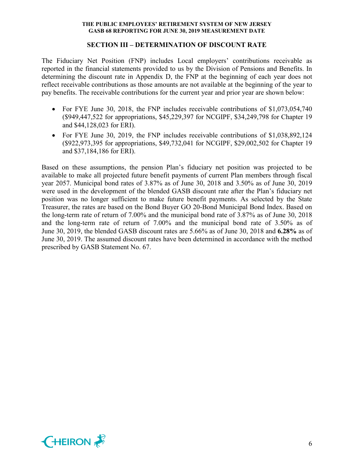#### **SECTION III – DETERMINATION OF DISCOUNT RATE**

The Fiduciary Net Position (FNP) includes Local employers' contributions receivable as reported in the financial statements provided to us by the Division of Pensions and Benefits. In determining the discount rate in Appendix D, the FNP at the beginning of each year does not reflect receivable contributions as those amounts are not available at the beginning of the year to pay benefits. The receivable contributions for the current year and prior year are shown below:

- For FYE June 30, 2018, the FNP includes receivable contributions of \$1,073,054,740 (\$949,447,522 for appropriations, \$45,229,397 for NCGIPF, \$34,249,798 for Chapter 19 and \$44,128,023 for ERI).
- For FYE June 30, 2019, the FNP includes receivable contributions of \$1,038,892,124 (\$922,973,395 for appropriations, \$49,732,041 for NCGIPF, \$29,002,502 for Chapter 19 and \$37,184,186 for ERI).

Based on these assumptions, the pension Plan's fiduciary net position was projected to be available to make all projected future benefit payments of current Plan members through fiscal year 2057. Municipal bond rates of 3.87% as of June 30, 2018 and 3.50% as of June 30, 2019 were used in the development of the blended GASB discount rate after the Plan's fiduciary net position was no longer sufficient to make future benefit payments. As selected by the State Treasurer, the rates are based on the Bond Buyer GO 20-Bond Municipal Bond Index. Based on the long-term rate of return of 7.00% and the municipal bond rate of 3.87% as of June 30, 2018 and the long-term rate of return of 7.00% and the municipal bond rate of 3.50% as of June 30, 2019, the blended GASB discount rates are 5.66% as of June 30, 2018 and **6.28%** as of June 30, 2019. The assumed discount rates have been determined in accordance with the method prescribed by GASB Statement No. 67.

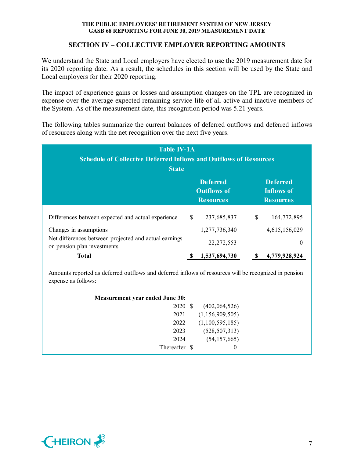## **SECTION IV – COLLECTIVE EMPLOYER REPORTING AMOUNTS**

We understand the State and Local employers have elected to use the 2019 measurement date for its 2020 reporting date. As a result, the schedules in this section will be used by the State and Local employers for their 2020 reporting.

The impact of experience gains or losses and assumption changes on the TPL are recognized in expense over the average expected remaining service life of all active and inactive members of the System. As of the measurement date, this recognition period was 5.21 years.

The following tables summarize the current balances of deferred outflows and deferred inflows of resources along with the net recognition over the next five years.

| <b>Table IV-1A</b><br><b>Schedule of Collective Deferred Inflows and Outflows of Resources</b><br><b>State</b> |     |                                                           |                                                          |               |  |  |  |  |  |
|----------------------------------------------------------------------------------------------------------------|-----|-----------------------------------------------------------|----------------------------------------------------------|---------------|--|--|--|--|--|
|                                                                                                                |     | <b>Deferred</b><br><b>Outflows of</b><br><b>Resources</b> | <b>Deferred</b><br><b>Inflows of</b><br><b>Resources</b> |               |  |  |  |  |  |
| Differences between expected and actual experience                                                             | \$. | 237,685,837                                               | \$                                                       | 164,772,895   |  |  |  |  |  |
| Changes in assumptions                                                                                         |     | 1,277,736,340                                             |                                                          | 4,615,156,029 |  |  |  |  |  |
| Net differences between projected and actual earnings<br>on pension plan investments                           |     | 22, 272, 553                                              |                                                          | 0             |  |  |  |  |  |
| Total                                                                                                          |     | 1,537,694,730                                             |                                                          | 4,779,928,924 |  |  |  |  |  |

Amounts reported as deferred outflows and deferred inflows of resources will be recognized in pension expense as follows:

| <b>Measurement year ended June 30:</b> |                    |
|----------------------------------------|--------------------|
| 2020 \$                                | (402,064,526)      |
| 2021                                   | (1, 156, 909, 505) |
| 2022                                   | (1,100,595,185)    |
| 2023                                   | (528, 507, 313)    |
| 2024                                   | (54, 157, 665)     |
| Thereafter \$                          | $\theta$           |

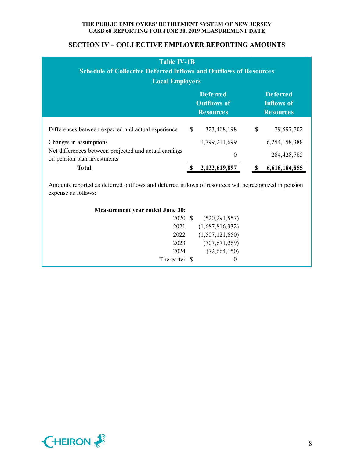## **SECTION IV – COLLECTIVE EMPLOYER REPORTING AMOUNTS**

| <b>Table IV-1B</b><br><b>Schedule of Collective Deferred Inflows and Outflows of Resources</b><br><b>Local Employers</b> |               |                                                           |    |                                                   |  |  |  |  |
|--------------------------------------------------------------------------------------------------------------------------|---------------|-----------------------------------------------------------|----|---------------------------------------------------|--|--|--|--|
|                                                                                                                          |               | <b>Deferred</b><br><b>Outflows of</b><br><b>Resources</b> |    | <b>Deferred</b><br>Inflows of<br><b>Resources</b> |  |  |  |  |
| Differences between expected and actual experience                                                                       | <sup>\$</sup> | 323,408,198                                               | \$ | 79,597,702                                        |  |  |  |  |
| Changes in assumptions                                                                                                   |               | 1,799,211,699                                             |    | 6,254,158,388                                     |  |  |  |  |
| Net differences between projected and actual earnings<br>on pension plan investments                                     |               | $\theta$                                                  |    | 284, 428, 765                                     |  |  |  |  |
| Total                                                                                                                    |               | 2,122,619,897                                             |    | 6,618,184,855                                     |  |  |  |  |

Amounts reported as deferred outflows and deferred inflows of resources will be recognized in pension expense as follows:

| <b>Measurement year ended June 30:</b> |     |                 |
|----------------------------------------|-----|-----------------|
| 2020                                   | - S | (520, 291, 557) |
| 2021                                   |     | (1,687,816,332) |
| 2022                                   |     | (1,507,121,650) |
| 2023                                   |     | (707, 671, 269) |
| 2024                                   |     | (72,664,150)    |
| Thereafter \$                          |     | $\theta$        |
|                                        |     |                 |

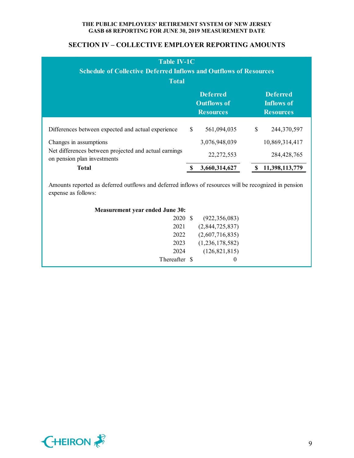## **SECTION IV – COLLECTIVE EMPLOYER REPORTING AMOUNTS**

| <b>Table IV-1C</b><br><b>Schedule of Collective Deferred Inflows and Outflows of Resources</b><br><b>Total</b> |              |                                                           |                                                   |                               |  |  |  |  |
|----------------------------------------------------------------------------------------------------------------|--------------|-----------------------------------------------------------|---------------------------------------------------|-------------------------------|--|--|--|--|
|                                                                                                                |              | <b>Deferred</b><br><b>Outflows of</b><br><b>Resources</b> | <b>Deferred</b><br>Inflows of<br><b>Resources</b> |                               |  |  |  |  |
| Differences between expected and actual experience                                                             | $\mathbb{S}$ | 561,094,035                                               | \$                                                | 244,370,597                   |  |  |  |  |
| Changes in assumptions<br>Net differences between projected and actual earnings<br>on pension plan investments |              | 3,076,948,039<br>22, 272, 553                             |                                                   | 10,869,314,417<br>284,428,765 |  |  |  |  |
| <b>Total</b>                                                                                                   |              | 3,660,314,627                                             |                                                   | 11,398,113,779                |  |  |  |  |

Amounts reported as deferred outflows and deferred inflows of resources will be recognized in pension expense as follows:

| <b>Measurement year ended June 30:</b> |      |                 |  |  |  |  |  |  |  |
|----------------------------------------|------|-----------------|--|--|--|--|--|--|--|
| 2020                                   | - \$ | (922, 356, 083) |  |  |  |  |  |  |  |
| 2021                                   |      | (2,844,725,837) |  |  |  |  |  |  |  |
| 2022                                   |      | (2,607,716,835) |  |  |  |  |  |  |  |
| 2023                                   |      | (1,236,178,582) |  |  |  |  |  |  |  |
| 2024                                   |      | (126, 821, 815) |  |  |  |  |  |  |  |
| Thereafter \$                          |      | $\theta$        |  |  |  |  |  |  |  |
|                                        |      |                 |  |  |  |  |  |  |  |

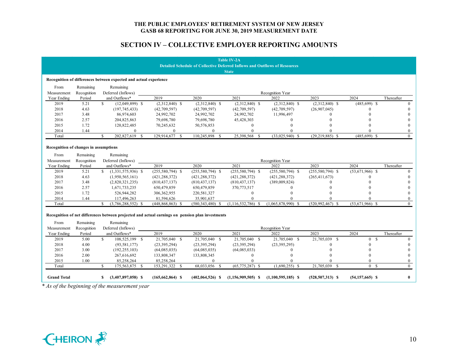## **SECTION IV – COLLECTIVE EMPLOYER REPORTING AMOUNTS**

|                                       |             |                                                                                                  |                                   |                       | <b>Table IV-2A</b>                                                         |                      |                             |                     |              |
|---------------------------------------|-------------|--------------------------------------------------------------------------------------------------|-----------------------------------|-----------------------|----------------------------------------------------------------------------|----------------------|-----------------------------|---------------------|--------------|
|                                       |             |                                                                                                  |                                   |                       | Detailed Schedule of Collective Deferred Inflows and Outflows of Resources |                      |                             |                     |              |
|                                       |             |                                                                                                  |                                   |                       | <b>State</b>                                                               |                      |                             |                     |              |
|                                       |             | Recognition of differences between expected and actual experience                                |                                   |                       |                                                                            |                      |                             |                     |              |
| From                                  | Remaining   | Remaining                                                                                        |                                   |                       |                                                                            |                      |                             |                     |              |
| Measurement                           | Recognition | Deferred (Inflows)                                                                               |                                   |                       |                                                                            | Recognition Year     |                             |                     |              |
| Year Ending                           | Period      | and Outflows*                                                                                    | 2019                              | 2020                  | 2021                                                                       | 2022                 | 2023                        | 2024                | Thereafter   |
| 2019                                  | 5.21        | \$<br>$(12,049,899)$ \$                                                                          | $(2,312,840)$ \$                  | $(2,312,840)$ \$      | $(2,312,840)$ \$                                                           | $(2,312,840)$ \$     | $(2,312,840)$ \$            | $(485, 699)$ \$     | $\Omega$     |
| 2018                                  | 4.63        | (197, 745, 433)                                                                                  | (42,709,597)                      | (42,709,597)          | (42,709,597)                                                               | (42,709,597)         | (26,907,045)                |                     |              |
| 2017                                  | 3.48        | 86,974,603                                                                                       | 24,992,702                        | 24,992,702            | 24,992,702                                                                 | 11,996,497           | 0                           |                     |              |
| 2016                                  | 2.57        | 204,825,863                                                                                      | 79,698,780                        | 79,698,780            | 45,428,303                                                                 | $\Omega$             |                             |                     |              |
| 2015                                  | 1.72        | 120,822,485                                                                                      | 70,245,632                        | 50,576,853            | $\mathbf{0}$                                                               | $\theta$             |                             |                     |              |
| 2014                                  | 1.44        | $\theta$                                                                                         | $\mathbf{0}$                      | $\mathbf{0}$          | $\theta$                                                                   | $\Omega$             |                             |                     | $\theta$     |
| Total                                 |             | 202,827,619 \$<br>\$                                                                             | 129,914,677<br>-S                 | 110,245,898<br>-S     | 25,398,568<br>- S                                                          | $(33.025.940)$ \$    | $(29.219.885)$ \$           | $(485.699)$ \$      | $\theta$     |
|                                       |             |                                                                                                  |                                   |                       |                                                                            |                      |                             |                     |              |
| Recognition of changes in assumptions |             |                                                                                                  |                                   |                       |                                                                            |                      |                             |                     |              |
| From                                  | Remaining   | Remaining                                                                                        |                                   |                       |                                                                            |                      |                             |                     |              |
| Measurement                           | Recognition | Deferred (Inflows)                                                                               |                                   |                       |                                                                            | Recognition Year     |                             |                     |              |
| Year Ending                           | Period      | and Outflows*                                                                                    | 2019                              | 2020                  | 2021                                                                       | 2022                 | 2023                        | 2024                | Thereafter   |
| 2019                                  | 5.21        | \$<br>$(1,331,575,936)$ \$                                                                       | $(255,580,794)$ \$                | $(255,580,794)$ \$    | $(255,580,794)$ \$                                                         | $(255,580,794)$ \$   | $(255,580,794)$ \$          | $(53,671,966)$ \$   | $\Omega$     |
| 2018                                  | 4.63        | (1,950,565,161)                                                                                  | (421, 288, 372)                   | (421, 288, 372)       | (421, 288, 372)                                                            | (421, 288, 372)      | (265, 411, 673)             | 0                   |              |
| 2017                                  | 3.48        | (2,820,321,235)                                                                                  | (810, 437, 137)                   | (810, 437, 137)       | (810, 437, 137)                                                            | (389,009,824)        |                             |                     |              |
| 2016                                  | 2.57        | 1,671,733,235                                                                                    | 650,479,859                       | 650,479,859           | 370,773,517                                                                | $\Omega$             |                             |                     |              |
| 2015                                  | 1.72        | 526,944,282                                                                                      | 306, 362, 955                     | 220,581,327           | $\boldsymbol{0}$                                                           | $\Omega$             |                             |                     |              |
| 2014                                  | 1.44        | 117,496,263                                                                                      | 81,594,626                        | 35,901,637            | $\theta$                                                                   |                      |                             |                     | $\Omega$     |
| Total                                 |             | $\mathbf{s}$<br>$(3,786,288,552)$ \$                                                             | $(448,868,863)$ \$                | (580, 343, 480)<br>\$ | $(1, 116, 532, 786)$ \$                                                    | $(1,065,878,990)$ \$ | $(520, 992, 467)$ \$        | $(53,671,966)$ \$   | $\theta$     |
|                                       |             |                                                                                                  |                                   |                       |                                                                            |                      |                             |                     |              |
|                                       |             | Recognition of net differences between projected and actual earnings on pension plan investments |                                   |                       |                                                                            |                      |                             |                     |              |
| From                                  | Remaining   | Remaining                                                                                        |                                   |                       |                                                                            |                      |                             |                     |              |
| Measurement                           | Recognition | Deferred (Inflows)                                                                               |                                   |                       |                                                                            | Recognition Year     |                             |                     |              |
| Year Ending                           | Period      | and Outflows*                                                                                    | 2019                              | 2020                  | 2021                                                                       | 2022                 | 2023                        | 2024                | Thereafter   |
| 2019                                  | 5.00        | \$.<br>108,525,199 \$                                                                            | 21,705,040 \$                     | 21,705,040 \$         | 21,705,040 \$                                                              | 21,705,040 \$        | 21,705,039<br><sup>\$</sup> | 0 S                 | $\Omega$     |
| 2018                                  | 4.00        | (93, 581, 177)                                                                                   | (23, 395, 294)                    | (23, 395, 294)        | (23, 395, 294)                                                             | (23, 395, 295)       | $\Omega$                    | 0                   |              |
| 2017                                  | 3.00        | (192, 255, 103)                                                                                  | (64,085,035)                      | (64,085,035)          | (64,085,033)                                                               | $\Omega$             |                             | $\Omega$            | $\Omega$     |
| 2016                                  | 2.00        | 267,616,692                                                                                      | 133,808,347                       | 133,808,345           | $\mathbf{0}$                                                               | $\theta$             |                             | $\Omega$            | $\Omega$     |
| 2015                                  |             |                                                                                                  |                                   | $\Omega$              | $\Omega$                                                                   |                      |                             | $\Omega$            | $\Omega$     |
| Total                                 | 1.00        | 85,258,264<br>$\mathbf{s}$<br>175,563,875 \$                                                     | 85,258,264<br>153,291,322<br>- \$ | 68,033,056 \$         | $(65,775,287)$ \$                                                          | $(1,690,255)$ \$     | 21,705,039<br>$\mathcal{S}$ | 0 S                 | $\Omega$     |
|                                       |             |                                                                                                  |                                   |                       |                                                                            |                      |                             |                     |              |
| <b>Grand Total</b>                    |             | $(3,407,897,058)$ \$<br>\$                                                                       | $(165, 662, 864)$ \$              | $(402,064,526)$ \$    | $(1,156,909,505)$ \$                                                       | $(1,100,595,185)$ \$ | $(528, 507, 313)$ \$        | $(54, 157, 665)$ \$ | $\mathbf{0}$ |
|                                       |             |                                                                                                  |                                   |                       |                                                                            |                      |                             |                     |              |
|                                       |             | * As of the beginning of the measurement year                                                    |                                   |                       |                                                                            |                      |                             |                     |              |

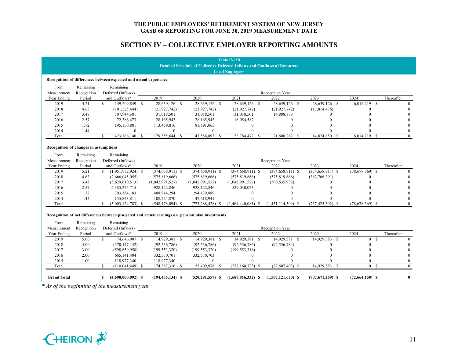## **SECTION IV – COLLECTIVE EMPLOYER REPORTING AMOUNTS**

| <b>Table IV-2B</b>                                                                |             |                                                                                                               |                      |                      |                      |                      |                            |                     |            |  |  |  |
|-----------------------------------------------------------------------------------|-------------|---------------------------------------------------------------------------------------------------------------|----------------------|----------------------|----------------------|----------------------|----------------------------|---------------------|------------|--|--|--|
| <b>Detailed Schedule of Collective Deferred Inflows and Outflows of Resources</b> |             |                                                                                                               |                      |                      |                      |                      |                            |                     |            |  |  |  |
| <b>Local Employers</b>                                                            |             |                                                                                                               |                      |                      |                      |                      |                            |                     |            |  |  |  |
| Recognition of differences between expected and actual experience                 |             |                                                                                                               |                      |                      |                      |                      |                            |                     |            |  |  |  |
| From                                                                              | Remaining   | Remaining                                                                                                     |                      |                      |                      |                      |                            |                     |            |  |  |  |
| Measurement                                                                       | Recognition | Deferred (Inflows)                                                                                            |                      |                      |                      | Recognition Year     |                            |                     |            |  |  |  |
| Year Ending                                                                       | Period      | and Outflows*                                                                                                 | 2019                 | 2020                 | 2021                 | 2022                 | 2023                       | 2024                | Thereafter |  |  |  |
| 2019                                                                              | 5.21        | \$<br>149,209,849 \$                                                                                          | 28,639,126 \$        | 28,639,126 \$        | 28,639,126 \$        | 28,639,126 \$        | 28,639,126 \$              | 6,014,219<br>-S     | $\Omega$   |  |  |  |
| 2018                                                                              | 4.63        | (101, 525, 444)                                                                                               | (21, 927, 742)       | (21, 927, 742)       | (21, 927, 742)       | (21, 927, 742)       | (13,814,476)               | 0                   |            |  |  |  |
| 2017                                                                              | 3.48        | 107,944,381                                                                                                   | 31,018,501           | 31,018,501           | 31,018,501           | 14,888,878           | $\Omega$                   |                     |            |  |  |  |
| 2016                                                                              | 2.57        | 72,386,473                                                                                                    | 28,165,943           | 28,165,943           | 16,054,587           | $\Omega$             |                            |                     | $\theta$   |  |  |  |
| 2015                                                                              | 1.72        | 195,150,881                                                                                                   | 113,459,816          | 81,691,065           | $\boldsymbol{0}$     | $\Omega$             |                            |                     | $\Omega$   |  |  |  |
| 2014                                                                              | 1.44        | $\Omega$                                                                                                      | $\mathbf{0}$         | $\Omega$             | $\Omega$             | $\Omega$             |                            |                     | $\theta$   |  |  |  |
| Total                                                                             |             | $\mathbf{s}$<br>423,166,140 \$                                                                                | 179,355,644<br>- \$  | 147,586,893<br>-S    | 53,784,472 \$        | 21,600,262 \$        | 14,824,650<br>- \$         | $6,014,219$ \$      | $\theta$   |  |  |  |
| Recognition of changes in assumptions                                             |             |                                                                                                               |                      |                      |                      |                      |                            |                     |            |  |  |  |
| From                                                                              | Remaining   | Remaining                                                                                                     |                      |                      |                      |                      |                            |                     |            |  |  |  |
| Measurement                                                                       | Recognition | Deferred (Inflows)                                                                                            |                      |                      |                      | Recognition Year     |                            |                     |            |  |  |  |
| Year Ending                                                                       | Period      | and Outflows*                                                                                                 | 2019                 | 2020                 | 2021                 | 2022                 | 2023                       | 2024                | Thereafter |  |  |  |
| 2019                                                                              | 5.21        | \$<br>$(1,951,972,924)$ \$                                                                                    | $(374, 658, 911)$ \$ | $(374, 658, 911)$ \$ | $(374, 658, 911)$ \$ | $(374, 658, 911)$ \$ | $(374, 658, 911)$ \$       | $(78, 678, 369)$ \$ | $\Omega$   |  |  |  |
| 2018                                                                              | 4.63        | (2,666,045,055)                                                                                               | (575, 819, 666)      | (575, 819, 666)      | (575, 819, 666)      | (575, 819, 666)      | (362, 766, 391)            | $\Omega$            |            |  |  |  |
| 2017                                                                              | 3.48        | (3,629,610,513)                                                                                               | (1,042,991,527)      | (1,042,991,527)      | (1,042,991,527)      | (500, 635, 932)      |                            |                     |            |  |  |  |
| 2016                                                                              | 2.57        | 2,385,275,715                                                                                                 | 928, 122, 846        | 928,122,846          | 529,030,023          | $\Omega$             |                            |                     |            |  |  |  |
| 2015                                                                              | 1.72        | 703,384,183                                                                                                   | 408,944,294          | 294,439,889          | $\mathbf{0}$         | $\Omega$             |                            |                     |            |  |  |  |
| 2014                                                                              | 1.44        | 155,843,811                                                                                                   | 108,224,870          | 47,618,941           | $\Omega$             |                      |                            |                     | $\theta$   |  |  |  |
| Total                                                                             |             | \$<br>$(5,003,124,783)$ \$                                                                                    | $(548, 178, 094)$ \$ | $(723, 288, 428)$ \$ | $(1,464,440,081)$ \$ | $(1,451,114,509)$ \$ | $(737, 425, 302)$ \$       | $(78, 678, 369)$ \$ | $\Omega$   |  |  |  |
| From                                                                              | Remaining   | Recognition of net differences between projected and actual earnings on pension plan investments<br>Remaining |                      |                      |                      |                      |                            |                     |            |  |  |  |
| Measurement                                                                       | Recognition | Deferred (Inflows)                                                                                            |                      |                      |                      | Recognition Year     |                            |                     |            |  |  |  |
| Year Ending                                                                       | Period      | and Outflows*                                                                                                 | 2019                 | 2020                 | 2021                 | 2022                 | 2023                       | 2024                | Thereafter |  |  |  |
| 2019                                                                              | 5.00        | $\mathbf{s}$<br>74,646,907 \$                                                                                 | 14,929,381 \$        | 14,929,381 \$        | 14,929,381 \$        | 14,929,381 \$        | 14,929,383<br><sup>S</sup> | 0 S                 | $\theta$   |  |  |  |
| 2018                                                                              | 4.00        | (370, 147, 142)                                                                                               | (92, 536, 786)       | (92, 536, 786)       | (92, 536, 786)       | (92, 536, 784)       |                            | $\Omega$            |            |  |  |  |
| 2017                                                                              | 3.00        | (598, 659, 958)                                                                                               | (199, 553, 320)      | (199, 553, 320)      | (199, 553, 318)      | $\Omega$             |                            | $\Omega$            | $\theta$   |  |  |  |
| 2016                                                                              | 2.00        | 665, 141, 404                                                                                                 | 332,570,701          | 332,570,703          | $\mathbf{0}$         | $\Omega$             |                            | $\Omega$            | $\Omega$   |  |  |  |
| 2015                                                                              | 1.00        | 118,977,340                                                                                                   | 118,977,340          | $\theta$             | $\theta$             |                      |                            | $\Omega$            | $\Omega$   |  |  |  |
| Total                                                                             |             | $\mathbf{s}$<br>$(110, 041, 449)$ \$                                                                          | 174,387,316 \$       | 55,409,978 \$        | $(277, 160, 723)$ \$ | $(77,607,403)$ \$    | 14,929,383 \$              | 0 S                 | $\theta$   |  |  |  |
| <b>Grand Total</b>                                                                |             | $(4,690,000,092)$ \$<br>\$                                                                                    | $(194, 435, 134)$ \$ | $(520, 291, 557)$ \$ | $(1,687,816,332)$ \$ | $(1,507,121,650)$ \$ | $(707, 671, 269)$ \$       | $(72,664,150)$ \$   | $\bf{0}$   |  |  |  |
|                                                                                   |             | * As of the beginning of the measurement year                                                                 |                      |                      |                      |                      |                            |                     |            |  |  |  |

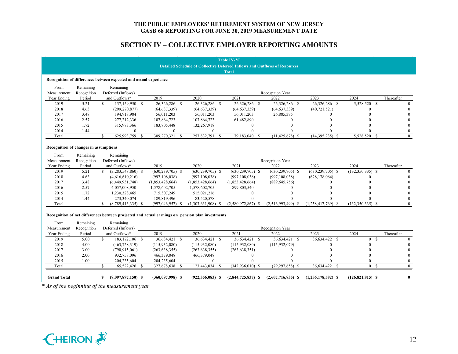## **SECTION IV – COLLECTIVE EMPLOYER REPORTING AMOUNTS**

|                                       |             |                                                                                                  |                      |                       | <b>Table IV-2C</b>                                                                |                      |                                  |                      |                |
|---------------------------------------|-------------|--------------------------------------------------------------------------------------------------|----------------------|-----------------------|-----------------------------------------------------------------------------------|----------------------|----------------------------------|----------------------|----------------|
|                                       |             |                                                                                                  |                      |                       | <b>Detailed Schedule of Collective Deferred Inflows and Outflows of Resources</b> |                      |                                  |                      |                |
|                                       |             |                                                                                                  |                      |                       | <b>Total</b>                                                                      |                      |                                  |                      |                |
|                                       |             | Recognition of differences between expected and actual experience                                |                      |                       |                                                                                   |                      |                                  |                      |                |
| From                                  | Remaining   | Remaining                                                                                        |                      |                       |                                                                                   |                      |                                  |                      |                |
| Measurement                           | Recognition | Deferred (Inflows)                                                                               |                      |                       |                                                                                   | Recognition Year     |                                  |                      |                |
| Year Ending                           | Period      | and Outflows*                                                                                    | 2019                 | 2020                  | 2021                                                                              | 2022                 | 2023                             | 2024                 | Thereafter     |
| 2019                                  | 5.21        | $\mathbf{s}$<br>137,159,950 \$                                                                   | 26,326,286 \$        | 26,326,286 \$         | 26,326,286 \$                                                                     | 26,326,286 \$        | 26,326,286<br>$\mathbf{\hat{s}}$ | 5.528.520 \$         | $\Omega$       |
| 2018                                  | 4.63        | (299, 270, 877)                                                                                  | (64, 637, 339)       | (64, 637, 339)        | (64, 637, 339)                                                                    | (64, 637, 339)       | (40, 721, 521)                   | $\Omega$             | $\Omega$       |
| 2017                                  | 3.48        | 194,918,984                                                                                      | 56,011,203           | 56,011,203            | 56,011,203                                                                        | 26,885,375           | $\Omega$                         |                      |                |
| 2016                                  | 2.57        | 277, 212, 336                                                                                    | 107,864,723          | 107,864,723           | 61,482,890                                                                        | 0                    |                                  |                      | $\theta$       |
| 2015                                  | 1.72        | 315,973,366                                                                                      | 183,705,448          | 132,267,918           | $\mathbf{0}$                                                                      | 0                    |                                  |                      |                |
| 2014                                  | 1.44        | $\theta$                                                                                         | $\mathbf{0}$         | $\overline{0}$        | $\theta$                                                                          | 0                    |                                  |                      | $\Omega$       |
| Total                                 |             | 625,993,759 \$<br>$\mathbf{\hat{S}}$                                                             | 309,270,321<br>- \$  | 257,832,791<br>-S     | 79,183,040<br><b>S</b>                                                            | $(11, 425, 678)$ \$  | $(14,395,235)$ \$                | 5,528,520 \$         | $\Omega$       |
|                                       |             |                                                                                                  |                      |                       |                                                                                   |                      |                                  |                      |                |
| Recognition of changes in assumptions |             |                                                                                                  |                      |                       |                                                                                   |                      |                                  |                      |                |
| From                                  | Remaining   | Remaining                                                                                        |                      |                       |                                                                                   |                      |                                  |                      |                |
| Measurement                           | Recognition | Deferred (Inflows)                                                                               |                      |                       |                                                                                   | Recognition Year     |                                  |                      |                |
| Year Ending                           | Period      | and Outflows*                                                                                    | 2019                 | 2020                  | 2021                                                                              | 2022                 | 2023                             | 2024                 | Thereafter     |
| 2019                                  | 5.21        | \$<br>$(3,283,548,860)$ \$                                                                       | $(630, 239, 705)$ \$ | $(630, 239, 705)$ \$  | $(630, 239, 705)$ \$                                                              | $(630, 239, 705)$ \$ | $(630, 239, 705)$ \$             | $(132,350,335)$ \$   | $\Omega$       |
| 2018                                  | 4.63        | (4,616,610,216)                                                                                  | (997, 108, 038)      | (997, 108, 038)       | (997, 108, 038)                                                                   | (997, 108, 038)      | (628, 178, 064)                  | $\Omega$             | $\Omega$       |
| 2017                                  | 3.48        | (6,449,931,748)                                                                                  | (1,853,428,664)      | (1,853,428,664)       | (1,853,428,664)                                                                   | (889, 645, 756)      |                                  |                      | $\theta$       |
| 2016                                  | 2.57        | 4,057,008,950                                                                                    | 1,578,602,705        | 1,578,602,705         | 899,803,540                                                                       | 0                    |                                  |                      | $\Omega$       |
| 2015                                  | 1.72        | 1,230,328,465                                                                                    | 715,307,249          | 515,021,216           | $\mathbf{0}$                                                                      | 0                    |                                  | $\Omega$             | $\Omega$       |
| 2014                                  | 1.44        | 273,340,074                                                                                      | 189,819,496          | 83,520,578            | $\Omega$                                                                          |                      |                                  | $\Omega$             | $\mathbf{0}$   |
| Total                                 |             | $\mathbf{s}$<br>$(8,789,413,335)$ \$                                                             | $(997, 046, 957)$ \$ | (1,303,631,908)<br>-S | $(2,580,972,867)$ \$                                                              | $(2,516,993,499)$ \$ | $(1,258,417,769)$ \$             | $(132, 350, 335)$ \$ | $\theta$       |
|                                       |             |                                                                                                  |                      |                       |                                                                                   |                      |                                  |                      |                |
|                                       |             | Recognition of net differences between projected and actual earnings on pension plan investments |                      |                       |                                                                                   |                      |                                  |                      |                |
| From                                  | Remaining   | Remaining                                                                                        |                      |                       |                                                                                   |                      |                                  |                      |                |
| Measurement                           | Recognition | Deferred (Inflows)                                                                               |                      |                       |                                                                                   | Recognition Year     |                                  |                      |                |
| Year Ending                           | Period      | and Outflows*                                                                                    | 2019                 | 2020                  | 2021                                                                              | 2022                 | 2023                             | 2024                 | Thereafter     |
| 2019                                  | 5.00        | \$.<br>183, 172, 106 \$                                                                          | 36,634,421 \$        | 36,634,421 \$         | 36,634,421 \$                                                                     | 36,634,421 \$        | 36,634,422 \$                    | 0 S                  | $\theta$       |
| 2018                                  | 4.00        | (463, 728, 319)                                                                                  | (115, 932, 080)      | (115,932,080)         | (115, 932, 080)                                                                   | (115, 932, 079)      | $\Omega$                         | $\Omega$             | $\Omega$       |
| 2017                                  | 3.00        | (790, 915, 061)                                                                                  | (263, 638, 355)      | (263, 638, 355)       | (263, 638, 351)                                                                   | $\mathbf{0}$         | $\Omega$                         | $\Omega$             | $\Omega$       |
| 2016                                  | 2.00        | 932,758,096                                                                                      | 466,379,048          | 466,379,048           | $\mathbf{0}$                                                                      | $\theta$             |                                  | $\Omega$             | $\Omega$       |
| 2015                                  | 1.00        | 204,235,604                                                                                      | 204,235,604          | $\theta$              | $\Omega$                                                                          |                      |                                  | $\Omega$             | $\overline{0}$ |
| Total                                 |             | $\mathbf{\hat{x}}$<br>65,522,426 \$                                                              | 327,678,638 \$       | 123,443,034 \$        | $(342, 936, 010)$ \$                                                              | $(79, 297, 658)$ \$  | 36,634,422<br>$\mathcal{S}$      | 0 <sup>5</sup>       | $\Omega$       |
|                                       |             |                                                                                                  |                      |                       |                                                                                   |                      |                                  |                      |                |
| <b>Grand Total</b>                    |             | $(8,097,897,150)$ \$<br>\$                                                                       | $(360,097,998)$ \$   | $(922, 356, 083)$ \$  | $(2,844,725,837)$ \$                                                              | $(2,607,716,835)$ \$ | $(1,236,178,582)$ \$             | $(126, 821, 815)$ \$ | $\bf{0}$       |
|                                       |             | * As of the beginning of the measurement year                                                    |                      |                       |                                                                                   |                      |                                  |                      |                |
|                                       |             |                                                                                                  |                      |                       |                                                                                   |                      |                                  |                      |                |

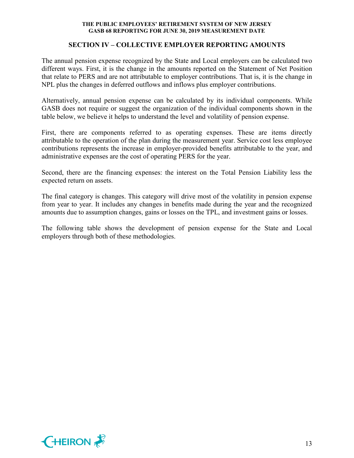### **SECTION IV – COLLECTIVE EMPLOYER REPORTING AMOUNTS**

The annual pension expense recognized by the State and Local employers can be calculated two different ways. First, it is the change in the amounts reported on the Statement of Net Position that relate to PERS and are not attributable to employer contributions. That is, it is the change in NPL plus the changes in deferred outflows and inflows plus employer contributions.

Alternatively, annual pension expense can be calculated by its individual components. While GASB does not require or suggest the organization of the individual components shown in the table below, we believe it helps to understand the level and volatility of pension expense.

First, there are components referred to as operating expenses. These are items directly attributable to the operation of the plan during the measurement year. Service cost less employee contributions represents the increase in employer-provided benefits attributable to the year, and administrative expenses are the cost of operating PERS for the year.

Second, there are the financing expenses: the interest on the Total Pension Liability less the expected return on assets.

The final category is changes. This category will drive most of the volatility in pension expense from year to year. It includes any changes in benefits made during the year and the recognized amounts due to assumption changes, gains or losses on the TPL, and investment gains or losses.

The following table shows the development of pension expense for the State and Local employers through both of these methodologies.

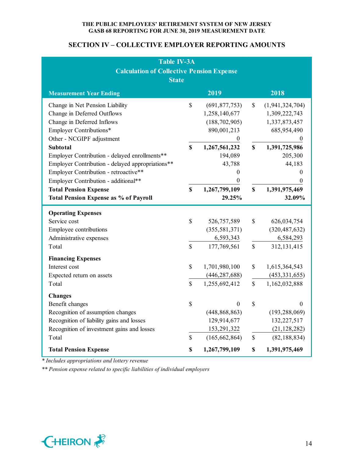## **SECTION IV – COLLECTIVE EMPLOYER REPORTING AMOUNTS**

| <b>Table IV-3A</b><br><b>Calculation of Collective Pension Expense</b><br><b>State</b>                                                                                                                                                                                                                                                                                                                                                        |                                    |                                                                                                                                                                                  |                                                 |                                                                                                                                                                                     |  |  |  |  |  |  |
|-----------------------------------------------------------------------------------------------------------------------------------------------------------------------------------------------------------------------------------------------------------------------------------------------------------------------------------------------------------------------------------------------------------------------------------------------|------------------------------------|----------------------------------------------------------------------------------------------------------------------------------------------------------------------------------|-------------------------------------------------|-------------------------------------------------------------------------------------------------------------------------------------------------------------------------------------|--|--|--|--|--|--|
| <b>Measurement Year Ending</b>                                                                                                                                                                                                                                                                                                                                                                                                                |                                    | 2019                                                                                                                                                                             |                                                 | 2018                                                                                                                                                                                |  |  |  |  |  |  |
| Change in Net Pension Liability<br>Change in Deferred Outflows<br>Change in Deferred Inflows<br>Employer Contributions*<br>Other - NCGIPF adjustment<br><b>Subtotal</b><br>Employer Contribution - delayed enrollments**<br>Employer Contribution - delayed appropriations**<br>Employer Contribution - retroactive**<br>Employer Contribution - additional**<br><b>Total Pension Expense</b><br><b>Total Pension Expense as % of Payroll</b> | $\mathbf S$<br>$\mathbf S$<br>\$   | (691, 877, 753)<br>1,258,140,677<br>(188, 702, 905)<br>890,001,213<br>$\boldsymbol{0}$<br>1,267,561,232<br>194,089<br>43,788<br>0<br>$\boldsymbol{0}$<br>1,267,799,109<br>29.25% | $\mathbb{S}$<br>$\boldsymbol{\mathsf{S}}$<br>\$ | (1,941,324,704)<br>1,309,222,743<br>1,337,873,457<br>685,954,490<br>$\overline{0}$<br>1,391,725,986<br>205,300<br>44,183<br>$\theta$<br>$\boldsymbol{0}$<br>1,391,975,469<br>32.09% |  |  |  |  |  |  |
| <b>Operating Expenses</b><br>Service cost<br>Employee contributions<br>Administrative expenses<br>Total                                                                                                                                                                                                                                                                                                                                       | $\mathbb{S}$<br>$\mathbf{\hat{S}}$ | 526,757,589<br>(355, 581, 371)<br>6,593,343<br>177,769,561                                                                                                                       | \$<br>$\mathbb{S}$                              | 626,034,754<br>(320, 487, 632)<br>6,584,293<br>312, 131, 415                                                                                                                        |  |  |  |  |  |  |
| <b>Financing Expenses</b><br>Interest cost<br>Expected return on assets<br>Total                                                                                                                                                                                                                                                                                                                                                              | \$<br>$\mathbb{S}$                 | 1,701,980,100<br>(446, 287, 688)<br>1,255,692,412                                                                                                                                | \$<br>\$                                        | 1,615,364,543<br>(453, 331, 655)<br>1,162,032,888                                                                                                                                   |  |  |  |  |  |  |
| <b>Changes</b><br>Benefit changes<br>Recognition of assumption changes<br>Recognition of liability gains and losses<br>Recognition of investment gains and losses<br>Total<br><b>Total Pension Expense</b>                                                                                                                                                                                                                                    | $\mathbb{S}$<br>\$<br>\$           | $\theta$<br>(448, 868, 863)<br>129,914,677<br>153,291,322<br>(165, 662, 864)<br>1,267,799,109                                                                                    | \$<br>$\mathbb{S}$<br>\$                        | $\theta$<br>(193, 288, 069)<br>132,227,517<br>(21, 128, 282)<br>(82, 188, 834)<br>1,391,975,469                                                                                     |  |  |  |  |  |  |

*\* Includes appropriations and lottery revenue*

*\*\* Pension expense related to specific liabilities of individual employers*

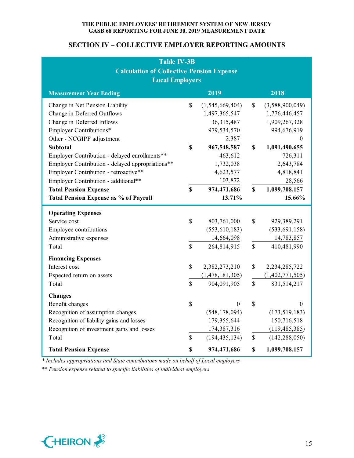## **SECTION IV – COLLECTIVE EMPLOYER REPORTING AMOUNTS**

| <b>Table IV-3B</b><br><b>Calculation of Collective Pension Expense</b><br><b>Local Employers</b>                                                                                                                                                                                                                                                                                              |                                            |                                                                                                                                                      |                         |                                                                                                                                                                       |  |  |  |
|-----------------------------------------------------------------------------------------------------------------------------------------------------------------------------------------------------------------------------------------------------------------------------------------------------------------------------------------------------------------------------------------------|--------------------------------------------|------------------------------------------------------------------------------------------------------------------------------------------------------|-------------------------|-----------------------------------------------------------------------------------------------------------------------------------------------------------------------|--|--|--|
| 2019<br>2018<br><b>Measurement Year Ending</b>                                                                                                                                                                                                                                                                                                                                                |                                            |                                                                                                                                                      |                         |                                                                                                                                                                       |  |  |  |
| Change in Net Pension Liability<br>Change in Deferred Outflows<br>Change in Deferred Inflows<br>Employer Contributions*<br>Other - NCGIPF adjustment<br><b>Subtotal</b><br>Employer Contribution - delayed enrollments**<br>Employer Contribution - delayed appropriations**<br>Employer Contribution - retroactive**<br>Employer Contribution - additional**<br><b>Total Pension Expense</b> | $\mathbb{S}$<br>$\mathbf S$<br>$\mathbf S$ | (1,545,669,404)<br>1,497,365,547<br>36,315,487<br>979,534,570<br>2,387<br>967,548,587<br>463,612<br>1,732,038<br>4,623,577<br>103,872<br>974,471,686 | \$<br>$\mathbf S$<br>\$ | (3,588,900,049)<br>1,776,446,457<br>1,909,267,328<br>994,676,919<br>$\boldsymbol{0}$<br>1,091,490,655<br>726,311<br>2,643,784<br>4,818,841<br>28,566<br>1,099,708,157 |  |  |  |
| <b>Total Pension Expense as % of Payroll</b>                                                                                                                                                                                                                                                                                                                                                  |                                            | 13.71%                                                                                                                                               |                         | 15.66%                                                                                                                                                                |  |  |  |
| <b>Operating Expenses</b><br>Service cost<br>Employee contributions<br>Administrative expenses<br>Total                                                                                                                                                                                                                                                                                       | $\mathbb{S}$<br>$\mathbb{S}$               | 803,761,000<br>(553, 610, 183)<br>14,664,098<br>264,814,915                                                                                          | \$<br>$\mathbb{S}$      | 929,389,291<br>(533, 691, 158)<br>14,783,857<br>410,481,990                                                                                                           |  |  |  |
| <b>Financing Expenses</b><br>Interest cost<br>Expected return on assets<br>Total                                                                                                                                                                                                                                                                                                              | \$<br>$\mathbf S$                          | 2,382,273,210<br>(1, 478, 181, 305)<br>904,091,905                                                                                                   | \$<br>\$                | 2,234,285,722<br>(1,402,771,505)<br>831,514,217                                                                                                                       |  |  |  |
| <b>Changes</b><br>Benefit changes<br>Recognition of assumption changes<br>Recognition of liability gains and losses<br>Recognition of investment gains and losses<br>Total                                                                                                                                                                                                                    | $\mathbb{S}$<br>$\mathbb{S}$               | $\boldsymbol{0}$<br>(548, 178, 094)<br>179,355,644<br>174,387,316<br>(194, 435, 134)                                                                 | \$<br>\$                | $\overline{0}$<br>(173, 519, 183)<br>150,716,518<br>(119, 485, 385)<br>(142, 288, 050)                                                                                |  |  |  |
| <b>Total Pension Expense</b>                                                                                                                                                                                                                                                                                                                                                                  | \$                                         | 974,471,686                                                                                                                                          | \$                      | 1,099,708,157                                                                                                                                                         |  |  |  |

*\* Includes appropriations and State contributions made on behalf of Local employers*

*\*\* Pension expense related to specific liabilities of individual employers*

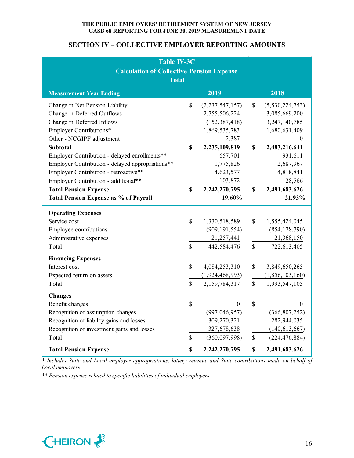## **SECTION IV – COLLECTIVE EMPLOYER REPORTING AMOUNTS**

| <b>Table IV-3C</b><br><b>Calculation of Collective Pension Expense</b><br><b>Total</b>                                                                                                                                                                                                                                                                                                        |                                  |                                                                                                                                                                    |                          |                                                                                                                                                                          |  |  |  |
|-----------------------------------------------------------------------------------------------------------------------------------------------------------------------------------------------------------------------------------------------------------------------------------------------------------------------------------------------------------------------------------------------|----------------------------------|--------------------------------------------------------------------------------------------------------------------------------------------------------------------|--------------------------|--------------------------------------------------------------------------------------------------------------------------------------------------------------------------|--|--|--|
| <b>Measurement Year Ending</b>                                                                                                                                                                                                                                                                                                                                                                |                                  | 2019                                                                                                                                                               |                          | 2018                                                                                                                                                                     |  |  |  |
| Change in Net Pension Liability<br>Change in Deferred Outflows<br>Change in Deferred Inflows<br>Employer Contributions*<br>Other - NCGIPF adjustment<br><b>Subtotal</b><br>Employer Contribution - delayed enrollments**<br>Employer Contribution - delayed appropriations**<br>Employer Contribution - retroactive**<br>Employer Contribution - additional**<br><b>Total Pension Expense</b> | $\mathbf S$<br>\$<br>$\mathbf S$ | (2, 237, 547, 157)<br>2,755,506,224<br>(152, 387, 418)<br>1,869,535,783<br>2,387<br>2,235,109,819<br>657,701<br>1,775,826<br>4,623,577<br>103,872<br>2,242,270,795 | \$<br>$\mathbf S$<br>\$  | (5,530,224,753)<br>3,085,669,200<br>3, 247, 140, 785<br>1,680,631,409<br>$\overline{0}$<br>2,483,216,641<br>931,611<br>2,687,967<br>4,818,841<br>28,566<br>2,491,683,626 |  |  |  |
| <b>Total Pension Expense as % of Payroll</b>                                                                                                                                                                                                                                                                                                                                                  |                                  | 19.60%                                                                                                                                                             |                          | 21.93%                                                                                                                                                                   |  |  |  |
| <b>Operating Expenses</b><br>Service cost<br>Employee contributions<br>Administrative expenses<br>Total                                                                                                                                                                                                                                                                                       | $\mathbf S$<br>$\mathbf S$       | 1,330,518,589<br>(909, 191, 554)<br>21,257,441<br>442,584,476                                                                                                      | \$<br>$\mathbb{S}$       | 1,555,424,045<br>(854, 178, 790)<br>21,368,150<br>722,613,405                                                                                                            |  |  |  |
| <b>Financing Expenses</b><br>Interest cost<br>Expected return on assets<br>Total                                                                                                                                                                                                                                                                                                              | $\mathbb{S}$<br>$\mathbf S$      | 4,084,253,310<br>(1,924,468,993)<br>2,159,784,317                                                                                                                  | \$<br>\$                 | 3,849,650,265<br>(1,856,103,160)<br>1,993,547,105                                                                                                                        |  |  |  |
| <b>Changes</b><br>Benefit changes<br>Recognition of assumption changes<br>Recognition of liability gains and losses<br>Recognition of investment gains and losses<br>Total<br><b>Total Pension Expense</b>                                                                                                                                                                                    | \$<br>\$<br>\$                   | 0<br>(997, 046, 957)<br>309,270,321<br>327,678,638<br>(360,097,998)<br>2,242,270,795                                                                               | \$<br>$\mathbb{S}$<br>\$ | $\Omega$<br>(366, 807, 252)<br>282,944,035<br>(140, 613, 667)<br>(224, 476, 884)<br>2,491,683,626                                                                        |  |  |  |

*\* Includes State and Local employer appropriations, lottery revenue and State contributions made on behalf of Local employers*

*\*\* Pension expense related to specific liabilities of individual employers*

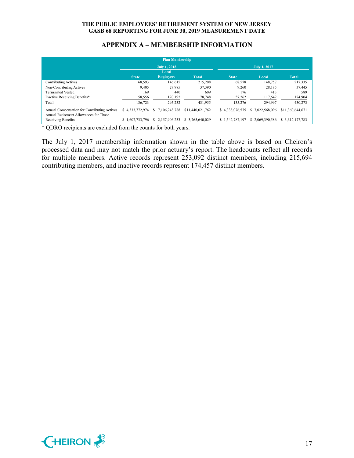## **APPENDIX A – MEMBERSHIP INFORMATION**

|                                                                                        |                 | <b>Plan Membership</b> |                  |                     |                 |                  |
|----------------------------------------------------------------------------------------|-----------------|------------------------|------------------|---------------------|-----------------|------------------|
|                                                                                        |                 | <b>July 1, 2018</b>    |                  | <b>July 1, 2017</b> |                 |                  |
|                                                                                        | <b>State</b>    | Local                  | <b>Total</b>     | <b>State</b>        |                 | <b>Total</b>     |
|                                                                                        |                 | <b>Employers</b>       |                  |                     | Local           |                  |
| Contributing Actives                                                                   | 68,593          | 146,615                | 215,208          | 68,578              | 148,757         | 217,335          |
| Non-Contributing Actives                                                               | 9,405           | 27,985                 | 37,390           | 9,260               | 28,185          | 37,445           |
| <b>Terminated Vested</b>                                                               | 169             | 440                    | 609              | 176                 | 413             | 589              |
| Inactive Receiving Benefits*                                                           | 58,556          | 120,192                | 178,748          | 57,262              | 117,642         | 174,904          |
| Total                                                                                  | 136,723         | 295.232                | 431,955          | 135,276             | 294.997         | 430,273          |
| Annual Compensation for Contributing Actives<br>Annual Retirement Allowances for Those | \$4.333,772,974 | 7.106.248.788<br>S.    | \$11,440,021,762 | \$4.338,076,575     | \$7.022,568,096 | \$11.360,644,671 |
| Receiving Benefits                                                                     | \$1,607,733,796 | 2.157.906.233<br>S.    | \$ 3,765,640,029 | \$1,542,787,197     | \$2.069,390,586 | \$ 3,612,177,783 |

\* QDRO recipients are excluded from the counts for both years.

The July 1, 2017 membership information shown in the table above is based on Cheiron's processed data and may not match the prior actuary's report. The headcounts reflect all records for multiple members. Active records represent 253,092 distinct members, including 215,694 contributing members, and inactive records represent 174,457 distinct members.

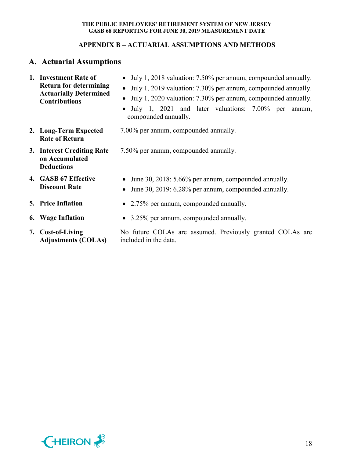## **APPENDIX B – ACTUARIAL ASSUMPTIONS AND METHODS**

# **A. Actuarial Assumptions**

| 1. Investment Rate of<br><b>Return for determining</b><br><b>Actuarially Determined</b><br><b>Contributions</b> | • July 1, 2018 valuation: 7.50% per annum, compounded annually.<br>• July 1, 2019 valuation: 7.30% per annum, compounded annually.<br>July 1, 2020 valuation: 7.30% per annum, compounded annually.<br>• July 1, 2021 and later valuations: 7.00% per<br>annum,<br>compounded annually. |  |  |  |  |  |
|-----------------------------------------------------------------------------------------------------------------|-----------------------------------------------------------------------------------------------------------------------------------------------------------------------------------------------------------------------------------------------------------------------------------------|--|--|--|--|--|
| 2. Long-Term Expected<br><b>Rate of Return</b>                                                                  | 7.00% per annum, compounded annually.                                                                                                                                                                                                                                                   |  |  |  |  |  |
| 3. Interest Crediting Rate<br>on Accumulated<br><b>Deductions</b>                                               | 7.50% per annum, compounded annually.                                                                                                                                                                                                                                                   |  |  |  |  |  |
| 4. GASB 67 Effective<br><b>Discount Rate</b>                                                                    | • June 30, 2018: 5.66% per annum, compounded annually.<br>June 30, 2019: 6.28% per annum, compounded annually.                                                                                                                                                                          |  |  |  |  |  |
| <b>5. Price Inflation</b>                                                                                       | • 2.75% per annum, compounded annually.                                                                                                                                                                                                                                                 |  |  |  |  |  |
| 6. Wage Inflation                                                                                               | • 3.25% per annum, compounded annually.                                                                                                                                                                                                                                                 |  |  |  |  |  |
| 7. Cost-of-Living                                                                                               | No future COLAs are assumed. Previously granted COLAs are                                                                                                                                                                                                                               |  |  |  |  |  |

**7. Cost-of-Living Adjustments (COLAs)** included in the data.



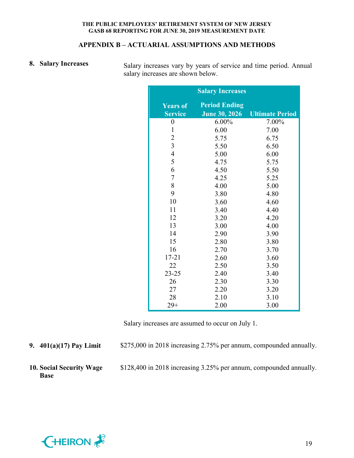#### **APPENDIX B – ACTUARIAL ASSUMPTIONS AND METHODS**

**8.** Salary Increases Salary increases vary by years of service and time period. Annual salary increases are shown below.

|                                   | <b>Salary Increases</b>                      |                        |
|-----------------------------------|----------------------------------------------|------------------------|
| <b>Years of</b><br><b>Service</b> | <b>Period Ending</b><br><b>June 30, 2026</b> | <b>Ultimate Period</b> |
| $\boldsymbol{0}$                  | 6.00%                                        | 7.00%                  |
| $\mathbf{1}$                      | 6.00                                         | 7.00                   |
| $\overline{2}$                    | 5.75                                         | 6.75                   |
| $\overline{3}$                    | 5.50                                         | 6.50                   |
| $\overline{4}$                    | 5.00                                         | 6.00                   |
| 5                                 | 4.75                                         | 5.75                   |
| 6                                 | 4.50                                         | 5.50                   |
| $\overline{7}$                    | 4.25                                         | 5.25                   |
| 8                                 | 4.00                                         | 5.00                   |
| 9                                 | 3.80                                         | 4.80                   |
| 10                                | 3.60                                         | 4.60                   |
| 11                                | 3.40                                         | 4.40                   |
| 12                                | 3.20                                         | 4.20                   |
| 13                                | 3.00                                         | 4.00                   |
| 14                                | 2.90                                         | 3.90                   |
| 15                                | 2.80                                         | 3.80                   |
| 16                                | 2.70                                         | 3.70                   |
| $17 - 21$                         | 2.60                                         | 3.60                   |
| 22                                | 2.50                                         | 3.50                   |
| $23 - 25$                         | 2.40                                         | 3.40                   |
| 26                                | 2.30                                         | 3.30                   |
| 27                                | 2.20                                         | 3.20                   |
| 28                                | 2.10                                         | 3.10                   |
| $29+$                             | 2.00                                         | 3.00                   |

Salary increases are assumed to occur on July 1.

**9. 401(a)(17) Pay Limit** \$275,000 in 2018 increasing 2.75% per annum, compounded annually.

**10. Social Security Wage Base**

\$128,400 in 2018 increasing 3.25% per annum, compounded annually.

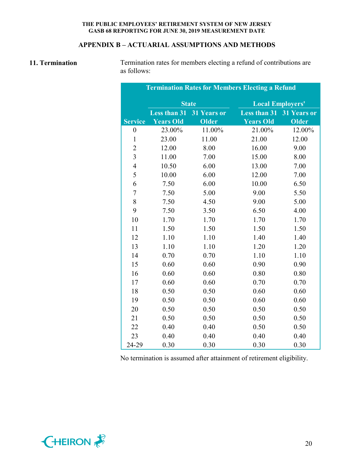## **APPENDIX B – ACTUARIAL ASSUMPTIONS AND METHODS**

11. **Termination** Termination rates for members electing a refund of contributions are as follows:

| <b>Termination Rates for Members Electing a Refund</b> |                     |                    |                         |              |  |  |
|--------------------------------------------------------|---------------------|--------------------|-------------------------|--------------|--|--|
|                                                        |                     | <b>State</b>       | <b>Local Employers'</b> |              |  |  |
|                                                        | <b>Less than 31</b> | <b>31 Years or</b> | <b>Less than 31</b>     | 31 Years or  |  |  |
| <b>Service</b>                                         | <b>Years Old</b>    | Older              | <b>Years Old</b>        | <b>Older</b> |  |  |
| $\boldsymbol{0}$                                       | 23.00%              | 11.00%             | 21.00%                  | 12.00%       |  |  |
| $\mathbf{1}$                                           | 23.00               | 11.00              | 21.00                   | 12.00        |  |  |
| $\overline{2}$                                         | 12.00               | 8.00               | 16.00                   | 9.00         |  |  |
| $\overline{3}$                                         | 11.00               | 7.00               | 15.00                   | 8.00         |  |  |
| $\overline{4}$                                         | 10.50               | 6.00               | 13.00                   | 7.00         |  |  |
| 5                                                      | 10.00               | 6.00               | 12.00                   | 7.00         |  |  |
| 6                                                      | 7.50                | 6.00               | 10.00                   | 6.50         |  |  |
| $\overline{7}$                                         | 7.50                | 5.00               | 9.00                    | 5.50         |  |  |
| 8                                                      | 7.50                | 4.50               | 9.00                    | 5.00         |  |  |
| 9                                                      | 7.50                | 3.50               | 6.50                    | 4.00         |  |  |
| 10                                                     | 1.70                | 1.70               | 1.70                    | 1.70         |  |  |
| 11                                                     | 1.50                | 1.50               | 1.50                    | 1.50         |  |  |
| 12                                                     | 1.10                | 1.10               | 1.40                    | 1.40         |  |  |
| 13                                                     | 1.10                | 1.10               | 1.20                    | 1.20         |  |  |
| 14                                                     | 0.70                | 0.70               | 1.10                    | 1.10         |  |  |
| 15                                                     | 0.60                | 0.60               | 0.90                    | 0.90         |  |  |
| 16                                                     | 0.60                | 0.60               | 0.80                    | 0.80         |  |  |
| 17                                                     | 0.60                | 0.60               | 0.70                    | 0.70         |  |  |
| 18                                                     | 0.50                | 0.50               | 0.60                    | 0.60         |  |  |
| 19                                                     | 0.50                | 0.50               | 0.60                    | 0.60         |  |  |
| 20                                                     | 0.50                | 0.50               | 0.50                    | 0.50         |  |  |
| 21                                                     | 0.50                | 0.50               | 0.50                    | 0.50         |  |  |
| 22                                                     | 0.40                | 0.40               | 0.50                    | 0.50         |  |  |
| 23                                                     | 0.40                | 0.40               | 0.40                    | 0.40         |  |  |
| 24-29                                                  | 0.30                | 0.30               | 0.30                    | 0.30         |  |  |

No termination is assumed after attainment of retirement eligibility.

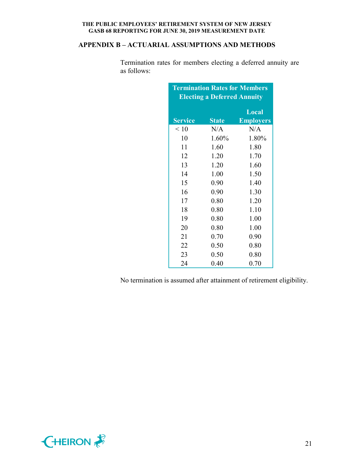## **APPENDIX B – ACTUARIAL ASSUMPTIONS AND METHODS**

| <b>Termination Rates for Members</b><br><b>Electing a Deferred Annuity</b> |              |                  |  |  |  |
|----------------------------------------------------------------------------|--------------|------------------|--|--|--|
|                                                                            |              | Local            |  |  |  |
| <b>Service</b>                                                             | <b>State</b> | <b>Employers</b> |  |  |  |
| $\leq 10$                                                                  | N/A          | N/A              |  |  |  |
| 10                                                                         | 1.60%        | 1.80%            |  |  |  |
| 11                                                                         | 1.60         | 1.80             |  |  |  |
| 12                                                                         | 1.20         | 1.70             |  |  |  |
| 13                                                                         | 1.20         | 1.60             |  |  |  |
| 14                                                                         | 1.00         | 1.50             |  |  |  |
| 15                                                                         | 0.90         | 1.40             |  |  |  |
| 16                                                                         | 0.90         | 1.30             |  |  |  |
| 17                                                                         | 0.80         | 1.20             |  |  |  |
| 18                                                                         | 0.80         | 1.10             |  |  |  |
| 19                                                                         | 0.80         | 1.00             |  |  |  |
| 20                                                                         | 0.80         | 1.00             |  |  |  |
| 21                                                                         | 0.70         | 0.90             |  |  |  |
| 22                                                                         | 0.50         | 0.80             |  |  |  |
| 23                                                                         | 0.50         | 0.80             |  |  |  |
| 24                                                                         | 0.40         | 0.70             |  |  |  |

Termination rates for members electing a deferred annuity are as follows:

No termination is assumed after attainment of retirement eligibility.

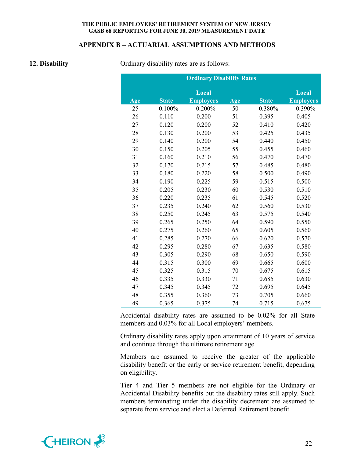#### **APPENDIX B – ACTUARIAL ASSUMPTIONS AND METHODS**

**12. Disability** Ordinary disability rates are as follows:

|     | <b>Ordinary Disability Rates</b> |                  |     |              |                  |  |  |
|-----|----------------------------------|------------------|-----|--------------|------------------|--|--|
|     |                                  | Local            |     |              | Local            |  |  |
| Age | <b>State</b>                     | <b>Employers</b> | Age | <b>State</b> | <b>Employers</b> |  |  |
| 25  | 0.100%                           | 0.200%           | 50  | 0.380%       | 0.390%           |  |  |
| 26  | 0.110                            | 0.200            | 51  | 0.395        | 0.405            |  |  |
| 27  | 0.120                            | 0.200            | 52  | 0.410        | 0.420            |  |  |
| 28  | 0.130                            | 0.200            | 53  | 0.425        | 0.435            |  |  |
| 29  | 0.140                            | 0.200            | 54  | 0.440        | 0.450            |  |  |
| 30  | 0.150                            | 0.205            | 55  | 0.455        | 0.460            |  |  |
| 31  | 0.160                            | 0.210            | 56  | 0.470        | 0.470            |  |  |
| 32  | 0.170                            | 0.215            | 57  | 0.485        | 0.480            |  |  |
| 33  | 0.180                            | 0.220            | 58  | 0.500        | 0.490            |  |  |
| 34  | 0.190                            | 0.225            | 59  | 0.515        | 0.500            |  |  |
| 35  | 0.205                            | 0.230            | 60  | 0.530        | 0.510            |  |  |
| 36  | 0.220                            | 0.235            | 61  | 0.545        | 0.520            |  |  |
| 37  | 0.235                            | 0.240            | 62  | 0.560        | 0.530            |  |  |
| 38  | 0.250                            | 0.245            | 63  | 0.575        | 0.540            |  |  |
| 39  | 0.265                            | 0.250            | 64  | 0.590        | 0.550            |  |  |
| 40  | 0.275                            | 0.260            | 65  | 0.605        | 0.560            |  |  |
| 41  | 0.285                            | 0.270            | 66  | 0.620        | 0.570            |  |  |
| 42  | 0.295                            | 0.280            | 67  | 0.635        | 0.580            |  |  |
| 43  | 0.305                            | 0.290            | 68  | 0.650        | 0.590            |  |  |
| 44  | 0.315                            | 0.300            | 69  | 0.665        | 0.600            |  |  |
| 45  | 0.325                            | 0.315            | 70  | 0.675        | 0.615            |  |  |
| 46  | 0.335                            | 0.330            | 71  | 0.685        | 0.630            |  |  |
| 47  | 0.345                            | 0.345            | 72  | 0.695        | 0.645            |  |  |
| 48  | 0.355                            | 0.360            | 73  | 0.705        | 0.660            |  |  |
| 49  | 0.365                            | 0.375            | 74  | 0.715        | 0.675            |  |  |

Accidental disability rates are assumed to be 0.02% for all State members and 0.03% for all Local employers' members.

Ordinary disability rates apply upon attainment of 10 years of service and continue through the ultimate retirement age.

Members are assumed to receive the greater of the applicable disability benefit or the early or service retirement benefit, depending on eligibility.

Tier 4 and Tier 5 members are not eligible for the Ordinary or Accidental Disability benefits but the disability rates still apply. Such members terminating under the disability decrement are assumed to separate from service and elect a Deferred Retirement benefit.

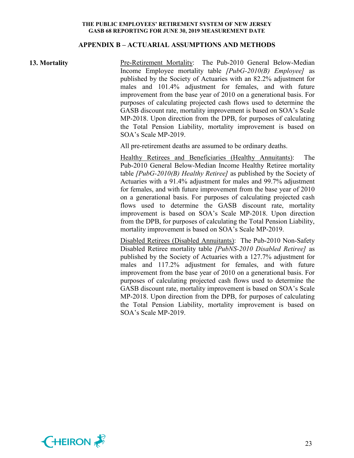#### **APPENDIX B – ACTUARIAL ASSUMPTIONS AND METHODS**

**13. Mortality Pre-Retirement Mortality:** The Pub-2010 General Below-Median Income Employee mortality table *[PubG-2010(B) Employee]* as published by the Society of Actuaries with an 82.2% adjustment for males and 101.4% adjustment for females, and with future improvement from the base year of 2010 on a generational basis. For purposes of calculating projected cash flows used to determine the GASB discount rate, mortality improvement is based on SOA's Scale MP-2018. Upon direction from the DPB, for purposes of calculating the Total Pension Liability, mortality improvement is based on SOA's Scale MP-2019.

All pre-retirement deaths are assumed to be ordinary deaths.

Healthy Retirees and Beneficiaries (Healthy Annuitants): The Pub-2010 General Below-Median Income Healthy Retiree mortality table *[PubG-2010(B) Healthy Retiree]* as published by the Society of Actuaries with a 91.4% adjustment for males and 99.7% adjustment for females, and with future improvement from the base year of 2010 on a generational basis. For purposes of calculating projected cash flows used to determine the GASB discount rate, mortality improvement is based on SOA's Scale MP-2018. Upon direction from the DPB, for purposes of calculating the Total Pension Liability, mortality improvement is based on SOA's Scale MP-2019.

Disabled Retirees (Disabled Annuitants): The Pub-2010 Non-Safety Disabled Retiree mortality table *[PubNS-2010 Disabled Retiree]* as published by the Society of Actuaries with a 127.7% adjustment for males and 117.2% adjustment for females, and with future improvement from the base year of 2010 on a generational basis. For purposes of calculating projected cash flows used to determine the GASB discount rate, mortality improvement is based on SOA's Scale MP-2018. Upon direction from the DPB, for purposes of calculating the Total Pension Liability, mortality improvement is based on SOA's Scale MP-2019.

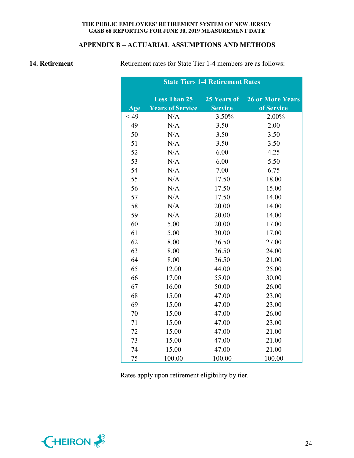## **APPENDIX B – ACTUARIAL ASSUMPTIONS AND METHODS**

**14. Retirement Retirement** rates for State Tier 1-4 members are as follows:

|        |                         |                | <b>State Tiers 1-4 Retirement Rates</b> |  |  |
|--------|-------------------------|----------------|-----------------------------------------|--|--|
|        | <b>Less Than 25</b>     | 25 Years of    | <b>26 or More Years</b>                 |  |  |
| Age    | <b>Years of Service</b> | <b>Service</b> | of Service                              |  |  |
| $<$ 49 | N/A                     | 3.50%          | 2.00%                                   |  |  |
| 49     | N/A                     | 3.50           | 2.00                                    |  |  |
| 50     | N/A                     | 3.50           | 3.50                                    |  |  |
| 51     | N/A                     | 3.50           | 3.50                                    |  |  |
| 52     | N/A                     | 6.00           | 4.25                                    |  |  |
| 53     | N/A                     | 6.00           | 5.50                                    |  |  |
| 54     | N/A                     | 7.00           | 6.75                                    |  |  |
| 55     | N/A                     | 17.50          | 18.00                                   |  |  |
| 56     | N/A                     | 17.50          | 15.00                                   |  |  |
| 57     | N/A                     | 17.50          | 14.00                                   |  |  |
| 58     | N/A                     | 20.00          | 14.00                                   |  |  |
| 59     | N/A                     | 20.00          | 14.00                                   |  |  |
| 60     | 5.00                    | 20.00          | 17.00                                   |  |  |
| 61     | 5.00                    | 30.00          | 17.00                                   |  |  |
| 62     | 8.00                    | 36.50          | 27.00                                   |  |  |
| 63     | 8.00                    | 36.50          | 24.00                                   |  |  |
| 64     | 8.00                    | 36.50          | 21.00                                   |  |  |
| 65     | 12.00                   | 44.00          | 25.00                                   |  |  |
| 66     | 17.00                   | 55.00          | 30.00                                   |  |  |
| 67     | 16.00                   | 50.00          | 26.00                                   |  |  |
| 68     | 15.00                   | 47.00          | 23.00                                   |  |  |
| 69     | 15.00                   | 47.00          | 23.00                                   |  |  |
| 70     | 15.00                   | 47.00          | 26.00                                   |  |  |
| 71     | 15.00                   | 47.00          | 23.00                                   |  |  |
| 72     | 15.00                   | 47.00          | 21.00                                   |  |  |
| 73     | 15.00                   | 47.00          | 21.00                                   |  |  |
| 74     | 15.00                   | 47.00          | 21.00                                   |  |  |
| 75     | 100.00                  | 100.00         | 100.00                                  |  |  |

Rates apply upon retirement eligibility by tier.

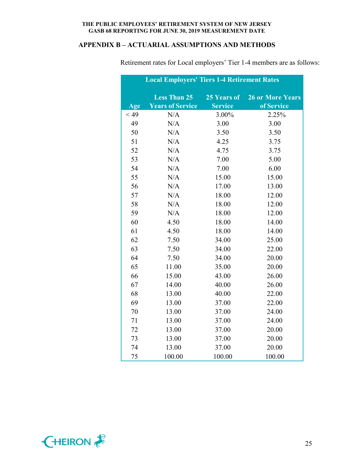## **APPENDIX B – ACTUARIAL ASSUMPTIONS AND METHODS**

|        | <b>Local Employers' Tiers 1-4 Retirement Rates</b> |                |                         |
|--------|----------------------------------------------------|----------------|-------------------------|
|        | <b>Less Than 25</b>                                | 25 Years of    | <b>26 or More Years</b> |
| Age    | <b>Years of Service</b>                            | <b>Service</b> | of Service              |
| $<$ 49 | N/A                                                | 3.00%          | 2.25%                   |
| 49     | N/A                                                | 3.00           | 3.00                    |
| 50     | N/A                                                | 3.50           | 3.50                    |
| 51     | N/A                                                | 4.25           | 3.75                    |
| 52     | N/A                                                | 4.75           | 3.75                    |
| 53     | N/A                                                | 7.00           | 5.00                    |
| 54     | N/A                                                | 7.00           | 6.00                    |
| 55     | N/A                                                | 15.00          | 15.00                   |
| 56     | N/A                                                | 17.00          | 13.00                   |
| 57     | N/A                                                | 18.00          | 12.00                   |
| 58     | N/A                                                | 18.00          | 12.00                   |
| 59     | N/A                                                | 18.00          | 12.00                   |
| 60     | 4.50                                               | 18.00          | 14.00                   |
| 61     | 4.50                                               | 18.00          | 14.00                   |
| 62     | 7.50                                               | 34.00          | 25.00                   |
| 63     | 7.50                                               | 34.00          | 22.00                   |
| 64     | 7.50                                               | 34.00          | 20.00                   |
| 65     | 11.00                                              | 35.00          | 20.00                   |
| 66     | 15.00                                              | 43.00          | 26.00                   |
| 67     | 14.00                                              | 40.00          | 26.00                   |
| 68     | 13.00                                              | 40.00          | 22.00                   |
| 69     | 13.00                                              | 37.00          | 22.00                   |
| 70     | 13.00                                              | 37.00          | 24.00                   |
| 71     | 13.00                                              | 37.00          | 24.00                   |
| 72     | 13.00                                              | 37.00          | 20.00                   |
| 73     | 13.00                                              | 37.00          | 20.00                   |
| 74     | 13.00                                              | 37.00          | 20.00                   |
| 75     | 100.00                                             | 100.00         | 100.00                  |

Retirement rates for Local employers' Tier 1-4 members are as follows:

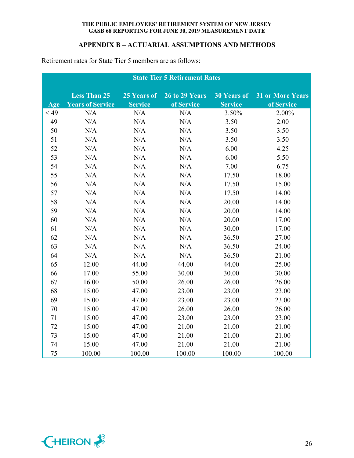## **APPENDIX B – ACTUARIAL ASSUMPTIONS AND METHODS**

|        | <b>State Tier 5 Retirement Rates</b> |                |                |                    |                         |  |
|--------|--------------------------------------|----------------|----------------|--------------------|-------------------------|--|
|        | <b>Less Than 25</b>                  | 25 Years of    | 26 to 29 Years | <b>30 Years of</b> | <b>31 or More Years</b> |  |
| Age    | <b>Years of Service</b>              | <b>Service</b> | of Service     | <b>Service</b>     | of Service              |  |
| $<$ 49 | N/A                                  | N/A            | N/A            | 3.50%              | 2.00%                   |  |
| 49     | $\rm N/A$                            | N/A            | N/A            | 3.50               | 2.00                    |  |
| 50     | N/A                                  | N/A            | N/A            | 3.50               | 3.50                    |  |
| 51     | N/A                                  | N/A            | N/A            | 3.50               | 3.50                    |  |
| 52     | $\rm N/A$                            | N/A            | N/A            | 6.00               | 4.25                    |  |
| 53     | N/A                                  | N/A            | N/A            | 6.00               | 5.50                    |  |
| 54     | N/A                                  | N/A            | N/A            | 7.00               | 6.75                    |  |
| 55     | N/A                                  | N/A            | N/A            | 17.50              | 18.00                   |  |
| 56     | N/A                                  | N/A            | N/A            | 17.50              | 15.00                   |  |
| 57     | $\rm N/A$                            | N/A            | N/A            | 17.50              | 14.00                   |  |
| 58     | $\rm N/A$                            | N/A            | N/A            | 20.00              | 14.00                   |  |
| 59     | N/A                                  | N/A            | N/A            | 20.00              | 14.00                   |  |
| 60     | N/A                                  | N/A            | N/A            | 20.00              | 17.00                   |  |
| 61     | N/A                                  | N/A            | N/A            | 30.00              | 17.00                   |  |
| 62     | N/A                                  | N/A            | N/A            | 36.50              | 27.00                   |  |
| 63     | $\rm N/A$                            | N/A            | N/A            | 36.50              | 24.00                   |  |
| 64     | N/A                                  | $\rm N/A$      | N/A            | 36.50              | 21.00                   |  |
| 65     | 12.00                                | 44.00          | 44.00          | 44.00              | 25.00                   |  |
| 66     | 17.00                                | 55.00          | 30.00          | 30.00              | 30.00                   |  |
| 67     | 16.00                                | 50.00          | 26.00          | 26.00              | 26.00                   |  |
| 68     | 15.00                                | 47.00          | 23.00          | 23.00              | 23.00                   |  |
| 69     | 15.00                                | 47.00          | 23.00          | 23.00              | 23.00                   |  |
| 70     | 15.00                                | 47.00          | 26.00          | 26.00              | 26.00                   |  |
| 71     | 15.00                                | 47.00          | 23.00          | 23.00              | 23.00                   |  |
| 72     | 15.00                                | 47.00          | 21.00          | 21.00              | 21.00                   |  |
| 73     | 15.00                                | 47.00          | 21.00          | 21.00              | 21.00                   |  |
| 74     | 15.00                                | 47.00          | 21.00          | 21.00              | 21.00                   |  |
| 75     | 100.00                               | 100.00         | 100.00         | 100.00             | 100.00                  |  |

Retirement rates for State Tier 5 members are as follows:

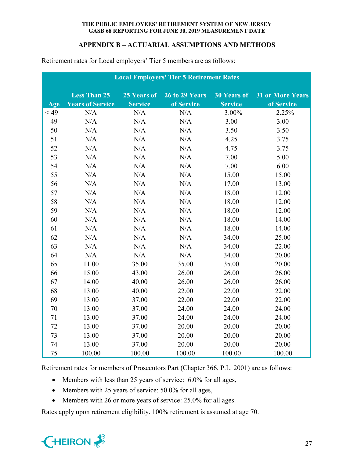## **APPENDIX B – ACTUARIAL ASSUMPTIONS AND METHODS**

| <b>Local Employers' Tier 5 Retirement Rates</b> |                         |                |                |                    |                         |  |  |
|-------------------------------------------------|-------------------------|----------------|----------------|--------------------|-------------------------|--|--|
|                                                 | <b>Less Than 25</b>     | 25 Years of    | 26 to 29 Years | <b>30 Years of</b> | <b>31 or More Years</b> |  |  |
| Age                                             | <b>Years of Service</b> | <b>Service</b> | of Service     | <b>Service</b>     | of Service              |  |  |
| $<$ 49                                          | N/A                     | N/A            | N/A            | 3.00%              | 2.25%                   |  |  |
| 49                                              | N/A                     | N/A            | N/A            | 3.00               | 3.00                    |  |  |
| 50                                              | N/A                     | N/A            | N/A            | 3.50               | 3.50                    |  |  |
| 51                                              | N/A                     | N/A            | N/A            | 4.25               | 3.75                    |  |  |
| 52                                              | N/A                     | N/A            | N/A            | 4.75               | 3.75                    |  |  |
| 53                                              | N/A                     | N/A            | N/A            | 7.00               | 5.00                    |  |  |
| 54                                              | N/A                     | N/A            | N/A            | 7.00               | 6.00                    |  |  |
| 55                                              | N/A                     | N/A            | N/A            | 15.00              | 15.00                   |  |  |
| 56                                              | N/A                     | N/A            | N/A            | 17.00              | 13.00                   |  |  |
| 57                                              | N/A                     | N/A            | N/A            | 18.00              | 12.00                   |  |  |
| 58                                              | N/A                     | N/A            | N/A            | 18.00              | 12.00                   |  |  |
| 59                                              | N/A                     | N/A            | N/A            | 18.00              | 12.00                   |  |  |
| 60                                              | N/A                     | N/A            | N/A            | 18.00              | 14.00                   |  |  |
| 61                                              | N/A                     | N/A            | N/A            | 18.00              | 14.00                   |  |  |
| 62                                              | N/A                     | N/A            | N/A            | 34.00              | 25.00                   |  |  |
| 63                                              | N/A                     | N/A            | N/A            | 34.00              | 22.00                   |  |  |
| 64                                              | N/A                     | N/A            | N/A            | 34.00              | 20.00                   |  |  |
| 65                                              | 11.00                   | 35.00          | 35.00          | 35.00              | 20.00                   |  |  |
| 66                                              | 15.00                   | 43.00          | 26.00          | 26.00              | 26.00                   |  |  |
| 67                                              | 14.00                   | 40.00          | 26.00          | 26.00              | 26.00                   |  |  |
| 68                                              | 13.00                   | 40.00          | 22.00          | 22.00              | 22.00                   |  |  |
| 69                                              | 13.00                   | 37.00          | 22.00          | 22.00              | 22.00                   |  |  |
| 70                                              | 13.00                   | 37.00          | 24.00          | 24.00              | 24.00                   |  |  |
| 71                                              | 13.00                   | 37.00          | 24.00          | 24.00              | 24.00                   |  |  |
| 72                                              | 13.00                   | 37.00          | 20.00          | 20.00              | 20.00                   |  |  |
| 73                                              | 13.00                   | 37.00          | 20.00          | 20.00              | 20.00                   |  |  |
| 74                                              | 13.00                   | 37.00          | 20.00          | 20.00              | 20.00                   |  |  |
| 75                                              | 100.00                  | 100.00         | 100.00         | 100.00             | 100.00                  |  |  |

Retirement rates for Local employers' Tier 5 members are as follows:

Retirement rates for members of Prosecutors Part (Chapter 366, P.L. 2001) are as follows:

- Members with less than 25 years of service: 6.0% for all ages,
- Members with 25 years of service: 50.0% for all ages,
- Members with 26 or more years of service: 25.0% for all ages.

Rates apply upon retirement eligibility. 100% retirement is assumed at age 70.

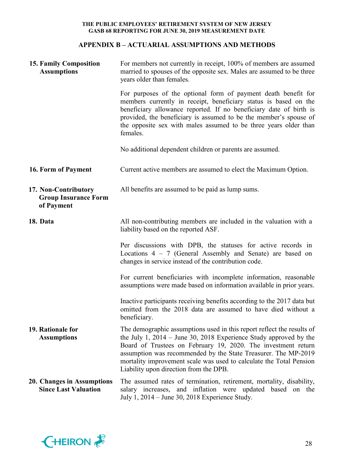## **APPENDIX B – ACTUARIAL ASSUMPTIONS AND METHODS**

| <b>15. Family Composition</b><br><b>Assumptions</b>               | For members not currently in receipt, 100% of members are assumed<br>married to spouses of the opposite sex. Males are assumed to be three<br>years older than females.                                                                                                                                                                                                                           |  |  |  |  |
|-------------------------------------------------------------------|---------------------------------------------------------------------------------------------------------------------------------------------------------------------------------------------------------------------------------------------------------------------------------------------------------------------------------------------------------------------------------------------------|--|--|--|--|
|                                                                   | For purposes of the optional form of payment death benefit for<br>members currently in receipt, beneficiary status is based on the<br>beneficiary allowance reported. If no beneficiary date of birth is<br>provided, the beneficiary is assumed to be the member's spouse of<br>the opposite sex with males assumed to be three years older than<br>females.                                     |  |  |  |  |
|                                                                   | No additional dependent children or parents are assumed.                                                                                                                                                                                                                                                                                                                                          |  |  |  |  |
| 16. Form of Payment                                               | Current active members are assumed to elect the Maximum Option.                                                                                                                                                                                                                                                                                                                                   |  |  |  |  |
| 17. Non-Contributory<br><b>Group Insurance Form</b><br>of Payment | All benefits are assumed to be paid as lump sums.                                                                                                                                                                                                                                                                                                                                                 |  |  |  |  |
| 18. Data                                                          | All non-contributing members are included in the valuation with a<br>liability based on the reported ASF.                                                                                                                                                                                                                                                                                         |  |  |  |  |
|                                                                   | Per discussions with DPB, the statuses for active records in<br>Locations $4 - 7$ (General Assembly and Senate) are based on<br>changes in service instead of the contribution code.                                                                                                                                                                                                              |  |  |  |  |
|                                                                   | For current beneficiaries with incomplete information, reasonable<br>assumptions were made based on information available in prior years.                                                                                                                                                                                                                                                         |  |  |  |  |
|                                                                   | Inactive participants receiving benefits according to the 2017 data but<br>omitted from the 2018 data are assumed to have died without a<br>beneficiary.                                                                                                                                                                                                                                          |  |  |  |  |
| 19. Rationale for<br><b>Assumptions</b>                           | The demographic assumptions used in this report reflect the results of<br>the July 1, $2014 -$ June 30, 2018 Experience Study approved by the<br>Board of Trustees on February 19, 2020. The investment return<br>assumption was recommended by the State Treasurer. The MP-2019<br>mortality improvement scale was used to calculate the Total Pension<br>Liability upon direction from the DPB. |  |  |  |  |
| 20. Changes in Assumptions<br><b>Since Last Valuation</b>         | The assumed rates of termination, retirement, mortality, disability,<br>salary increases, and inflation were updated based on the<br>July 1, 2014 – June 30, 2018 Experience Study.                                                                                                                                                                                                               |  |  |  |  |

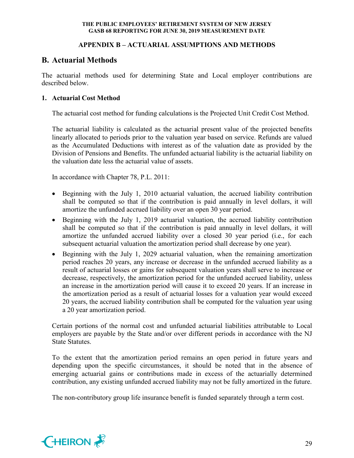## **APPENDIX B – ACTUARIAL ASSUMPTIONS AND METHODS**

## **B. Actuarial Methods**

The actuarial methods used for determining State and Local employer contributions are described below.

## **1. Actuarial Cost Method**

The actuarial cost method for funding calculations is the Projected Unit Credit Cost Method.

The actuarial liability is calculated as the actuarial present value of the projected benefits linearly allocated to periods prior to the valuation year based on service. Refunds are valued as the Accumulated Deductions with interest as of the valuation date as provided by the Division of Pensions and Benefits. The unfunded actuarial liability is the actuarial liability on the valuation date less the actuarial value of assets.

In accordance with Chapter 78, P.L. 2011:

- Beginning with the July 1, 2010 actuarial valuation, the accrued liability contribution shall be computed so that if the contribution is paid annually in level dollars, it will amortize the unfunded accrued liability over an open 30 year period.
- Beginning with the July 1, 2019 actuarial valuation, the accrued liability contribution shall be computed so that if the contribution is paid annually in level dollars, it will amortize the unfunded accrued liability over a closed 30 year period (i.e., for each subsequent actuarial valuation the amortization period shall decrease by one year).
- Beginning with the July 1, 2029 actuarial valuation, when the remaining amortization period reaches 20 years, any increase or decrease in the unfunded accrued liability as a result of actuarial losses or gains for subsequent valuation years shall serve to increase or decrease, respectively, the amortization period for the unfunded accrued liability, unless an increase in the amortization period will cause it to exceed 20 years. If an increase in the amortization period as a result of actuarial losses for a valuation year would exceed 20 years, the accrued liability contribution shall be computed for the valuation year using a 20 year amortization period.

Certain portions of the normal cost and unfunded actuarial liabilities attributable to Local employers are payable by the State and/or over different periods in accordance with the NJ State Statutes.

To the extent that the amortization period remains an open period in future years and depending upon the specific circumstances, it should be noted that in the absence of emerging actuarial gains or contributions made in excess of the actuarially determined contribution, any existing unfunded accrued liability may not be fully amortized in the future.

The non-contributory group life insurance benefit is funded separately through a term cost.

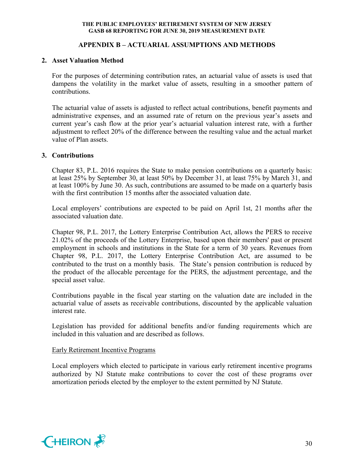## **APPENDIX B – ACTUARIAL ASSUMPTIONS AND METHODS**

#### **2. Asset Valuation Method**

For the purposes of determining contribution rates, an actuarial value of assets is used that dampens the volatility in the market value of assets, resulting in a smoother pattern of contributions.

The actuarial value of assets is adjusted to reflect actual contributions, benefit payments and administrative expenses, and an assumed rate of return on the previous year's assets and current year's cash flow at the prior year's actuarial valuation interest rate, with a further adjustment to reflect 20% of the difference between the resulting value and the actual market value of Plan assets.

#### **3. Contributions**

Chapter 83, P.L. 2016 requires the State to make pension contributions on a quarterly basis: at least 25% by September 30, at least 50% by December 31, at least 75% by March 31, and at least 100% by June 30. As such, contributions are assumed to be made on a quarterly basis with the first contribution 15 months after the associated valuation date.

Local employers' contributions are expected to be paid on April 1st, 21 months after the associated valuation date.

Chapter 98, P.L. 2017, the Lottery Enterprise Contribution Act, allows the PERS to receive 21.02% of the proceeds of the Lottery Enterprise, based upon their members' past or present employment in schools and institutions in the State for a term of 30 years. Revenues from Chapter 98, P.L. 2017, the Lottery Enterprise Contribution Act, are assumed to be contributed to the trust on a monthly basis. The State's pension contribution is reduced by the product of the allocable percentage for the PERS, the adjustment percentage, and the special asset value.

Contributions payable in the fiscal year starting on the valuation date are included in the actuarial value of assets as receivable contributions, discounted by the applicable valuation interest rate.

Legislation has provided for additional benefits and/or funding requirements which are included in this valuation and are described as follows.

#### Early Retirement Incentive Programs

Local employers which elected to participate in various early retirement incentive programs authorized by NJ Statute make contributions to cover the cost of these programs over amortization periods elected by the employer to the extent permitted by NJ Statute.

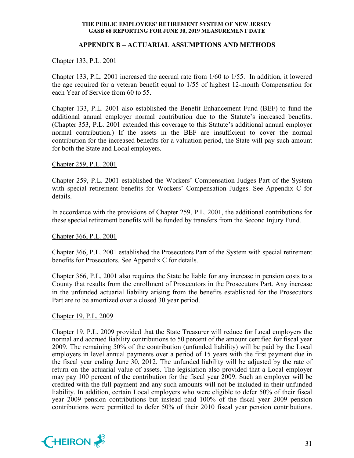### **APPENDIX B – ACTUARIAL ASSUMPTIONS AND METHODS**

## Chapter 133, P.L. 2001

Chapter 133, P.L. 2001 increased the accrual rate from 1/60 to 1/55. In addition, it lowered the age required for a veteran benefit equal to 1/55 of highest 12-month Compensation for each Year of Service from 60 to 55.

Chapter 133, P.L. 2001 also established the Benefit Enhancement Fund (BEF) to fund the additional annual employer normal contribution due to the Statute's increased benefits. (Chapter 353, P.L. 2001 extended this coverage to this Statute's additional annual employer normal contribution.) If the assets in the BEF are insufficient to cover the normal contribution for the increased benefits for a valuation period, the State will pay such amount for both the State and Local employers.

#### Chapter 259, P.L. 2001

Chapter 259, P.L. 2001 established the Workers' Compensation Judges Part of the System with special retirement benefits for Workers' Compensation Judges. See Appendix C for details.

In accordance with the provisions of Chapter 259, P.L. 2001, the additional contributions for these special retirement benefits will be funded by transfers from the Second Injury Fund.

#### Chapter 366, P.L. 2001

Chapter 366, P.L. 2001 established the Prosecutors Part of the System with special retirement benefits for Prosecutors. See Appendix C for details.

Chapter 366, P.L. 2001 also requires the State be liable for any increase in pension costs to a County that results from the enrollment of Prosecutors in the Prosecutors Part. Any increase in the unfunded actuarial liability arising from the benefits established for the Prosecutors Part are to be amortized over a closed 30 year period.

#### Chapter 19, P.L. 2009

Chapter 19, P.L. 2009 provided that the State Treasurer will reduce for Local employers the normal and accrued liability contributions to 50 percent of the amount certified for fiscal year 2009. The remaining 50% of the contribution (unfunded liability) will be paid by the Local employers in level annual payments over a period of 15 years with the first payment due in the fiscal year ending June 30, 2012. The unfunded liability will be adjusted by the rate of return on the actuarial value of assets. The legislation also provided that a Local employer may pay 100 percent of the contribution for the fiscal year 2009. Such an employer will be credited with the full payment and any such amounts will not be included in their unfunded liability. In addition, certain Local employers who were eligible to defer 50% of their fiscal year 2009 pension contributions but instead paid 100% of the fiscal year 2009 pension contributions were permitted to defer 50% of their 2010 fiscal year pension contributions.

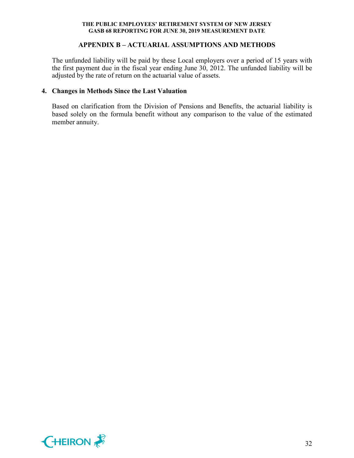### **APPENDIX B – ACTUARIAL ASSUMPTIONS AND METHODS**

The unfunded liability will be paid by these Local employers over a period of 15 years with the first payment due in the fiscal year ending June 30, 2012. The unfunded liability will be adjusted by the rate of return on the actuarial value of assets.

## **4. Changes in Methods Since the Last Valuation**

Based on clarification from the Division of Pensions and Benefits, the actuarial liability is based solely on the formula benefit without any comparison to the value of the estimated member annuity.

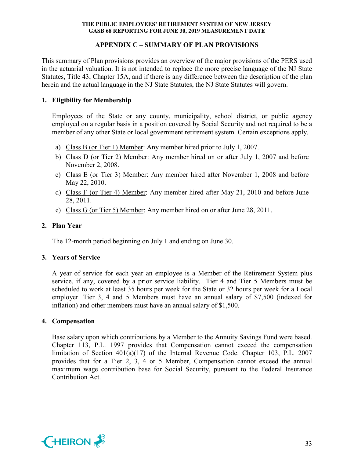## **APPENDIX C – SUMMARY OF PLAN PROVISIONS**

This summary of Plan provisions provides an overview of the major provisions of the PERS used in the actuarial valuation. It is not intended to replace the more precise language of the NJ State Statutes, Title 43, Chapter 15A, and if there is any difference between the description of the plan herein and the actual language in the NJ State Statutes, the NJ State Statutes will govern.

## **1. Eligibility for Membership**

Employees of the State or any county, municipality, school district, or public agency employed on a regular basis in a position covered by Social Security and not required to be a member of any other State or local government retirement system. Certain exceptions apply.

- a) Class B (or Tier 1) Member: Any member hired prior to July 1, 2007.
- b) Class D (or Tier 2) Member: Any member hired on or after July 1, 2007 and before November 2, 2008.
- c) Class E (or Tier 3) Member: Any member hired after November 1, 2008 and before May 22, 2010.
- d) Class F (or Tier 4) Member: Any member hired after May 21, 2010 and before June 28, 2011.
- e) Class G (or Tier 5) Member: Any member hired on or after June 28, 2011.

## **2. Plan Year**

The 12-month period beginning on July 1 and ending on June 30.

#### **3. Years of Service**

A year of service for each year an employee is a Member of the Retirement System plus service, if any, covered by a prior service liability. Tier 4 and Tier 5 Members must be scheduled to work at least 35 hours per week for the State or 32 hours per week for a Local employer. Tier 3, 4 and 5 Members must have an annual salary of \$7,500 (indexed for inflation) and other members must have an annual salary of \$1,500.

#### **4. Compensation**

Base salary upon which contributions by a Member to the Annuity Savings Fund were based. Chapter 113, P.L. 1997 provides that Compensation cannot exceed the compensation limitation of Section 401(a)(17) of the Internal Revenue Code. Chapter 103, P.L. 2007 provides that for a Tier 2, 3, 4 or 5 Member, Compensation cannot exceed the annual maximum wage contribution base for Social Security, pursuant to the Federal Insurance Contribution Act.

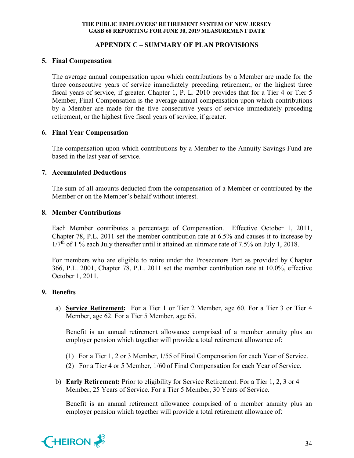## **APPENDIX C – SUMMARY OF PLAN PROVISIONS**

## **5. Final Compensation**

The average annual compensation upon which contributions by a Member are made for the three consecutive years of service immediately preceding retirement, or the highest three fiscal years of service, if greater. Chapter 1, P. L. 2010 provides that for a Tier 4 or Tier 5 Member, Final Compensation is the average annual compensation upon which contributions by a Member are made for the five consecutive years of service immediately preceding retirement, or the highest five fiscal years of service, if greater.

## **6. Final Year Compensation**

The compensation upon which contributions by a Member to the Annuity Savings Fund are based in the last year of service.

## **7. Accumulated Deductions**

The sum of all amounts deducted from the compensation of a Member or contributed by the Member or on the Member's behalf without interest.

## **8. Member Contributions**

Each Member contributes a percentage of Compensation. Effective October 1, 2011, Chapter 78, P.L. 2011 set the member contribution rate at 6.5% and causes it to increase by  $1/7<sup>th</sup>$  of 1 % each July thereafter until it attained an ultimate rate of 7.5% on July 1, 2018.

For members who are eligible to retire under the Prosecutors Part as provided by Chapter 366, P.L. 2001, Chapter 78, P.L. 2011 set the member contribution rate at 10.0%, effective October 1, 2011.

## **9. Benefits**

a) **Service Retirement:** For a Tier 1 or Tier 2 Member, age 60. For a Tier 3 or Tier 4 Member, age 62. For a Tier 5 Member, age 65.

Benefit is an annual retirement allowance comprised of a member annuity plus an employer pension which together will provide a total retirement allowance of:

- (1) For a Tier 1, 2 or 3 Member, 1/55 of Final Compensation for each Year of Service.
- (2) For a Tier 4 or 5 Member, 1/60 of Final Compensation for each Year of Service.
- b) **Early Retirement:** Prior to eligibility for Service Retirement. For a Tier 1, 2, 3 or 4 Member, 25 Years of Service. For a Tier 5 Member, 30 Years of Service.

Benefit is an annual retirement allowance comprised of a member annuity plus an employer pension which together will provide a total retirement allowance of:

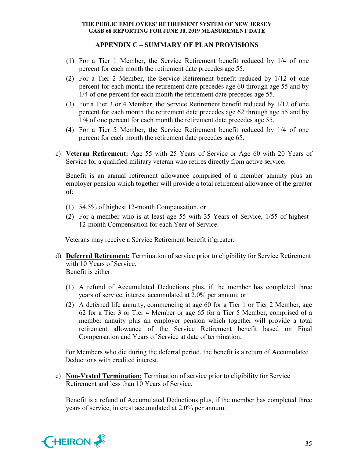## **APPENDIX C – SUMMARY OF PLAN PROVISIONS**

- (1) For a Tier 1 Member, the Service Retirement benefit reduced by 1/4 of one percent for each month the retirement date precedes age 55.
- (2) For a Tier 2 Member, the Service Retirement benefit reduced by 1/12 of one percent for each month the retirement date precedes age 60 through age 55 and by 1/4 of one percent for each month the retirement date precedes age 55.
- (3) For a Tier 3 or 4 Member, the Service Retirement benefit reduced by 1/12 of one percent for each month the retirement date precedes age 62 through age 55 and by 1/4 of one percent for each month the retirement date precedes age 55.
- (4) For a Tier 5 Member, the Service Retirement benefit reduced by 1/4 of one percent for each month the retirement date precedes age 65.
- c) **Veteran Retirement:** Age 55 with 25 Years of Service or Age 60 with 20 Years of Service for a qualified military veteran who retires directly from active service.

Benefit is an annual retirement allowance comprised of a member annuity plus an employer pension which together will provide a total retirement allowance of the greater of:

- (1) 54.5% of highest 12-month Compensation, or
- (2) For a member who is at least age 55 with 35 Years of Service, 1/55 of highest 12-month Compensation for each Year of Service.

Veterans may receive a Service Retirement benefit if greater.

- d) **Deferred Retirement:** Termination of service prior to eligibility for Service Retirement with 10 Years of Service. Benefit is either:
	- (1) A refund of Accumulated Deductions plus, if the member has completed three years of service, interest accumulated at 2.0% per annum; or
	- (2) A deferred life annuity, commencing at age 60 for a Tier 1 or Tier 2 Member, age 62 for a Tier 3 or Tier 4 Member or age 65 for a Tier 5 Member, comprised of a member annuity plus an employer pension which together will provide a total retirement allowance of the Service Retirement benefit based on Final Compensation and Years of Service at date of termination.

For Members who die during the deferral period, the benefit is a return of Accumulated Deductions with credited interest.

e) **Non-Vested Termination:** Termination of service prior to eligibility for Service Retirement and less than 10 Years of Service.

Benefit is a refund of Accumulated Deductions plus, if the member has completed three years of service, interest accumulated at 2.0% per annum.

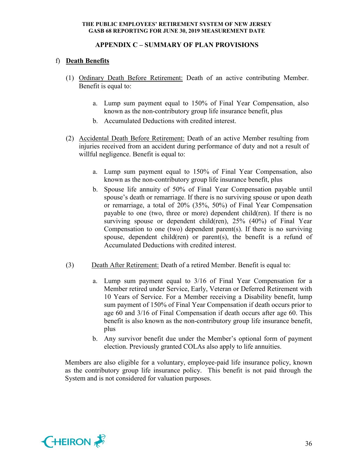## **APPENDIX C – SUMMARY OF PLAN PROVISIONS**

## f) **Death Benefits**

- (1) Ordinary Death Before Retirement: Death of an active contributing Member. Benefit is equal to:
	- a. Lump sum payment equal to 150% of Final Year Compensation, also known as the non-contributory group life insurance benefit, plus
	- b. Accumulated Deductions with credited interest.
- (2) Accidental Death Before Retirement: Death of an active Member resulting from injuries received from an accident during performance of duty and not a result of willful negligence. Benefit is equal to:
	- a. Lump sum payment equal to 150% of Final Year Compensation, also known as the non-contributory group life insurance benefit, plus
	- b. Spouse life annuity of 50% of Final Year Compensation payable until spouse's death or remarriage. If there is no surviving spouse or upon death or remarriage, a total of 20% (35%, 50%) of Final Year Compensation payable to one (two, three or more) dependent child(ren). If there is no surviving spouse or dependent child(ren), 25% (40%) of Final Year Compensation to one (two) dependent parent(s). If there is no surviving spouse, dependent child(ren) or parent(s), the benefit is a refund of Accumulated Deductions with credited interest.
- (3) Death After Retirement: Death of a retired Member. Benefit is equal to:
	- a. Lump sum payment equal to 3/16 of Final Year Compensation for a Member retired under Service, Early, Veteran or Deferred Retirement with 10 Years of Service. For a Member receiving a Disability benefit, lump sum payment of 150% of Final Year Compensation if death occurs prior to age 60 and 3/16 of Final Compensation if death occurs after age 60. This benefit is also known as the non-contributory group life insurance benefit, plus
	- b. Any survivor benefit due under the Member's optional form of payment election. Previously granted COLAs also apply to life annuities.

Members are also eligible for a voluntary, employee-paid life insurance policy, known as the contributory group life insurance policy. This benefit is not paid through the System and is not considered for valuation purposes.

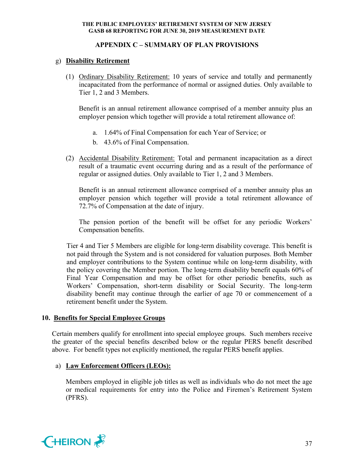## **APPENDIX C – SUMMARY OF PLAN PROVISIONS**

## g) **Disability Retirement**

(1) Ordinary Disability Retirement: 10 years of service and totally and permanently incapacitated from the performance of normal or assigned duties. Only available to Tier 1, 2 and 3 Members.

Benefit is an annual retirement allowance comprised of a member annuity plus an employer pension which together will provide a total retirement allowance of:

- a. 1.64% of Final Compensation for each Year of Service; or
- b. 43.6% of Final Compensation.
- (2) Accidental Disability Retirement: Total and permanent incapacitation as a direct result of a traumatic event occurring during and as a result of the performance of regular or assigned duties. Only available to Tier 1, 2 and 3 Members.

Benefit is an annual retirement allowance comprised of a member annuity plus an employer pension which together will provide a total retirement allowance of 72.7% of Compensation at the date of injury.

The pension portion of the benefit will be offset for any periodic Workers' Compensation benefits.

Tier 4 and Tier 5 Members are eligible for long-term disability coverage. This benefit is not paid through the System and is not considered for valuation purposes. Both Member and employer contributions to the System continue while on long-term disability, with the policy covering the Member portion. The long-term disability benefit equals 60% of Final Year Compensation and may be offset for other periodic benefits, such as Workers' Compensation, short-term disability or Social Security. The long-term disability benefit may continue through the earlier of age 70 or commencement of a retirement benefit under the System.

#### **10. Benefits for Special Employee Groups**

Certain members qualify for enrollment into special employee groups. Such members receive the greater of the special benefits described below or the regular PERS benefit described above. For benefit types not explicitly mentioned, the regular PERS benefit applies.

#### a) **Law Enforcement Officers (LEOs):**

Members employed in eligible job titles as well as individuals who do not meet the age or medical requirements for entry into the Police and Firemen's Retirement System (PFRS).

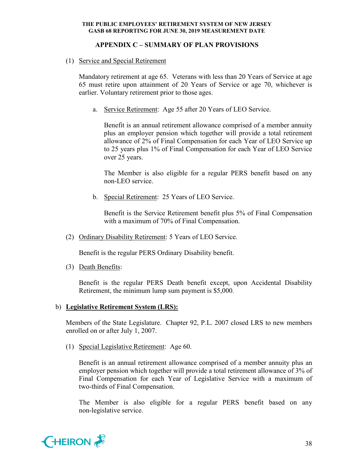## **APPENDIX C – SUMMARY OF PLAN PROVISIONS**

(1) Service and Special Retirement

Mandatory retirement at age 65. Veterans with less than 20 Years of Service at age 65 must retire upon attainment of 20 Years of Service or age 70, whichever is earlier. Voluntary retirement prior to those ages.

a. Service Retirement: Age 55 after 20 Years of LEO Service.

Benefit is an annual retirement allowance comprised of a member annuity plus an employer pension which together will provide a total retirement allowance of 2% of Final Compensation for each Year of LEO Service up to 25 years plus 1% of Final Compensation for each Year of LEO Service over 25 years.

The Member is also eligible for a regular PERS benefit based on any non-LEO service.

b. Special Retirement: 25 Years of LEO Service.

Benefit is the Service Retirement benefit plus 5% of Final Compensation with a maximum of 70% of Final Compensation.

(2) Ordinary Disability Retirement: 5 Years of LEO Service.

Benefit is the regular PERS Ordinary Disability benefit.

(3) Death Benefits:

Benefit is the regular PERS Death benefit except, upon Accidental Disability Retirement, the minimum lump sum payment is \$5,000.

#### b) **Legislative Retirement System (LRS):**

Members of the State Legislature. Chapter 92, P.L. 2007 closed LRS to new members enrolled on or after July 1, 2007.

(1) Special Legislative Retirement: Age 60.

Benefit is an annual retirement allowance comprised of a member annuity plus an employer pension which together will provide a total retirement allowance of 3% of Final Compensation for each Year of Legislative Service with a maximum of two-thirds of Final Compensation.

The Member is also eligible for a regular PERS benefit based on any non-legislative service.

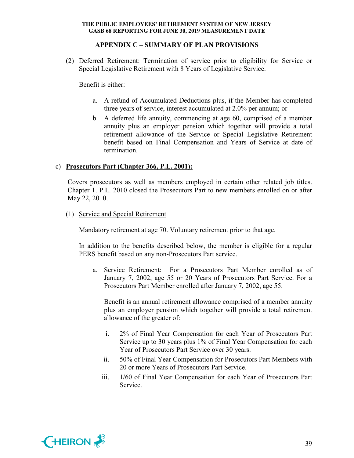## **APPENDIX C – SUMMARY OF PLAN PROVISIONS**

(2) Deferred Retirement: Termination of service prior to eligibility for Service or Special Legislative Retirement with 8 Years of Legislative Service.

Benefit is either:

- a. A refund of Accumulated Deductions plus, if the Member has completed three years of service, interest accumulated at 2.0% per annum; or
- b. A deferred life annuity, commencing at age 60, comprised of a member annuity plus an employer pension which together will provide a total retirement allowance of the Service or Special Legislative Retirement benefit based on Final Compensation and Years of Service at date of termination.

#### c) **Prosecutors Part (Chapter 366, P.L. 2001):**

Covers prosecutors as well as members employed in certain other related job titles. Chapter 1. P.L. 2010 closed the Prosecutors Part to new members enrolled on or after May 22, 2010.

(1) Service and Special Retirement

Mandatory retirement at age 70. Voluntary retirement prior to that age.

In addition to the benefits described below, the member is eligible for a regular PERS benefit based on any non-Prosecutors Part service.

a. Service Retirement: For a Prosecutors Part Member enrolled as of January 7, 2002, age 55 or 20 Years of Prosecutors Part Service. For a Prosecutors Part Member enrolled after January 7, 2002, age 55.

Benefit is an annual retirement allowance comprised of a member annuity plus an employer pension which together will provide a total retirement allowance of the greater of:

- i. 2% of Final Year Compensation for each Year of Prosecutors Part Service up to 30 years plus 1% of Final Year Compensation for each Year of Prosecutors Part Service over 30 years.
- ii. 50% of Final Year Compensation for Prosecutors Part Members with 20 or more Years of Prosecutors Part Service.
- iii. 1/60 of Final Year Compensation for each Year of Prosecutors Part Service.

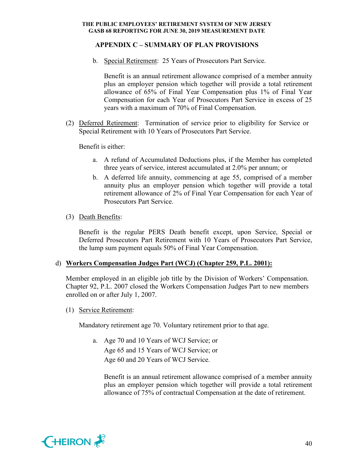## **APPENDIX C – SUMMARY OF PLAN PROVISIONS**

b. Special Retirement: 25 Years of Prosecutors Part Service.

Benefit is an annual retirement allowance comprised of a member annuity plus an employer pension which together will provide a total retirement allowance of 65% of Final Year Compensation plus 1% of Final Year Compensation for each Year of Prosecutors Part Service in excess of 25 years with a maximum of 70% of Final Compensation.

(2) Deferred Retirement: Termination of service prior to eligibility for Service or Special Retirement with 10 Years of Prosecutors Part Service.

Benefit is either:

- a. A refund of Accumulated Deductions plus, if the Member has completed three years of service, interest accumulated at 2.0% per annum; or
- b. A deferred life annuity, commencing at age 55, comprised of a member annuity plus an employer pension which together will provide a total retirement allowance of 2% of Final Year Compensation for each Year of Prosecutors Part Service.
- (3) Death Benefits:

Benefit is the regular PERS Death benefit except, upon Service, Special or Deferred Prosecutors Part Retirement with 10 Years of Prosecutors Part Service, the lump sum payment equals 50% of Final Year Compensation.

#### d) **Workers Compensation Judges Part (WCJ) (Chapter 259, P.L. 2001):**

Member employed in an eligible job title by the Division of Workers' Compensation. Chapter 92, P.L. 2007 closed the Workers Compensation Judges Part to new members enrolled on or after July 1, 2007.

(1) Service Retirement:

Mandatory retirement age 70. Voluntary retirement prior to that age.

a. Age 70 and 10 Years of WCJ Service; or Age 65 and 15 Years of WCJ Service; or Age 60 and 20 Years of WCJ Service.

Benefit is an annual retirement allowance comprised of a member annuity plus an employer pension which together will provide a total retirement allowance of 75% of contractual Compensation at the date of retirement.

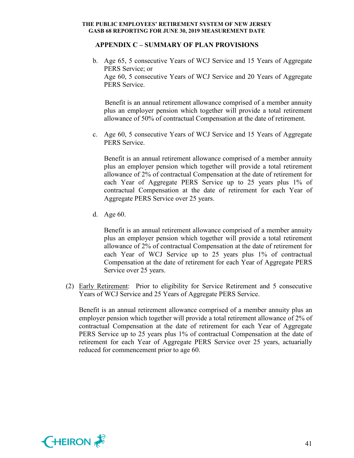#### **APPENDIX C – SUMMARY OF PLAN PROVISIONS**

b. Age 65, 5 consecutive Years of WCJ Service and 15 Years of Aggregate PERS Service; or Age 60, 5 consecutive Years of WCJ Service and 20 Years of Aggregate PERS Service.

 Benefit is an annual retirement allowance comprised of a member annuity plus an employer pension which together will provide a total retirement allowance of 50% of contractual Compensation at the date of retirement.

c. Age 60, 5 consecutive Years of WCJ Service and 15 Years of Aggregate PERS Service.

Benefit is an annual retirement allowance comprised of a member annuity plus an employer pension which together will provide a total retirement allowance of 2% of contractual Compensation at the date of retirement for each Year of Aggregate PERS Service up to 25 years plus 1% of contractual Compensation at the date of retirement for each Year of Aggregate PERS Service over 25 years.

d. Age 60.

Benefit is an annual retirement allowance comprised of a member annuity plus an employer pension which together will provide a total retirement allowance of 2% of contractual Compensation at the date of retirement for each Year of WCJ Service up to 25 years plus 1% of contractual Compensation at the date of retirement for each Year of Aggregate PERS Service over 25 years.

(2) Early Retirement: Prior to eligibility for Service Retirement and 5 consecutive Years of WCJ Service and 25 Years of Aggregate PERS Service.

Benefit is an annual retirement allowance comprised of a member annuity plus an employer pension which together will provide a total retirement allowance of 2% of contractual Compensation at the date of retirement for each Year of Aggregate PERS Service up to 25 years plus 1% of contractual Compensation at the date of retirement for each Year of Aggregate PERS Service over 25 years, actuarially reduced for commencement prior to age 60.

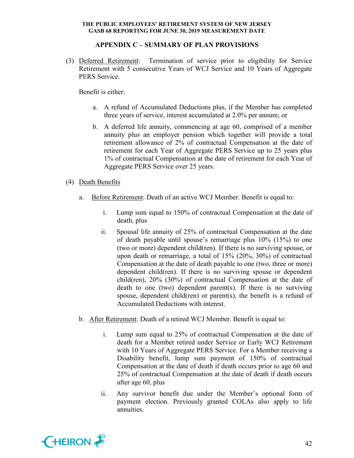## **APPENDIX C – SUMMARY OF PLAN PROVISIONS**

(3) Deferred Retirement: Termination of service prior to eligibility for Service Retirement with 5 consecutive Years of WCJ Service and 10 Years of Aggregate PERS Service.

Benefit is either:

- a. A refund of Accumulated Deductions plus, if the Member has completed three years of service, interest accumulated at 2.0% per annum; or
- b. A deferred life annuity, commencing at age 60, comprised of a member annuity plus an employer pension which together will provide a total retirement allowance of 2% of contractual Compensation at the date of retirement for each Year of Aggregate PERS Service up to 25 years plus 1% of contractual Compensation at the date of retirement for each Year of Aggregate PERS Service over 25 years.

## (4) Death Benefits

- a. Before Retirement: Death of an active WCJ Member. Benefit is equal to:
	- i. Lump sum equal to 150% of contractual Compensation at the date of death, plus
	- ii. Spousal life annuity of 25% of contractual Compensation at the date of death payable until spouse's remarriage plus 10% (15%) to one (two or more) dependent child(ren). If there is no surviving spouse, or upon death or remarriage, a total of 15% (20%, 30%) of contractual Compensation at the date of death payable to one (two, three or more) dependent child(ren). If there is no surviving spouse or dependent child(ren), 20% (30%) of contractual Compensation at the date of death to one (two) dependent parent(s). If there is no surviving spouse, dependent child(ren) or parent(s), the benefit is a refund of Accumulated Deductions with interest.
- b. After Retirement: Death of a retired WCJ Member. Benefit is equal to:
	- i. Lump sum equal to 25% of contractual Compensation at the date of death for a Member retired under Service or Early WCJ Retirement with 10 Years of Aggregate PERS Service. For a Member receiving a Disability benefit, lump sum payment of 150% of contractual Compensation at the date of death if death occurs prior to age 60 and 25% of contractual Compensation at the date of death if death occurs after age 60, plus
	- ii. Any survivor benefit due under the Member's optional form of payment election. Previously granted COLAs also apply to life annuities.

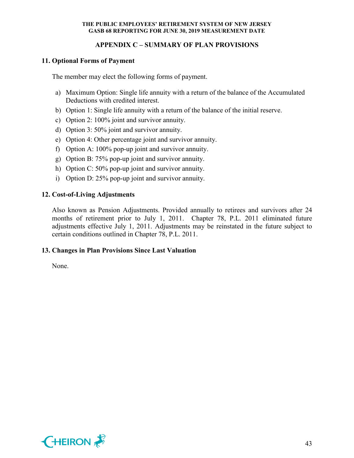## **APPENDIX C – SUMMARY OF PLAN PROVISIONS**

## **11. Optional Forms of Payment**

The member may elect the following forms of payment.

- a) Maximum Option: Single life annuity with a return of the balance of the Accumulated Deductions with credited interest.
- b) Option 1: Single life annuity with a return of the balance of the initial reserve.
- c) Option 2: 100% joint and survivor annuity.
- d) Option 3: 50% joint and survivor annuity.
- e) Option 4: Other percentage joint and survivor annuity.
- f) Option A: 100% pop-up joint and survivor annuity.
- g) Option B: 75% pop-up joint and survivor annuity.
- h) Option C: 50% pop-up joint and survivor annuity.
- i) Option D: 25% pop-up joint and survivor annuity.

## **12. Cost-of-Living Adjustments**

Also known as Pension Adjustments. Provided annually to retirees and survivors after 24 months of retirement prior to July 1, 2011. Chapter 78, P.L. 2011 eliminated future adjustments effective July 1, 2011. Adjustments may be reinstated in the future subject to certain conditions outlined in Chapter 78, P.L. 2011.

#### **13. Changes in Plan Provisions Since Last Valuation**

None.

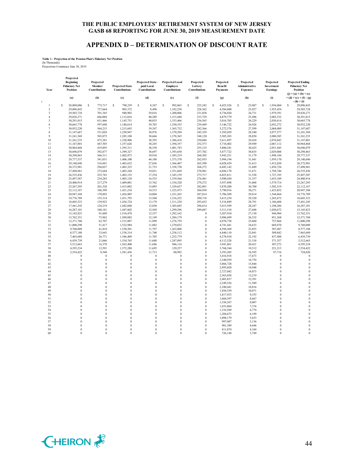#### **APPENDIX D – DETERMINATION OF DISCOUNT RATE**

# **Table 1 - Projection of the Pension Plan's Fiduciary Net Position** (In Thousands) Projections Commence June 30, 2019

| (b)<br>(a)<br>(c)<br>ċ<br>28,809,086<br>s<br>s<br>798,239<br>$\mathbf{1}$<br>\$.<br>775,717<br>$\overline{2}$<br>29,096,843<br>737,664<br>903,372<br>29,503,724<br>701,345<br>940,902<br>$\overline{\mathbf{3}}$<br>666,004<br>$\overline{4}$<br>29,826,271<br>1,112,016<br>30,291,015<br>631.466<br>5<br>1,145,751<br>597,698<br>30,665,778<br>1,180,614<br>6<br>$\overline{7}$<br>30,952,220<br>564,215<br>1,215,693<br>8<br>531,028<br>1,250,947<br>31,147,687<br>503,075<br>$\mathbf Q$<br>31,241,569<br>1,285,188<br>10<br>31,241,235<br>475,281<br>1,320,906<br>447,505<br>11<br>31,147,801<br>1,357,626<br>12<br>30,964,868<br>419,895<br>1,395,311 | <b>Projected State-</b><br><b>Projected State</b><br>paid Local<br><b>Contributions</b><br>Contributions | <b>Projected Local</b><br>Employer<br>Contributions | Projected<br>Lottery<br>Contributions | Projected<br><b>Benefit</b><br>Payments | Projected<br>Administrative<br><b>Expenses</b> | Projected<br>Investment<br><b>Earnings</b> | <b>Projected Ending</b><br><b>Fiduciary Net</b><br><b>Position</b><br>$(j) = (a) + (b) + (c)$ |
|------------------------------------------------------------------------------------------------------------------------------------------------------------------------------------------------------------------------------------------------------------------------------------------------------------------------------------------------------------------------------------------------------------------------------------------------------------------------------------------------------------------------------------------------------------------------------------------------------------------------------------------------------------|----------------------------------------------------------------------------------------------------------|-----------------------------------------------------|---------------------------------------|-----------------------------------------|------------------------------------------------|--------------------------------------------|-----------------------------------------------------------------------------------------------|
|                                                                                                                                                                                                                                                                                                                                                                                                                                                                                                                                                                                                                                                            | (d)                                                                                                      | (e)                                                 | (f)                                   | (g)                                     | (h)                                            | (i)                                        | $+(d)+(e)+(f)-(g)$<br>$-(h) + (i)$                                                            |
|                                                                                                                                                                                                                                                                                                                                                                                                                                                                                                                                                                                                                                                            | s<br>8,247                                                                                               | s<br>992,863                                        | S<br>225,245                          | S<br>4,425,526                          | s<br>23,087                                    | S<br>1,936,060                             | s<br>29,096,843                                                                               |
|                                                                                                                                                                                                                                                                                                                                                                                                                                                                                                                                                                                                                                                            | 8,498                                                                                                    | 1,182,258                                           | 228,362                               | 4,584,800                               | 23,927                                         | 1,955,454                                  | 29,503,724                                                                                    |
|                                                                                                                                                                                                                                                                                                                                                                                                                                                                                                                                                                                                                                                            | 29,816                                                                                                   | 1,200,806                                           | 231,038                               | 4,736,020                               | 24,731                                         | 1,979,391                                  | 29,826,271                                                                                    |
|                                                                                                                                                                                                                                                                                                                                                                                                                                                                                                                                                                                                                                                            | 40,289                                                                                                   | 1,315,448                                           | 233,729                               | 4,879,779                               | 25,496                                         | 2,002,532                                  | 30,291,015                                                                                    |
|                                                                                                                                                                                                                                                                                                                                                                                                                                                                                                                                                                                                                                                            | 40.035                                                                                                   | 1,333,466                                           | 236,565                               | 5,016,705                               | 26,229                                         | 2,030,414                                  | 30,665,778                                                                                    |
|                                                                                                                                                                                                                                                                                                                                                                                                                                                                                                                                                                                                                                                            | 39,703                                                                                                   | 1,350,355                                           | 239,449                               | 5,146,722                               | 26,926                                         | 2,052,272                                  | 30,952,220                                                                                    |
|                                                                                                                                                                                                                                                                                                                                                                                                                                                                                                                                                                                                                                                            | 39,347                                                                                                   | 1,365,732                                           | 242,366                               | 5,272,376                               | 27,599                                         | 2,068,089                                  | 31,147,687                                                                                    |
|                                                                                                                                                                                                                                                                                                                                                                                                                                                                                                                                                                                                                                                            | 38,976                                                                                                   | 1,370,294                                           | 245,329                               | 5,392,029                               | 28,240                                         | 2,077,577                                  | 31,241,569                                                                                    |
|                                                                                                                                                                                                                                                                                                                                                                                                                                                                                                                                                                                                                                                            | 38,666                                                                                                   | 1,378,365                                           | 248,120                               | 5,505,283                               | 28,850                                         | 2,080,385                                  | 31,241,235                                                                                    |
|                                                                                                                                                                                                                                                                                                                                                                                                                                                                                                                                                                                                                                                            | 38,393                                                                                                   | 1,386,418                                           | 250,046                               | 5,611,897                               | 29,424                                         | 2,076,843                                  | 31,147,801                                                                                    |
|                                                                                                                                                                                                                                                                                                                                                                                                                                                                                                                                                                                                                                                            | 38,245                                                                                                   | 1,394,357                                           | 252,573                               | 5,710,402                               | 29,949                                         | 2,067,112                                  | 30,964,868                                                                                    |
|                                                                                                                                                                                                                                                                                                                                                                                                                                                                                                                                                                                                                                                            | 38,358                                                                                                   | 1,401,743                                           | 255,125                               | 5,800,241                               | 30,425                                         | 2,051,445                                  | 30,696,079                                                                                    |
| 392,877<br>13<br>30,696,079<br>1,399,327                                                                                                                                                                                                                                                                                                                                                                                                                                                                                                                                                                                                                   | 38,697                                                                                                   | 1,393,650                                           | 257,702                               | 5,877,722                               | 30,835                                         | 2,029,088                                  | 30,298,863                                                                                    |
| 14<br>30,298,863<br>366,511<br>1,402,973                                                                                                                                                                                                                                                                                                                                                                                                                                                                                                                                                                                                                   | 39,910                                                                                                   | 1,385,219                                           | 260,305                               | 5,943,251                               | 31,179                                         | 1,998,184                                  | 29,777,537                                                                                    |
| 341,031<br>15<br>29,777,537<br>1,406,100                                                                                                                                                                                                                                                                                                                                                                                                                                                                                                                                                                                                                   | 44,188                                                                                                   | 1,375,370                                           | 262,935                               | 5,994,194                               | 31,441                                         | 1,959,170                                  | 29,140,696                                                                                    |
| 16<br>29,140,696<br>316,841<br>1,403,632                                                                                                                                                                                                                                                                                                                                                                                                                                                                                                                                                                                                                   | 27,836                                                                                                   | 1,366,407                                           | 265,590                               | 6,028,439                               | 31,613                                         | 1,912,030                                  | 28,372,981                                                                                    |
| 17<br>28,372,981<br>294,027<br>1,403,323                                                                                                                                                                                                                                                                                                                                                                                                                                                                                                                                                                                                                   | 21,733                                                                                                   | 1,358,730                                           | 268,272                               | 6,045,142                               | 31,689                                         | 1,856,726                                  | 27,498,961                                                                                    |
| 18<br>27,498,961<br>272,644<br>1,403,244                                                                                                                                                                                                                                                                                                                                                                                                                                                                                                                                                                                                                   | 19,031                                                                                                   | 1,351,669                                           | 270,981                               | 6,044,170                               | 31,671                                         | 1,794,746                                  | 26,535,436                                                                                    |
| 19<br>252,743<br>26,535,436<br>1,403,152                                                                                                                                                                                                                                                                                                                                                                                                                                                                                                                                                                                                                   | 17,554                                                                                                   | 1,345,159                                           | 273,717                               | 6,025,811                               | 31,558                                         | 1,727,195                                  | 25,497,587                                                                                    |
| $20\,$<br>234,285<br>25,497,587<br>1,403,138                                                                                                                                                                                                                                                                                                                                                                                                                                                                                                                                                                                                               | 16,555                                                                                                   | 1,339,566                                           | 276,481                               | 5,990,450                               | 31,357                                         | 1,655,109                                  | 24,400,914                                                                                    |
| 21<br>24,400,914<br>217,279<br>1,409,001                                                                                                                                                                                                                                                                                                                                                                                                                                                                                                                                                                                                                   | 15,762                                                                                                   | 1,334,320                                           | 279,272                               | 5,937,898                               | 31,068                                         | 1,579,714                                  | 23,267,295                                                                                    |
| 22<br>23,267,295<br>201,528<br>1,415,082                                                                                                                                                                                                                                                                                                                                                                                                                                                                                                                                                                                                                   | 15,095                                                                                                   | 1,329,657                                           | 282,091                               | 5,870,200                               | 30,700                                         | 1,502,319                                  | 22,112,167                                                                                    |
| 186,399<br>23<br>22,112,167<br>1,421,210                                                                                                                                                                                                                                                                                                                                                                                                                                                                                                                                                                                                                   | 14,515                                                                                                   | 1,325,473                                           | 284,938                               | 5,790,916                               | 30,271                                         | 1,423,852                                  | 20,947,368                                                                                    |
| 24<br>20,947,368<br>170,892<br>1,426,905                                                                                                                                                                                                                                                                                                                                                                                                                                                                                                                                                                                                                   | 14,004                                                                                                   | 1,321,265                                           | 287,814                               | 5,706,509                               | 29,814                                         | 1,344,864                                  | 19,776,789                                                                                    |
| 25<br>19,776,789<br>155,314<br>1,431,793                                                                                                                                                                                                                                                                                                                                                                                                                                                                                                                                                                                                                   | 13,560                                                                                                   | 1,316,252                                           | 290,718                               | 5,615,254                               | 29,320                                         | 1,265,672                                  | 18,605,523                                                                                    |
| 26<br>18,605,523<br>139,922<br>1,436,724                                                                                                                                                                                                                                                                                                                                                                                                                                                                                                                                                                                                                   | 13,179                                                                                                   | 1,311,238                                           | 293,652                               | 5,516,889                               | 28,791                                         | 1,186,688                                  | 17,441,245                                                                                    |
| 27<br>124,219<br>17,441,245<br>1,442,048                                                                                                                                                                                                                                                                                                                                                                                                                                                                                                                                                                                                                   | 12,850                                                                                                   | 1,305,685                                           | 296,614                               | 5,415,599                               | 28,247                                         | 1,108,286                                  | 16,287,101                                                                                    |
| 108,181<br>28<br>16,287,101<br>1,447,602                                                                                                                                                                                                                                                                                                                                                                                                                                                                                                                                                                                                                   | 12,569                                                                                                   | 1,299,296                                           | 299,607                               | 5,311,518                               | 27,688                                         | 1,030,672                                  | 15,145,823                                                                                    |
| 29<br>91,609<br>15,145,823<br>1,510,478                                                                                                                                                                                                                                                                                                                                                                                                                                                                                                                                                                                                                    | 12,337                                                                                                   | 1,292,162                                           | $\bf{0}$                              | 5,207,910                               | 27,130                                         | 944,984                                    | 13,762,351                                                                                    |
| 30<br>13,762,351<br>75,962<br>1,509,082                                                                                                                                                                                                                                                                                                                                                                                                                                                                                                                                                                                                                    | 12,149                                                                                                   | 1,284,179                                           | $\bf{0}$                              | 5,096,699                               | 26,532                                         | 851,268                                    | 12,371,760                                                                                    |
| 31<br>62,707<br>1,515,807<br>12,371,760                                                                                                                                                                                                                                                                                                                                                                                                                                                                                                                                                                                                                    | 11,999                                                                                                   | 1,276,759                                           | $\mathbf{0}$                          | 4,970,738                               | 25,860                                         | 757,866                                    | 11,000,298                                                                                    |
| 32<br>11,000,298<br>51,417<br>1,522,984                                                                                                                                                                                                                                                                                                                                                                                                                                                                                                                                                                                                                    | 11,882                                                                                                   | 1,270,032                                           | $\theta$                              | 4,741,441                               | 24,633                                         | 669,470                                    | 9,760,009                                                                                     |
| 33<br>9,760,009<br>41,810<br>1,530,501                                                                                                                                                                                                                                                                                                                                                                                                                                                                                                                                                                                                                     | 11,797                                                                                                   | 1,263,808                                           | $\theta$                              | 4,594,369                               | 23,855                                         | 587,487                                    | 8,577,188                                                                                     |
| 34<br>8,577,188<br>33,643<br>1,538,314                                                                                                                                                                                                                                                                                                                                                                                                                                                                                                                                                                                                                     | 11,740                                                                                                   | 1,258,112                                           | $\boldsymbol{0}$                      | 4,440,110                               | 23,041                                         | 509,842                                    | 7,465,689                                                                                     |
| 35<br>26,771                                                                                                                                                                                                                                                                                                                                                                                                                                                                                                                                                                                                                                               | 11,705                                                                                                   | 1,252,779                                           | $\mathbf{0}$                          | 4,278,910                               | 22,192                                         |                                            | 6,439,739                                                                                     |
| 7,465,689<br>1,546,409                                                                                                                                                                                                                                                                                                                                                                                                                                                                                                                                                                                                                                     |                                                                                                          |                                                     | $\boldsymbol{0}$                      |                                         |                                                | 437,488                                    |                                                                                               |
| 36<br>6,439,739<br>21,066<br>1,554,765<br>37<br>16,378                                                                                                                                                                                                                                                                                                                                                                                                                                                                                                                                                                                                     | 11,688                                                                                                   | 1,247,895                                           | $\boldsymbol{0}$                      | 4,112,528                               | 21,318<br>20,421                               | 371,357                                    | 5,512,663                                                                                     |
| 5,512,663<br>1,563,400                                                                                                                                                                                                                                                                                                                                                                                                                                                                                                                                                                                                                                     | 11,686                                                                                                   | 946,116                                             | $\boldsymbol{0}$                      | 3,941,861                               |                                                | 307,272                                    | 4,395,234                                                                                     |
| 12,591<br>38<br>4,395,234<br>1,572,288                                                                                                                                                                                                                                                                                                                                                                                                                                                                                                                                                                                                                     | 11,695                                                                                                   | 129,257                                             |                                       | 3,768,344                               | 19,512                                         | 221,213                                    | 2,554,422                                                                                     |
| 39<br>2,554,422<br>9,540<br>1,581,436<br>40<br>$\theta$<br>$\theta$                                                                                                                                                                                                                                                                                                                                                                                                                                                                                                                                                                                        | 11,713<br>$\theta$<br>$\theta$                                                                           | 80,992<br>$\theta$                                  | $\mathbf{0}$<br>$\theta$              | 3,593,205                               | 18,595                                         | 97,716<br>$\theta$                         | 724,020<br>$\theta$                                                                           |
| $\theta$<br>$\theta$                                                                                                                                                                                                                                                                                                                                                                                                                                                                                                                                                                                                                                       | $\mathbf{0}$<br>$\mathbf{0}$                                                                             | $\theta$                                            | $\boldsymbol{0}$                      | 3,416,918                               | 17,673                                         | $\mathbf{0}$                               | $\theta$                                                                                      |
| 41<br>$\theta$<br>$\theta$                                                                                                                                                                                                                                                                                                                                                                                                                                                                                                                                                                                                                                 |                                                                                                          | $\theta$                                            | $\theta$                              | 3,240,939                               | 16,754                                         | $\theta$                                   | $\Omega$                                                                                      |
| 42<br>$\theta$                                                                                                                                                                                                                                                                                                                                                                                                                                                                                                                                                                                                                                             | $\mathbf{0}$<br>$\mathbf{0}$                                                                             |                                                     |                                       | 3,066,728                               | 15,844                                         | $\theta$                                   |                                                                                               |
| $\overline{0}$<br>43<br>$\theta$                                                                                                                                                                                                                                                                                                                                                                                                                                                                                                                                                                                                                           | $\mathbf{0}$<br>$\mathbf{0}$<br>$\theta$                                                                 | $\theta$                                            | $\overline{0}$                        | 2,895,020                               | 14,948                                         | $\Omega$                                   | $\theta$<br>$\Omega$                                                                          |
| 44<br>$\theta$<br>$\theta$<br>$\theta$                                                                                                                                                                                                                                                                                                                                                                                                                                                                                                                                                                                                                     | $\theta$<br>$\theta$<br>$\theta$                                                                         | $\theta$<br>$\theta$                                | $\theta$<br>$\theta$                  | 2,727,042                               | 14,073                                         | $\theta$                                   | $\theta$                                                                                      |
| 45                                                                                                                                                                                                                                                                                                                                                                                                                                                                                                                                                                                                                                                         |                                                                                                          |                                                     |                                       | 2,563,058                               | 13,219                                         |                                            |                                                                                               |
| $\theta$<br>46<br>$\theta$                                                                                                                                                                                                                                                                                                                                                                                                                                                                                                                                                                                                                                 | $\mathbf{0}$<br>$\mathbf{0}$                                                                             | $\theta$                                            | $\theta$                              | 2,403,837                               | 12,391                                         | $\theta$                                   | $\Omega$                                                                                      |
| 47<br>$\theta$<br>$\boldsymbol{0}$                                                                                                                                                                                                                                                                                                                                                                                                                                                                                                                                                                                                                         | $\mathbf{0}$<br>$\mathbf{0}$                                                                             | $\theta$                                            | $\boldsymbol{0}$                      | 2,249,526                               | 11,589                                         | $\theta$                                   | $\overline{0}$                                                                                |
| 48<br>$\theta$<br>$\mathbf{0}$                                                                                                                                                                                                                                                                                                                                                                                                                                                                                                                                                                                                                             | $\boldsymbol{0}$<br>$\bf{0}$                                                                             | $\theta$                                            | $\mathbf{0}$                          | 2,100,441                               | 10,816                                         | $\theta$                                   | $\theta$                                                                                      |
| 49<br>$\theta$<br>$\theta$                                                                                                                                                                                                                                                                                                                                                                                                                                                                                                                                                                                                                                 | $\theta$<br>$\mathbf{0}$                                                                                 | $\theta$                                            | $\theta$                              | 1,956,559                               | 10,071                                         | $\theta$                                   | $\theta$                                                                                      |
| 50<br>$\theta$<br>$\theta$                                                                                                                                                                                                                                                                                                                                                                                                                                                                                                                                                                                                                                 | $\theta$<br>$\mathbf{0}$                                                                                 | $\theta$                                            | $\boldsymbol{0}$                      | 1,817,933                               | 9,355                                          | $\theta$                                   | $\theta$                                                                                      |
| 51<br>$\theta$<br>$\theta$                                                                                                                                                                                                                                                                                                                                                                                                                                                                                                                                                                                                                                 | $\mathbf{0}$<br>$\mathbf{0}$                                                                             | $\theta$                                            | $\mathbf{0}$                          | 1,684,597                               | 8,667                                          | $\theta$                                   | $\theta$                                                                                      |
| $\bf{0}$<br>52<br>$\theta$                                                                                                                                                                                                                                                                                                                                                                                                                                                                                                                                                                                                                                 | $\mathbf{0}$<br>$\mathbf{0}$                                                                             | $\theta$                                            | $\boldsymbol{0}$                      | 1,556,567                               | 8,007                                          | $\theta$                                   | $\theta$                                                                                      |
| 53<br>$\theta$<br>$\theta$                                                                                                                                                                                                                                                                                                                                                                                                                                                                                                                                                                                                                                 | $\theta$<br>$\theta$                                                                                     | $\theta$                                            | $\theta$                              | 1,433,864                               | 7,376                                          | $\theta$                                   | $\theta$                                                                                      |
| $\theta$<br>54<br>$\theta$                                                                                                                                                                                                                                                                                                                                                                                                                                                                                                                                                                                                                                 | $\theta$<br>$\theta$                                                                                     | $\theta$                                            | $\mathbf{0}$                          | 1,316,569                               | 6,774                                          | $\theta$                                   | $\theta$                                                                                      |
| 55<br>$\theta$<br>$\theta$                                                                                                                                                                                                                                                                                                                                                                                                                                                                                                                                                                                                                                 | $\theta$<br>$\mathbf{0}$                                                                                 | $\theta$                                            | $\theta$                              | 1,204,675                               | 6,199                                          | $\theta$                                   | $\theta$                                                                                      |
| 56<br>$\theta$<br>$\theta$                                                                                                                                                                                                                                                                                                                                                                                                                                                                                                                                                                                                                                 |                                                                                                          |                                                     |                                       |                                         |                                                |                                            |                                                                                               |
| 57<br>$\theta$<br>$\theta$                                                                                                                                                                                                                                                                                                                                                                                                                                                                                                                                                                                                                                 | $\bf{0}$<br>$\mathbf{0}$                                                                                 | $\theta$                                            | $\theta$                              | 1,098,179                               | 5,653                                          | $\theta$                                   | $\theta$                                                                                      |
| 58<br>$\theta$<br>$\theta$                                                                                                                                                                                                                                                                                                                                                                                                                                                                                                                                                                                                                                 | $\mathbf{0}$<br>$\bf{0}$                                                                                 | $\theta$                                            | $\boldsymbol{0}$                      | 997,087                                 | 5,136                                          | $\theta$                                   | $\theta$                                                                                      |
| 59<br>$\theta$<br>$\theta$                                                                                                                                                                                                                                                                                                                                                                                                                                                                                                                                                                                                                                 | $\theta$<br>$\theta$                                                                                     | $\theta$                                            | $\theta$                              | 901,389                                 | 4,646                                          | $\theta$                                   | $\Omega$                                                                                      |
| $\theta$<br>60<br>$\Omega$                                                                                                                                                                                                                                                                                                                                                                                                                                                                                                                                                                                                                                 | $\theta$<br>$\theta$                                                                                     | $\theta$                                            | $\mathbf{0}$                          | 811,074                                 | 4,184                                          | $\theta$                                   | $\theta$                                                                                      |

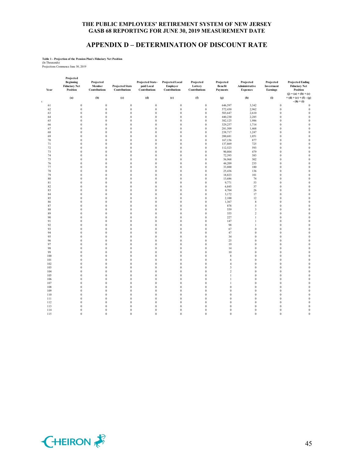## **APPENDIX D – DETERMINATION OF DISCOUNT RATE**

#### **Table 1 - Projection of the Pension Plan's Fiduciary Net Position**

(In Thousands) Projections Commence June 30, 2019

|    | Year       | Projected<br><b>Beginning</b><br><b>Fiduciary Net</b><br>Position | Projected<br>Member<br><b>Contributions</b> | <b>Projected State</b><br>Contributions | Projected State-<br>paid Local<br><b>Contributions</b> | <b>Projected Local</b><br>Employer<br><b>Contributions</b> | Projected<br>Lottery<br><b>Contributions</b> | Projected<br><b>Benefit</b><br>Payments | Projected<br>Administrative<br><b>Expenses</b> | Projected<br>Investment<br><b>Earnings</b> | <b>Projected Ending</b><br><b>Fiduciary Net</b><br>Position<br>$(i) = (a) + (b) + (c)$ |
|----|------------|-------------------------------------------------------------------|---------------------------------------------|-----------------------------------------|--------------------------------------------------------|------------------------------------------------------------|----------------------------------------------|-----------------------------------------|------------------------------------------------|--------------------------------------------|----------------------------------------------------------------------------------------|
| t. |            | (a)                                                               | (b)                                         | (c)                                     | (d)                                                    | (e)                                                        | (f)                                          | (g)                                     | (h)                                            | (i)                                        | $+(d)+(e)+(f)-(g)$<br>$-(h) + (i)$                                                     |
|    | 61         | $\boldsymbol{0}$                                                  | $\boldsymbol{0}$                            | $\boldsymbol{0}$                        | $\boldsymbol{0}$                                       | $\boldsymbol{0}$                                           | $\boldsymbol{0}$                             | 646,597                                 | 3,342                                          | $\boldsymbol{0}$                           | $\boldsymbol{0}$                                                                       |
|    | 62         | $\boldsymbol{0}$                                                  | $\boldsymbol{0}$                            | $\boldsymbol{0}$                        | $\mathbf{0}$                                           | $\boldsymbol{0}$                                           | $\boldsymbol{0}$                             | 572,430                                 | 2,962                                          | $\boldsymbol{0}$                           | $\boldsymbol{0}$                                                                       |
|    | 63         | $\boldsymbol{0}$                                                  | $\boldsymbol{0}$                            | $\boldsymbol{0}$                        | $\mathbf{0}$                                           | $\boldsymbol{0}$                                           | $\boldsymbol{0}$                             | 503,647                                 | 2,610                                          | $\boldsymbol{0}$                           | $\boldsymbol{0}$                                                                       |
|    | 64         | $\boldsymbol{0}$                                                  | $\boldsymbol{0}$                            | $\boldsymbol{0}$                        | $\mathbf{0}$                                           | $\boldsymbol{0}$                                           | $\boldsymbol{0}$                             | 440,230                                 | 2,285                                          | $\boldsymbol{0}$                           | $\boldsymbol{0}$                                                                       |
|    | 65         | $\boldsymbol{0}$                                                  | $\boldsymbol{0}$                            | $\boldsymbol{0}$                        | $\boldsymbol{0}$                                       | $\boldsymbol{0}$                                           | $\boldsymbol{0}$                             | 382,125                                 | 1,986                                          | $\boldsymbol{0}$                           | $\boldsymbol{0}$                                                                       |
|    | 66         | $\boldsymbol{0}$                                                  | $\boldsymbol{0}$                            | $\boldsymbol{0}$                        | $\mathbf{0}$                                           | $\boldsymbol{0}$                                           | $\boldsymbol{0}$                             | 329,257                                 | 1,714                                          | $\boldsymbol{0}$                           | $\boldsymbol{0}$                                                                       |
|    | 67         | $\boldsymbol{0}$                                                  | $\boldsymbol{0}$                            | $\bf{0}$                                | $\boldsymbol{0}$                                       | $\boldsymbol{0}$                                           | $\bf{0}$                                     | 281,509                                 | 1,468                                          | $\boldsymbol{0}$                           | $\bf{0}$                                                                               |
|    | 68         | $\mathbf{0}$                                                      | $\boldsymbol{0}$                            | $\bf{0}$                                | $\mathbf{0}$                                           | $\boldsymbol{0}$                                           | $\boldsymbol{0}$                             | 238,717                                 | 1,247                                          | $\bf{0}$                                   | $\boldsymbol{0}$                                                                       |
|    | 69         | $\boldsymbol{0}$                                                  | $\boldsymbol{0}$                            | $\boldsymbol{0}$                        | $\mathbf{0}$                                           | $\boldsymbol{0}$                                           | $\boldsymbol{0}$                             | 200,681                                 | 1,051                                          | $\boldsymbol{0}$                           | $\boldsymbol{0}$                                                                       |
|    | 70         | $\boldsymbol{0}$                                                  | $\boldsymbol{0}$                            | $\boldsymbol{0}$                        | $\mathbf{0}$                                           | $\boldsymbol{0}$                                           | $\boldsymbol{0}$                             | 167,156                                 | 877                                            | $\bf{0}$                                   | $\boldsymbol{0}$                                                                       |
|    | 71         | $\boldsymbol{0}$                                                  | $\boldsymbol{0}$                            | $\boldsymbol{0}$                        | $\mathbf{0}$                                           | $\boldsymbol{0}$                                           | $\boldsymbol{0}$                             | 137,869                                 | 725                                            | $\boldsymbol{0}$                           | $\boldsymbol{0}$                                                                       |
|    | 72         | $\bf{0}$                                                          | $\mathbf{0}$                                | $\bf{0}$                                | $\boldsymbol{0}$                                       | $\mathbf{0}$                                               | $\mathbf{0}$                                 | 112,523                                 | 593                                            | $\mathbf{0}$                               | $\bf{0}$                                                                               |
|    | 73         | $\boldsymbol{0}$                                                  | $\boldsymbol{0}$                            | $\boldsymbol{0}$                        | $\mathbf{0}$                                           | $\boldsymbol{0}$                                           | $\boldsymbol{0}$                             | 90,804                                  | 479                                            | $\bf{0}$                                   | $\boldsymbol{0}$                                                                       |
|    | 74         | $\boldsymbol{0}$                                                  | $\boldsymbol{0}$                            | $\boldsymbol{0}$                        | $\boldsymbol{0}$                                       | $\boldsymbol{0}$                                           | $\boldsymbol{0}$                             | 72,393                                  | 383                                            | $\boldsymbol{0}$                           | $\boldsymbol{0}$                                                                       |
|    | 75         | $\boldsymbol{0}$                                                  | $\boldsymbol{0}$                            | $\boldsymbol{0}$                        | $\boldsymbol{0}$                                       | $\boldsymbol{0}$                                           | $\boldsymbol{0}$                             | 56,968                                  | 302                                            | $\bf{0}$                                   | $\boldsymbol{0}$                                                                       |
|    | $76\,$     | $\boldsymbol{0}$                                                  | $\boldsymbol{0}$                            | $\boldsymbol{0}$                        | $\boldsymbol{0}$                                       | $\boldsymbol{0}$                                           | $\boldsymbol{0}$                             | 44,209                                  | 235                                            | $\boldsymbol{0}$                           | $\boldsymbol{0}$                                                                       |
|    | 77         | $\boldsymbol{0}$                                                  | $\boldsymbol{0}$                            | $\boldsymbol{0}$                        | $\bf{0}$                                               | $\boldsymbol{0}$                                           | $\boldsymbol{0}$                             | 33,800                                  | 180                                            | $\boldsymbol{0}$                           | $\boldsymbol{0}$                                                                       |
|    | 78         | $\mathbf{0}$                                                      | $\boldsymbol{0}$                            | $\mathbf{0}$                            | $\bf{0}$                                               | $\mathbf{0}$                                               | $\bf{0}$                                     | 25,436                                  | 136                                            | $\mathbf{0}$                               | $\boldsymbol{0}$                                                                       |
|    | 79         | $\boldsymbol{0}$                                                  | $\boldsymbol{0}$                            | $\boldsymbol{0}$                        | $\bf{0}$                                               | $\boldsymbol{0}$                                           | $\boldsymbol{0}$                             | 18,823                                  | 101                                            | $\boldsymbol{0}$                           | $\boldsymbol{0}$                                                                       |
|    | 80         | $\boldsymbol{0}$                                                  | $\boldsymbol{0}$                            | $\boldsymbol{0}$                        | $\mathbf{0}$                                           | $\boldsymbol{0}$                                           | $\boldsymbol{0}$                             | 13,686                                  | 74                                             | $\bf{0}$                                   | $\boldsymbol{0}$                                                                       |
|    | 81         | $\boldsymbol{0}$                                                  | $\boldsymbol{0}$                            | $\boldsymbol{0}$                        | $\boldsymbol{0}$                                       | $\boldsymbol{0}$                                           | $\boldsymbol{0}$                             | 9,771                                   | 53                                             | $\boldsymbol{0}$                           | $\boldsymbol{0}$                                                                       |
|    | 82         | $\boldsymbol{0}$                                                  | $\boldsymbol{0}$                            | $\boldsymbol{0}$                        | $\boldsymbol{0}$                                       | $\boldsymbol{0}$                                           | $\boldsymbol{0}$                             | 6,845                                   | 37                                             | $\bf{0}$                                   | $\boldsymbol{0}$                                                                       |
|    | 83         | $\boldsymbol{0}$                                                  | $\boldsymbol{0}$                            | $\boldsymbol{0}$                        | $\boldsymbol{0}$                                       | $\boldsymbol{0}$                                           | $\boldsymbol{0}$                             | 4,704                                   | 26                                             | $\boldsymbol{0}$                           | $\boldsymbol{0}$                                                                       |
|    | 84         | $\bf{0}$                                                          | $\mathbf{0}$                                | $\bf{0}$                                | $\boldsymbol{0}$                                       | $\mathbf{0}$                                               | $\mathbf{0}$                                 | 3,172                                   | 17                                             | $\mathbf{0}$                               | $\boldsymbol{0}$                                                                       |
|    | 85         | $\boldsymbol{0}$                                                  | $\boldsymbol{0}$                            | $\boldsymbol{0}$                        | $\boldsymbol{0}$                                       | $\boldsymbol{0}$                                           | $\boldsymbol{0}$                             | 2,100                                   | 12                                             | $\bf{0}$                                   | $\boldsymbol{0}$                                                                       |
|    | 86         | $\boldsymbol{0}$                                                  | $\boldsymbol{0}$                            | $\boldsymbol{0}$                        | $\boldsymbol{0}$                                       | $\boldsymbol{0}$                                           | $\boldsymbol{0}$                             | 1,367                                   | $\,$ 8 $\,$                                    | $\boldsymbol{0}$                           | $\boldsymbol{0}$                                                                       |
|    | 87         | $\boldsymbol{0}$                                                  | $\boldsymbol{0}$                            | $\boldsymbol{0}$                        | $\boldsymbol{0}$                                       | $\boldsymbol{0}$                                           | $\boldsymbol{0}$                             | 878                                     | $\sqrt{5}$                                     | $\bf{0}$                                   | $\boldsymbol{0}$                                                                       |
|    | 88         | $\boldsymbol{0}$                                                  | $\boldsymbol{0}$                            | $\boldsymbol{0}$                        | $\mathbf{0}$                                           | $\boldsymbol{0}$                                           | $\boldsymbol{0}$                             | 559                                     | $\sqrt{3}$                                     | $\boldsymbol{0}$                           | $\boldsymbol{0}$                                                                       |
|    | 89         | $\boldsymbol{0}$                                                  | $\boldsymbol{0}$                            | $\boldsymbol{0}$                        | $\boldsymbol{0}$                                       | $\boldsymbol{0}$                                           | $\boldsymbol{0}$                             | 355                                     | $\sqrt{2}$                                     | $\boldsymbol{0}$                           | $\boldsymbol{0}$                                                                       |
|    | 90         | $\bf{0}$                                                          | $\boldsymbol{0}$                            | $\bf{0}$                                | $\mathbf{0}$                                           | $\mathbf{0}$                                               | $\boldsymbol{0}$                             | 227                                     | $\mathbf{1}$                                   | $\overline{0}$                             | $\boldsymbol{0}$                                                                       |
|    | 91         | $\boldsymbol{0}$                                                  | $\boldsymbol{0}$                            | $\boldsymbol{0}$                        | $\boldsymbol{0}$                                       | $\boldsymbol{0}$                                           | $\boldsymbol{0}$                             | 147                                     | 1                                              | $\boldsymbol{0}$                           | $\boldsymbol{0}$                                                                       |
|    | 92         | $\mathbf{0}$                                                      | $\boldsymbol{0}$                            | $\mathbf{0}$                            | $\mathbf{0}$                                           | $\boldsymbol{0}$                                           | $\boldsymbol{0}$                             | 98                                      | $\mathbf{1}$                                   | $\bf{0}$                                   | $\boldsymbol{0}$                                                                       |
|    | 93         | $\boldsymbol{0}$                                                  | $\boldsymbol{0}$                            | $\boldsymbol{0}$                        | $\boldsymbol{0}$                                       | $\boldsymbol{0}$                                           | $\boldsymbol{0}$                             | 67                                      | $\boldsymbol{0}$                               | $\boldsymbol{0}$                           | $\boldsymbol{0}$                                                                       |
|    | 94         | $\mathbf{0}$                                                      | $\boldsymbol{0}$                            | $\boldsymbol{0}$                        | $\boldsymbol{0}$                                       | $\boldsymbol{0}$                                           | $\boldsymbol{0}$                             | 47                                      | $\bf{0}$                                       | $\boldsymbol{0}$                           | $\boldsymbol{0}$                                                                       |
|    | 95         | $\boldsymbol{0}$                                                  | $\boldsymbol{0}$                            | $\boldsymbol{0}$                        | $\boldsymbol{0}$                                       | $\boldsymbol{0}$                                           | $\boldsymbol{0}$                             | 34                                      | $\boldsymbol{0}$                               | $\bf{0}$                                   | $\boldsymbol{0}$                                                                       |
|    | 96         | $\mathbf{0}$                                                      | $\mathbf{0}$                                | $\mathbf{0}$                            | $\bf{0}$                                               | $\mathbf{0}$                                               | $\mathbf{0}$                                 | 25                                      | $\mathbf{0}$                                   | $\mathbf{0}$                               | $\boldsymbol{0}$                                                                       |
|    | 97         | $\boldsymbol{0}$                                                  | $\boldsymbol{0}$                            | $\bf{0}$                                | $\boldsymbol{0}$                                       | $\boldsymbol{0}$                                           | $\boldsymbol{0}$                             | 19                                      | $\boldsymbol{0}$                               | $\bf{0}$                                   | $\boldsymbol{0}$                                                                       |
|    | 98         | $\boldsymbol{0}$                                                  | $\boldsymbol{0}$                            | $\boldsymbol{0}$                        | $\boldsymbol{0}$                                       | $\boldsymbol{0}$                                           | $\boldsymbol{0}$                             | 14                                      | $\boldsymbol{0}$                               | $\bf{0}$                                   | $\boldsymbol{0}$                                                                       |
|    | 99         | $\boldsymbol{0}$                                                  | $\boldsymbol{0}$                            | $\boldsymbol{0}$                        | $\boldsymbol{0}$                                       | $\boldsymbol{0}$                                           | $\boldsymbol{0}$                             | $10\,$                                  | $\bf{0}$                                       | $\boldsymbol{0}$                           | $\boldsymbol{0}$                                                                       |
|    | 100        | $\mathbf{0}$                                                      | $\boldsymbol{0}$                            | $\bf{0}$                                | $\boldsymbol{0}$                                       | $\boldsymbol{0}$                                           | $\boldsymbol{0}$                             | $\,$ 8 $\,$                             | $\boldsymbol{0}$                               | $\boldsymbol{0}$                           | $\boldsymbol{0}$                                                                       |
|    | 101        | $\boldsymbol{0}$                                                  | $\boldsymbol{0}$                            | $\bf{0}$                                | $\boldsymbol{0}$                                       | $\boldsymbol{0}$                                           | $\boldsymbol{0}$                             | 6                                       | $\boldsymbol{0}$                               | $\mathbf{0}$                               | $\boldsymbol{0}$                                                                       |
|    | 102        | $\bf{0}$                                                          | $\boldsymbol{0}$                            | $\bf{0}$                                | $\boldsymbol{0}$                                       | $\mathbf{0}$                                               | $\mathbf{0}$                                 | $\overline{4}$                          | $\boldsymbol{0}$                               | $\mathbf{0}$                               | $\boldsymbol{0}$                                                                       |
|    | 103        | $\boldsymbol{0}$                                                  | $\boldsymbol{0}$                            | $\boldsymbol{0}$                        | $\boldsymbol{0}$                                       | $\boldsymbol{0}$                                           | $\boldsymbol{0}$                             | 3                                       | $\bf{0}$                                       | $\boldsymbol{0}$                           | $\boldsymbol{0}$                                                                       |
|    | 104        | $\mathbf{0}$                                                      | $\boldsymbol{0}$                            | $\mathbf{0}$                            | $\boldsymbol{0}$                                       | $\boldsymbol{0}$                                           | $\boldsymbol{0}$                             | $\sqrt{2}$                              | $\boldsymbol{0}$                               | $\bf{0}$                                   | $\boldsymbol{0}$                                                                       |
|    | 105        | $\boldsymbol{0}$                                                  | $\boldsymbol{0}$                            | $\boldsymbol{0}$                        | $\boldsymbol{0}$                                       | $\boldsymbol{0}$                                           | $\boldsymbol{0}$                             | 1                                       | $\bf{0}$                                       | $\boldsymbol{0}$                           | $\boldsymbol{0}$                                                                       |
|    | 106        | $\bf{0}$                                                          | $\mathbf{0}$                                | $\bf{0}$                                | $\mathbf{0}$                                           | $\boldsymbol{0}$                                           | $\boldsymbol{0}$                             | $\mathbf{1}$                            | $\boldsymbol{0}$                               | $\mathbf{0}$                               | $\boldsymbol{0}$                                                                       |
|    | 107        | $\boldsymbol{0}$                                                  | $\boldsymbol{0}$                            | $\boldsymbol{0}$                        | $\boldsymbol{0}$                                       | $\boldsymbol{0}$                                           | $\boldsymbol{0}$                             | 1                                       | $\bf{0}$                                       | $\boldsymbol{0}$                           | $\boldsymbol{0}$                                                                       |
|    | 108        | $\mathbf{0}$                                                      | $\mathbf{0}$                                | $\bf{0}$                                | $\mathbf{0}$                                           | $\mathbf{0}$                                               | $\mathbf{0}$                                 | $\mathbf{0}$                            | $\mathbf{0}$                                   | $\mathbf{0}$                               | $\boldsymbol{0}$                                                                       |
|    | 109        | $\boldsymbol{0}$                                                  | $\boldsymbol{0}$                            | $\boldsymbol{0}$                        | $\boldsymbol{0}$                                       | $\boldsymbol{0}$                                           | $\boldsymbol{0}$                             | $\boldsymbol{0}$                        | $\boldsymbol{0}$                               | $\bf{0}$                                   | $\boldsymbol{0}$                                                                       |
|    | 110        | $\boldsymbol{0}$                                                  | $\boldsymbol{0}$                            | $\boldsymbol{0}$                        | $\boldsymbol{0}$                                       | $\boldsymbol{0}$                                           | $\boldsymbol{0}$                             | $\boldsymbol{0}$                        | $\boldsymbol{0}$                               | $\boldsymbol{0}$                           | $\boldsymbol{0}$                                                                       |
|    | 111        | $\boldsymbol{0}$<br>$\mathbf{0}$                                  | $\boldsymbol{0}$                            | $\boldsymbol{0}$                        | $\bf{0}$                                               | $\boldsymbol{0}$                                           | $\boldsymbol{0}$                             | $\boldsymbol{0}$<br>$\mathbf{0}$        | $\boldsymbol{0}$                               | $\boldsymbol{0}$                           | $\boldsymbol{0}$                                                                       |
|    | 112        | $\mathbf{0}$                                                      | $\boldsymbol{0}$                            | $\mathbf{0}$                            | $\boldsymbol{0}$                                       | $\boldsymbol{0}$                                           | $\boldsymbol{0}$                             | $\mathbf{0}$                            | $\boldsymbol{0}$                               | $\boldsymbol{0}$                           | $\boldsymbol{0}$                                                                       |
|    | 113<br>114 | $\mathbf{0}$                                                      | $\boldsymbol{0}$<br>$\mathbf{0}$            | $\boldsymbol{0}$<br>$\bf{0}$            | $\boldsymbol{0}$<br>$\boldsymbol{0}$                   | $\boldsymbol{0}$<br>$\mathbf{0}$                           | $\boldsymbol{0}$<br>$\mathbf{0}$             | $\mathbf{0}$                            | $\bf{0}$<br>$\mathbf{0}$                       | $\bf{0}$<br>$\overline{0}$                 | $\boldsymbol{0}$<br>$\boldsymbol{0}$                                                   |
|    |            | $\mathbf{0}$                                                      | $\mathbf{0}$                                | $\theta$                                | $\theta$                                               | $\mathbf{0}$                                               | $\mathbf{0}$                                 | $\mathbf{0}$                            | $\bf{0}$                                       | $\mathbf{0}$                               | $\boldsymbol{0}$                                                                       |
|    | 115        |                                                                   |                                             |                                         |                                                        |                                                            |                                              |                                         |                                                |                                            |                                                                                        |

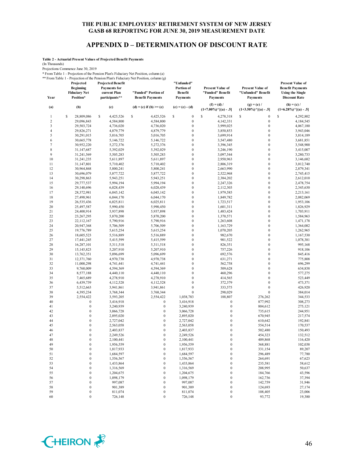### **APPENDIX D – DETERMINATION OF DISCOUNT RATE**

**Table 2 - Actuarial Present Values of Projected Benefit Payments**

(In Thousands)

Projections Commence June 30, 2019

\* From Table 1 - Projection of the Pension Plan's Fiduciary Net Position, column (a) \*\* From Table 1 - Projection of the Pension Plan's Fiduciary Net Position, column (g)

| Year           | Projected<br><b>Beginning</b><br><b>Fiduciary Net</b><br>Position* | <b>Projected Benefit</b><br><b>Payments for</b><br>current Plan<br>participants** | "Funded" Portion of<br><b>Benefit Payments</b> | "Unfunded"<br>Portion of<br>Benefit<br><b>Payments</b> | <b>Present Value of</b><br>"Funded" Benefit<br><b>Payments</b> | <b>Present Value of</b><br>"Unfunded" Benefit<br><b>Payments</b> | <b>Present Value of</b><br><b>Benefit Payments</b><br><b>Using the Single</b><br><b>Discount Rate</b> |  |
|----------------|--------------------------------------------------------------------|-----------------------------------------------------------------------------------|------------------------------------------------|--------------------------------------------------------|----------------------------------------------------------------|------------------------------------------------------------------|-------------------------------------------------------------------------------------------------------|--|
| (a)            | (b)                                                                | (c)                                                                               | (d) = (c) if (b) >= (c)                        | $(e) = (c) - (d)$                                      | $(f) = (d) /$<br>$(1+7.00\%)$ <sup>^</sup> [(a) - .5]          | $(g) = (e) /$<br>$(1+3.50\%)$ <sup>^</sup> [(a) - .5]            | $(h) = (c) /$<br>$(1+6.28\%)$ <sup>^</sup> [(a) - .5]                                                 |  |
| 1              | \$<br>28,809,086                                                   | s<br>4,425,526                                                                    | \$<br>4,425,526                                | \$<br>$\boldsymbol{0}$                                 | \$<br>4,278,318                                                | \$<br>$\boldsymbol{0}$                                           | \$<br>4,292,802                                                                                       |  |
| $\overline{c}$ | 29,096,843                                                         | 4,584,800                                                                         | 4,584,800                                      | $\boldsymbol{0}$                                       | 4,142,331                                                      | $\boldsymbol{0}$                                                 | 4,184,545                                                                                             |  |
| 3              | 29,503,724                                                         | 4,736,020                                                                         | 4,736,020                                      | $\boldsymbol{0}$                                       | 3,999,025                                                      | $\boldsymbol{0}$                                                 | 4,067,180                                                                                             |  |
| $\overline{4}$ | 29,826,271                                                         | 4,879,779                                                                         | 4,879,779                                      | $\boldsymbol{0}$                                       | 3,850,853                                                      | $\mathbf{0}$                                                     | 3,943,046                                                                                             |  |
| 5              | 30,291,015                                                         | 5,016,705                                                                         | 5,016,705                                      | $\mathbf{0}$                                           | 3,699,914                                                      | $\mathbf{0}$                                                     | 3,814,189                                                                                             |  |
| 6              | 30,665,778                                                         | 5,146,722                                                                         | 5,146,722                                      | $\boldsymbol{0}$                                       | 3,547,480                                                      | $\mathbf{0}$                                                     | 3,681,851                                                                                             |  |
| $\tau$         | 30,952,220                                                         | 5,272,376                                                                         | 5,272,376                                      | $\boldsymbol{0}$                                       | 3,396,345                                                      | $\boldsymbol{0}$                                                 | 3,548,900                                                                                             |  |
| $\,$ 8 $\,$    | 31,147,687                                                         | 5,392,029                                                                         | 5,392,029                                      | $\boldsymbol{0}$                                       | 3,246,190                                                      | $\mathbf{0}$                                                     | 3,415,007                                                                                             |  |
| 9              | 31,241,569                                                         | 5,505,283                                                                         | 5,505,283                                      | $\boldsymbol{0}$                                       | 3,097,544                                                      | $\boldsymbol{0}$                                                 | 3,280,733                                                                                             |  |
| 10             | 31,241,235                                                         | 5,611,897                                                                         | 5,611,897                                      | $\boldsymbol{0}$                                       | 2,950,963                                                      | $\mathbf{0}$                                                     | 3,146,682                                                                                             |  |
| 11             | 31,147,801                                                         | 5,710,402                                                                         | 5,710,402                                      | $\boldsymbol{0}$                                       | 2,806,319                                                      | $\boldsymbol{0}$                                                 | 3,012,740                                                                                             |  |
| 12             | 30,964,868                                                         | 5,800,241                                                                         | 5,800,241                                      | $\boldsymbol{0}$                                       | 2,663,990                                                      | $\mathbf{0}$                                                     | 2,879,341                                                                                             |  |
| 13             | 30,696,079                                                         | 5,877,722                                                                         | 5,877,722                                      | $\mathbf{0}$                                           | 2,522,968                                                      | $\mathbf{0}$                                                     | 2,745,415                                                                                             |  |
| 14             | 30,298,863                                                         | 5,943,251                                                                         | 5,943,251                                      | $\boldsymbol{0}$                                       | 2,384,202                                                      | $\mathbf{0}$                                                     | 2,612,010                                                                                             |  |
| 15             | 29,777,537                                                         | 5,994,194                                                                         | 5,994,194                                      | $\boldsymbol{0}$<br>$\mathbf{0}$                       | 2,247,326                                                      | $\boldsymbol{0}$<br>$\mathbf{0}$                                 | 2,478,754                                                                                             |  |
| 16             | 29,140,696                                                         | 6,028,439                                                                         | 6,028,439                                      | $\boldsymbol{0}$                                       | 2,112,303                                                      | $\mathbf{0}$                                                     | 2,345,630                                                                                             |  |
| 17<br>18       | 28,372,981                                                         | 6,045,142<br>6,044,170                                                            | 6,045,142<br>6,044,170                         | $\boldsymbol{0}$                                       | 1,979,585                                                      | $\boldsymbol{0}$                                                 | 2,213,161<br>2,082,069                                                                                |  |
| 19             | 27,498,961<br>26,535,436                                           | 6,025,811                                                                         | 6,025,811                                      | $\boldsymbol{0}$                                       | 1,849,782<br>1,723,517                                         | $\mathbf{0}$                                                     | 1,953,106                                                                                             |  |
| 20             | 25,497,587                                                         | 5,990,450                                                                         | 5,990,450                                      | $\boldsymbol{0}$                                       |                                                                | $\mathbf{0}$                                                     |                                                                                                       |  |
| 21             | 24,400,914                                                         | 5,937,898                                                                         | 5,937,898                                      | $\mathbf{0}$                                           | 1,601,311<br>1,483,424                                         | $\mathbf{0}$                                                     | 1,826,929<br>1,703,911                                                                                |  |
| 22             | 23,267,295                                                         | 5,870,200                                                                         | 5,870,200                                      | $\boldsymbol{0}$                                       | 1,370,571                                                      | $\mathbf{0}$                                                     | 1,584,963                                                                                             |  |
| 23             | 22,112,167                                                         | 5,790,916                                                                         | 5,790,916                                      | $\boldsymbol{0}$                                       | 1,263,608                                                      | $\mathbf{0}$                                                     | 1,471,178                                                                                             |  |
| 24             | 20,947,368                                                         | 5,706,509                                                                         | 5,706,509                                      | $\boldsymbol{0}$                                       | 1,163,729                                                      | $\mathbf{0}$                                                     | 1,364,082                                                                                             |  |
| 25             | 19,776,789                                                         | 5,615,254                                                                         | 5,615,254                                      | $\boldsymbol{0}$                                       | 1,070,205                                                      | $\mathbf{0}$                                                     | 1,262,965                                                                                             |  |
| 26             | 18,605,523                                                         | 5,516,889                                                                         | 5,516,889                                      | $\boldsymbol{0}$                                       | 982,670                                                        | $\boldsymbol{0}$                                                 | 1,167,530                                                                                             |  |
| 27             | 17,441,245                                                         | 5,415,599                                                                         | 5,415,599                                      | $\boldsymbol{0}$                                       | 901,522                                                        | $\mathbf{0}$                                                     | 1,078,381                                                                                             |  |
| 28             | 16,287,101                                                         | 5,311,518                                                                         | 5,311,518                                      | $\boldsymbol{0}$                                       | 826,351                                                        | $\boldsymbol{0}$                                                 | 995,168                                                                                               |  |
| 29             | 15,145,823                                                         | 5,207,910                                                                         | 5,207,910                                      | $\mathbf{0}$                                           | 757,226                                                        | $\mathbf{0}$                                                     | 918,106                                                                                               |  |
| 30             | 13,762,351                                                         | 5,096,699                                                                         | 5,096,699                                      | $\boldsymbol{0}$                                       | 692,576                                                        | $\boldsymbol{0}$                                                 | 845,416                                                                                               |  |
| 31             | 12,371,760                                                         | 4,970,738                                                                         | 4,970,738                                      | $\boldsymbol{0}$                                       | 631,271                                                        | $\mathbf{0}$                                                     | 775,808                                                                                               |  |
| 32             | 11,000,298                                                         | 4,741,441                                                                         | 4,741,441                                      | $\mathbf{0}$                                           | 562,758                                                        | $\mathbf{0}$                                                     | 696,299                                                                                               |  |
| 33             | 9,760,009                                                          | 4,594,369                                                                         | 4,594,369                                      | $\boldsymbol{0}$                                       | 509,628                                                        | $\mathbf{0}$                                                     | 634,838                                                                                               |  |
| 34             | 8,577,188                                                          | 4,440,110                                                                         | 4,440,110                                      | $\boldsymbol{0}$                                       | 460,296                                                        | $\boldsymbol{0}$                                                 | 577,275                                                                                               |  |
| 35             | 7,465,689                                                          | 4,278,910                                                                         | 4,278,910                                      | $\mathbf{0}$                                           | 414,565                                                        | $\mathbf{0}$                                                     | 523,449                                                                                               |  |
| 36             | 6,439,739                                                          | 4,112,528                                                                         | 4,112,528                                      | $\boldsymbol{0}$                                       | 372,379                                                        | $\mathbf{0}$                                                     | 473,371                                                                                               |  |
| 37             | 5,512,663                                                          | 3,941,861                                                                         | 3,941,861                                      | $\mathbf{0}$                                           | 333,575                                                        | $\boldsymbol{0}$                                                 | 426,920                                                                                               |  |
| 38             | 4,395,234                                                          | 3,768,344                                                                         | 3,768,344                                      | $\boldsymbol{0}$                                       | 298,029                                                        | $\boldsymbol{0}$                                                 | 384,014                                                                                               |  |
| 39             | 2,554,422                                                          | 3,593,205                                                                         | 2,554,422                                      | 1,038,783                                              | 188,807                                                        | 276,262                                                          | 344,533                                                                                               |  |
| 40             | $\boldsymbol{0}$                                                   | 3,416,918                                                                         | $\boldsymbol{0}$                               | 3,416,918                                              | $\boldsymbol{0}$                                               | 877,992                                                          | 308,273                                                                                               |  |
| 41             | $\boldsymbol{0}$                                                   | 3,240,939                                                                         | $\boldsymbol{0}$                               | 3,240,939                                              | $\boldsymbol{0}$                                               | 804,612                                                          | 275,121                                                                                               |  |
| 42             | $\boldsymbol{0}$                                                   | 3,066,728                                                                         | $\mathbf{0}$                                   | 3,066,728                                              | $\boldsymbol{0}$                                               | 735,615                                                          | 244,951                                                                                               |  |
| 43             | $\bf{0}$                                                           | 2,895,020                                                                         | $\mathbf{0}$                                   | 2,895,020                                              | $\bf{0}$                                                       | 670,945                                                          | 217,574                                                                                               |  |
| 44             | $\boldsymbol{0}$                                                   | 2,727,042                                                                         | $\mathbf{0}$                                   | 2,727,042                                              | $\bf{0}$                                                       | 610,642                                                          | 192,841                                                                                               |  |
| 45             | $\boldsymbol{0}$                                                   | 2,563,058                                                                         | $\bf{0}$                                       | 2,563,058                                              | $\boldsymbol{0}$                                               | 554,514                                                          | 170,537                                                                                               |  |
| 46             | $\boldsymbol{0}$                                                   | 2,403,837                                                                         | $\mathbf{0}$                                   | 2,403,837                                              | $\bf{0}$                                                       | 502,480                                                          | 150,493                                                                                               |  |
| 47             | $\boldsymbol{0}$                                                   | 2,249,526                                                                         | $\boldsymbol{0}$                               | 2,249,526                                              | $\boldsymbol{0}$                                               | 454,323                                                          | 132,512                                                                                               |  |
| 48             | $\theta$                                                           | 2,100,441                                                                         | $\theta$                                       | 2,100,441                                              | $\theta$                                                       | 409,868                                                          | 116,420                                                                                               |  |
| 49             | $\boldsymbol{0}$                                                   | 1,956,559                                                                         | $\boldsymbol{0}$                               | 1,956,559                                              | $\boldsymbol{0}$                                               | 368,881                                                          | 102,038                                                                                               |  |
| 50             | $\boldsymbol{0}$                                                   | 1,817,933                                                                         | $\boldsymbol{0}$                               | 1,817,933                                              | $\boldsymbol{0}$                                               | 331,154                                                          | 89,207                                                                                                |  |
| 51             | $\boldsymbol{0}$                                                   | 1,684,597                                                                         | $\boldsymbol{0}$                               | 1,684,597                                              | $\boldsymbol{0}$                                               | 296,489                                                          | 77,780                                                                                                |  |
| 52             | $\boldsymbol{0}$                                                   | 1,556,567                                                                         | $\boldsymbol{0}$                               | 1,556,567                                              | $\boldsymbol{0}$                                               | 264,691                                                          | 67,623                                                                                                |  |
| 53             | $\boldsymbol{0}$                                                   | 1,433,864                                                                         | $\boldsymbol{0}$                               | 1,433,864                                              | $\boldsymbol{0}$                                               | 235,581                                                          | 58,612                                                                                                |  |
| 54             | $\boldsymbol{0}$                                                   | 1,316,569                                                                         | $\boldsymbol{0}$                               | 1,316,569                                              | $\boldsymbol{0}$                                               | 208,995                                                          | 50,637                                                                                                |  |
| 55             | $\boldsymbol{0}$<br>$\boldsymbol{0}$                               | 1,204,675                                                                         | $\boldsymbol{0}$<br>$\boldsymbol{0}$           | 1,204,675                                              | $\boldsymbol{0}$<br>$\boldsymbol{0}$                           | 184,766                                                          | 43,596                                                                                                |  |
| 56<br>57       | $\boldsymbol{0}$                                                   | 1,098,179                                                                         | $\boldsymbol{0}$                               | 1,098,179<br>997,087                                   | $\boldsymbol{0}$                                               | 162,736                                                          | 37,394                                                                                                |  |
| 58             | $\boldsymbol{0}$                                                   | 997,087<br>901,389                                                                | $\boldsymbol{0}$                               | 901,389                                                | $\boldsymbol{0}$                                               | 142,759<br>124,693                                               | 31,946<br>27,174                                                                                      |  |
| 59             | $\boldsymbol{0}$                                                   | 811,074                                                                           | $\boldsymbol{0}$                               | 811,074                                                | $\boldsymbol{0}$                                               | 108,405                                                          | 23,006                                                                                                |  |
| 60             | $\boldsymbol{0}$                                                   | 726,148                                                                           | $\boldsymbol{0}$                               | 726,148                                                | $\boldsymbol{0}$                                               | 93,772                                                           | 19,380                                                                                                |  |
|                |                                                                    |                                                                                   |                                                |                                                        |                                                                |                                                                  |                                                                                                       |  |

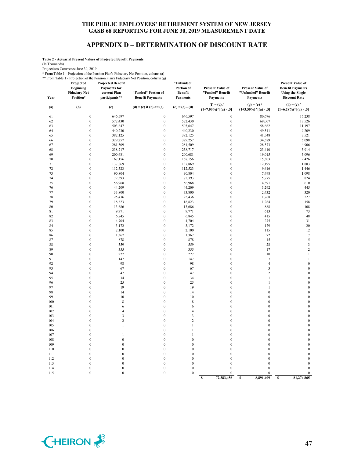## **APPENDIX D – DETERMINATION OF DISCOUNT RATE**

**Table 2 - Actuarial Present Values of Projected Benefit Payments**

(In Thousands)

Projections Commence June 30, 2019

\* From Table 1 - Projection of the Pension Plan's Fiduciary Net Position, column (a)

\*\* From Table 1 - Projection of the Pension Plan's Fiduciary Net Position, column (g) **Projected Projected Benefit "Unfunded"** 

| Year     | <b>Beginning</b><br><b>Fiduciary Net</b><br>Position* | <b>Payments</b> for<br>current Plan<br>participants** | "Funded" Portion of<br><b>Benefit Payments</b> | Portion of<br>Benefit<br><b>Payments</b> | <b>Present Value of</b><br>"Funded" Benefit<br>Payments | <b>Present Value of</b><br>"Unfunded" Benefit<br>Payments | <b>Benefit Payments</b><br><b>Using the Single</b><br><b>Discount Rate</b> |
|----------|-------------------------------------------------------|-------------------------------------------------------|------------------------------------------------|------------------------------------------|---------------------------------------------------------|-----------------------------------------------------------|----------------------------------------------------------------------------|
| (a)      | (b)                                                   | (c)                                                   | $(d) = (c)$ if $(b) >= (c)$                    | $(e) = (c) - (d)$                        | $(f) = (d) /$<br>$(1+7.00\%)$ <sup>^</sup> [(a) - .5]   | $(g) = (e) /$<br>$(1+3.50\%)$ <sup>^</sup> [(a) - .5]     | $(h) = (c) /$<br>$(1+6.28\%)$ <sup>^</sup> [(a) - .5]                      |
| 61       | $\boldsymbol{0}$                                      | 646,597                                               | $\boldsymbol{0}$                               | 646,597                                  | $\boldsymbol{0}$                                        | 80,676                                                    | 16,238                                                                     |
| 62       | $\boldsymbol{0}$                                      | 572,430                                               | $\boldsymbol{0}$                               | 572,430                                  | $\boldsymbol{0}$                                        | 69,007                                                    | 13,526                                                                     |
| 63       | $\boldsymbol{0}$                                      | 503,647                                               | $\boldsymbol{0}$                               | 503,647                                  | $\boldsymbol{0}$                                        | 58,662                                                    | 11,197                                                                     |
| 64       | $\boldsymbol{0}$                                      | 440,230                                               | $\mathbf{0}$                                   | 440,230                                  | $\bf{0}$                                                | 49,541                                                    | 9,209                                                                      |
| 65       | $\boldsymbol{0}$                                      | 382,125                                               | $\boldsymbol{0}$                               | 382,125                                  | $\boldsymbol{0}$                                        | 41,548                                                    | 7,521                                                                      |
| 66       | $\boldsymbol{0}$                                      | 329,257                                               | $\boldsymbol{0}$                               | 329,257                                  | $\boldsymbol{0}$                                        | 34,589                                                    | 6,098                                                                      |
| 67       | $\boldsymbol{0}$                                      | 281,509                                               | $\boldsymbol{0}$                               | 281,509                                  | $\boldsymbol{0}$                                        | 28,573                                                    | 4,906                                                                      |
| 68       | $\boldsymbol{0}$                                      | 238,717                                               | $\boldsymbol{0}$                               | 238,717                                  | $\bf{0}$                                                | 23,410                                                    | 3,914                                                                      |
| 69       | $\boldsymbol{0}$                                      | 200,681                                               | $\boldsymbol{0}$                               | 200,681                                  | $\bf{0}$                                                | 19,015                                                    | 3,096                                                                      |
| 70       | $\boldsymbol{0}$                                      | 167,156                                               | $\boldsymbol{0}$                               | 167,156                                  | $\boldsymbol{0}$                                        | 15,303                                                    | 2,426                                                                      |
| 71       | $\boldsymbol{0}$                                      | 137,869                                               | $\boldsymbol{0}$                               | 137,869                                  | $\boldsymbol{0}$                                        | 12,195                                                    | 1,883                                                                      |
| 72<br>73 | $\mathbf{0}$<br>$\boldsymbol{0}$                      | 112,523<br>90,804                                     | $\mathbf{0}$                                   | 112,523<br>90,804                        | $\overline{0}$<br>$\bf{0}$                              | 9,616                                                     | 1,446<br>1,098                                                             |
| 74       | $\boldsymbol{0}$                                      | 72,393                                                | 0<br>$\boldsymbol{0}$                          | 72,393                                   | $\boldsymbol{0}$                                        | 7,498<br>5,775                                            | 824                                                                        |
| 75       | $\boldsymbol{0}$                                      | 56,968                                                | $\boldsymbol{0}$                               | 56,968                                   | $\boldsymbol{0}$                                        | 4,391                                                     | 610                                                                        |
| 76       | $\boldsymbol{0}$                                      | 44,209                                                | $\mathbf{0}$                                   | 44,209                                   | $\boldsymbol{0}$                                        | 3,292                                                     | 445                                                                        |
| 77       | $\boldsymbol{0}$                                      | 33,800                                                | $\mathbf{0}$                                   | 33,800                                   | $\mathbf{0}$                                            | 2,432                                                     | 320                                                                        |
| 78       | $\boldsymbol{0}$                                      | 25,436                                                | $\boldsymbol{0}$                               | 25,436                                   | $\mathbf{0}$                                            | 1,768                                                     | 227                                                                        |
| 79       | $\boldsymbol{0}$                                      | 18,823                                                | 0                                              | 18,823                                   | $\boldsymbol{0}$                                        | 1,264                                                     | 158                                                                        |
| 80       | $\boldsymbol{0}$                                      | 13,686                                                | $\boldsymbol{0}$                               | 13,686                                   | $\boldsymbol{0}$                                        | 888                                                       | 108                                                                        |
| 81       | $\boldsymbol{0}$                                      | 9,771                                                 | $\boldsymbol{0}$                               | 9,771                                    | $\boldsymbol{0}$                                        | 613                                                       | 73                                                                         |
| 82       | $\boldsymbol{0}$                                      | 6,845                                                 | $\boldsymbol{0}$                               | 6,845                                    | $\boldsymbol{0}$                                        | 415                                                       | 48                                                                         |
| 83       | $\boldsymbol{0}$                                      | 4,704                                                 | $\boldsymbol{0}$                               | 4,704                                    | $\boldsymbol{0}$                                        | 275                                                       | 31                                                                         |
| 84       | $\boldsymbol{0}$                                      | 3,172                                                 | $\boldsymbol{0}$                               | 3,172                                    | $\boldsymbol{0}$                                        | 179                                                       | 20                                                                         |
| 85       | $\boldsymbol{0}$                                      | 2,100                                                 | 0                                              | 2,100                                    | $\mathbf{0}$                                            | 115                                                       | 12                                                                         |
| 86       | $\boldsymbol{0}$                                      | 1,367                                                 | $\boldsymbol{0}$                               | 1,367                                    | $\boldsymbol{0}$                                        | 72                                                        | $\boldsymbol{7}$                                                           |
| 87       | $\boldsymbol{0}$                                      | 878                                                   | $\boldsymbol{0}$                               | 878                                      | $\boldsymbol{0}$                                        | 45                                                        | 5                                                                          |
| 88       | $\boldsymbol{0}$                                      | 559                                                   | $\boldsymbol{0}$                               | 559                                      | $\boldsymbol{0}$                                        | 28                                                        | $\mathfrak z$                                                              |
| 89       | $\boldsymbol{0}$                                      | 355                                                   | $\boldsymbol{0}$                               | 355                                      | $\boldsymbol{0}$                                        | 17                                                        | $\overline{\mathbf{c}}$                                                    |
| 90       | $\boldsymbol{0}$                                      | 227                                                   | $\boldsymbol{0}$                               | 227                                      | $\boldsymbol{0}$                                        | 10                                                        | $\,1$                                                                      |
| 91       | $\mathbf{0}$                                          | 147                                                   | $\mathbf{0}$                                   | 147                                      | $\mathbf{0}$                                            | $\tau$                                                    | $\mathbf{1}$                                                               |
| 92       | $\boldsymbol{0}$                                      | 98                                                    | $\boldsymbol{0}$                               | 98                                       | $\mathbf{0}$                                            | $\overline{4}$                                            | $\boldsymbol{0}$                                                           |
| 93       | $\boldsymbol{0}$                                      | 67                                                    | $\mathbf{0}$                                   | 67                                       | $\boldsymbol{0}$                                        | 3                                                         | $\boldsymbol{0}$                                                           |
| 94       | $\boldsymbol{0}$                                      | 47                                                    | $\boldsymbol{0}$                               | 47                                       | $\mathbf{0}$                                            | $\overline{c}$                                            | $\boldsymbol{0}$                                                           |
| 95<br>96 | $\boldsymbol{0}$<br>$\boldsymbol{0}$                  | 34<br>25                                              | $\boldsymbol{0}$<br>$\boldsymbol{0}$           | 34<br>25                                 | $\mathbf{0}$<br>$\mathbf{0}$                            | $\mathbf{1}$<br>$\mathbf{1}$                              | $\boldsymbol{0}$                                                           |
| 97       | $\mathbf{0}$                                          | 19                                                    | $\mathbf{0}$                                   | 19                                       | $\overline{0}$                                          | 1                                                         | $\boldsymbol{0}$<br>$\boldsymbol{0}$                                       |
| 98       | $\boldsymbol{0}$                                      | 14                                                    | $\boldsymbol{0}$                               | 14                                       | $\boldsymbol{0}$                                        | $\mathbf{0}$                                              | $\boldsymbol{0}$                                                           |
| 99       | $\boldsymbol{0}$                                      | 10                                                    | $\mathbf{0}$                                   | 10                                       | $\boldsymbol{0}$                                        | $\mathbf{0}$                                              | $\boldsymbol{0}$                                                           |
| 100      | $\boldsymbol{0}$                                      | 8                                                     | $\boldsymbol{0}$                               | $\,$ 8 $\,$                              | $\overline{0}$                                          | $\mathbf{0}$                                              | $\boldsymbol{0}$                                                           |
| 101      | $\boldsymbol{0}$                                      | $\epsilon$                                            | $\boldsymbol{0}$                               | 6                                        | $\boldsymbol{0}$                                        | $\bf{0}$                                                  | $\boldsymbol{0}$                                                           |
| 102      | $\boldsymbol{0}$                                      | $\overline{4}$                                        | $\boldsymbol{0}$                               | $\overline{4}$                           | $\mathbf{0}$                                            | $\mathbf{0}$                                              | $\boldsymbol{0}$                                                           |
| 103      | $\boldsymbol{0}$                                      | 3                                                     | $\boldsymbol{0}$                               | $\sqrt{3}$                               | $\boldsymbol{0}$                                        | $\boldsymbol{0}$                                          | $\boldsymbol{0}$                                                           |
| 104      | $\mathbf{0}$                                          | $\overline{c}$                                        | $\mathbf{0}$                                   | $\overline{c}$                           | $\overline{0}$                                          | $\mathbf{0}$                                              | $\boldsymbol{0}$                                                           |
| 105      | $\boldsymbol{0}$                                      | $\,1\,$                                               | $\boldsymbol{0}$                               | $\mathbf{1}$                             | $\mathbf{0}$                                            | $\bf{0}$                                                  | $\boldsymbol{0}$                                                           |
| 106      | $\boldsymbol{0}$                                      | $\mathbf{1}$                                          | $\boldsymbol{0}$                               | 1                                        | $\boldsymbol{0}$                                        | $\bf{0}$                                                  | $\boldsymbol{0}$                                                           |
| 107      | $\boldsymbol{0}$                                      | $\,1\,$                                               | $\boldsymbol{0}$                               | $\mathbf{1}$                             | $\boldsymbol{0}$                                        | $\mathbf{0}$                                              | $\boldsymbol{0}$                                                           |
| 108      | $\boldsymbol{0}$                                      | $\boldsymbol{0}$                                      | $\boldsymbol{0}$                               | $\boldsymbol{0}$                         | $\boldsymbol{0}$                                        | $\boldsymbol{0}$                                          | $\boldsymbol{0}$                                                           |
| 109      | $\boldsymbol{0}$                                      | $\boldsymbol{0}$                                      | $\boldsymbol{0}$                               | $\boldsymbol{0}$                         | $\boldsymbol{0}$                                        | $\mathbf{0}$                                              | $\boldsymbol{0}$                                                           |
| 110      | $\boldsymbol{0}$                                      | $\mathbf{0}$                                          | $\mathbf{0}$                                   | $\mathbf{0}$                             | $\overline{0}$                                          | $\mathbf{0}$                                              | $\boldsymbol{0}$                                                           |
| 111      | $\boldsymbol{0}$                                      | $\mathbf{0}$                                          | $\boldsymbol{0}$                               | $\boldsymbol{0}$                         | $\mathbf{0}$                                            | $\boldsymbol{0}$                                          | $\boldsymbol{0}$                                                           |
| 112      | $\boldsymbol{0}$                                      | $\mathbf{0}$                                          | $\boldsymbol{0}$                               | $\boldsymbol{0}$                         | $\mathbf{0}$                                            | $\mathbf{0}$                                              | $\bf{0}$                                                                   |
| 113      | $\boldsymbol{0}$                                      | $\boldsymbol{0}$                                      | $\boldsymbol{0}$                               | $\boldsymbol{0}$                         | $\boldsymbol{0}$                                        | $\boldsymbol{0}$                                          | $\boldsymbol{0}$                                                           |
| 114      | $\boldsymbol{0}$                                      | $\boldsymbol{0}$                                      | $\boldsymbol{0}$                               | $\boldsymbol{0}$                         | $\boldsymbol{0}$                                        | $\boldsymbol{0}$                                          | $\boldsymbol{0}$                                                           |
| 115      | $\boldsymbol{0}$                                      | $\mathbf{0}$                                          | $\boldsymbol{0}$                               | $\mathbf{0}$                             | $\boldsymbol{0}$                                        | $\boldsymbol{0}$                                          | $\boldsymbol{0}$                                                           |
|          |                                                       |                                                       |                                                |                                          | 72.383.456<br>S                                         | 8,891,409<br>S                                            | 81.274.865<br>S                                                            |



**Present Value of**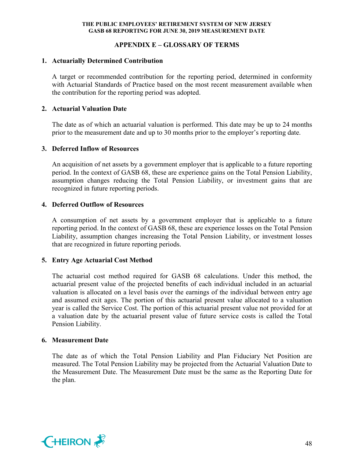## **APPENDIX E – GLOSSARY OF TERMS**

### **1. Actuarially Determined Contribution**

A target or recommended contribution for the reporting period, determined in conformity with Actuarial Standards of Practice based on the most recent measurement available when the contribution for the reporting period was adopted.

## **2. Actuarial Valuation Date**

The date as of which an actuarial valuation is performed. This date may be up to 24 months prior to the measurement date and up to 30 months prior to the employer's reporting date.

#### **3. Deferred Inflow of Resources**

An acquisition of net assets by a government employer that is applicable to a future reporting period. In the context of GASB 68, these are experience gains on the Total Pension Liability, assumption changes reducing the Total Pension Liability, or investment gains that are recognized in future reporting periods.

## **4. Deferred Outflow of Resources**

A consumption of net assets by a government employer that is applicable to a future reporting period. In the context of GASB 68, these are experience losses on the Total Pension Liability, assumption changes increasing the Total Pension Liability, or investment losses that are recognized in future reporting periods.

#### **5. Entry Age Actuarial Cost Method**

The actuarial cost method required for GASB 68 calculations. Under this method, the actuarial present value of the projected benefits of each individual included in an actuarial valuation is allocated on a level basis over the earnings of the individual between entry age and assumed exit ages. The portion of this actuarial present value allocated to a valuation year is called the Service Cost. The portion of this actuarial present value not provided for at a valuation date by the actuarial present value of future service costs is called the Total Pension Liability.

#### **6. Measurement Date**

The date as of which the Total Pension Liability and Plan Fiduciary Net Position are measured. The Total Pension Liability may be projected from the Actuarial Valuation Date to the Measurement Date. The Measurement Date must be the same as the Reporting Date for the plan.